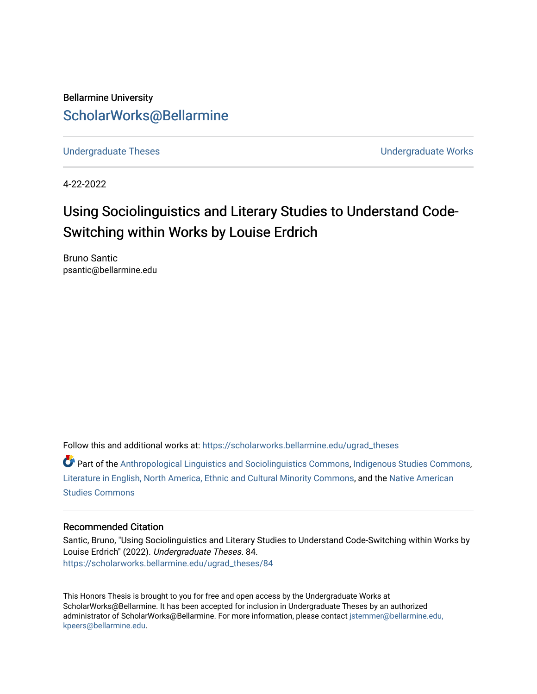Bellarmine University [ScholarWorks@Bellarmine](https://scholarworks.bellarmine.edu/) 

[Undergraduate Theses](https://scholarworks.bellarmine.edu/ugrad_theses) **Undergraduate Undergraduate Works** 

4-22-2022

# Using Sociolinguistics and Literary Studies to Understand Code-Switching within Works by Louise Erdrich

Bruno Santic psantic@bellarmine.edu

Follow this and additional works at: [https://scholarworks.bellarmine.edu/ugrad\\_theses](https://scholarworks.bellarmine.edu/ugrad_theses?utm_source=scholarworks.bellarmine.edu%2Fugrad_theses%2F84&utm_medium=PDF&utm_campaign=PDFCoverPages) 

Part of the [Anthropological Linguistics and Sociolinguistics Commons,](https://network.bepress.com/hgg/discipline/372?utm_source=scholarworks.bellarmine.edu%2Fugrad_theses%2F84&utm_medium=PDF&utm_campaign=PDFCoverPages) [Indigenous Studies Commons](https://network.bepress.com/hgg/discipline/571?utm_source=scholarworks.bellarmine.edu%2Fugrad_theses%2F84&utm_medium=PDF&utm_campaign=PDFCoverPages), [Literature in English, North America, Ethnic and Cultural Minority Commons,](https://network.bepress.com/hgg/discipline/459?utm_source=scholarworks.bellarmine.edu%2Fugrad_theses%2F84&utm_medium=PDF&utm_campaign=PDFCoverPages) and the [Native American](https://network.bepress.com/hgg/discipline/1434?utm_source=scholarworks.bellarmine.edu%2Fugrad_theses%2F84&utm_medium=PDF&utm_campaign=PDFCoverPages) [Studies Commons](https://network.bepress.com/hgg/discipline/1434?utm_source=scholarworks.bellarmine.edu%2Fugrad_theses%2F84&utm_medium=PDF&utm_campaign=PDFCoverPages) 

#### Recommended Citation

Santic, Bruno, "Using Sociolinguistics and Literary Studies to Understand Code-Switching within Works by Louise Erdrich" (2022). Undergraduate Theses. 84. [https://scholarworks.bellarmine.edu/ugrad\\_theses/84](https://scholarworks.bellarmine.edu/ugrad_theses/84?utm_source=scholarworks.bellarmine.edu%2Fugrad_theses%2F84&utm_medium=PDF&utm_campaign=PDFCoverPages) 

This Honors Thesis is brought to you for free and open access by the Undergraduate Works at ScholarWorks@Bellarmine. It has been accepted for inclusion in Undergraduate Theses by an authorized administrator of ScholarWorks@Bellarmine. For more information, please contact [jstemmer@bellarmine.edu,](mailto:jstemmer@bellarmine.edu,%20kpeers@bellarmine.edu)  [kpeers@bellarmine.edu](mailto:jstemmer@bellarmine.edu,%20kpeers@bellarmine.edu).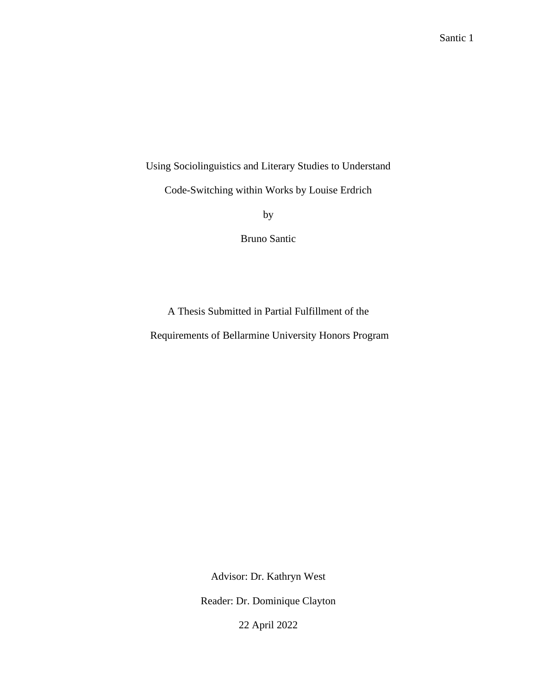Using Sociolinguistics and Literary Studies to Understand

Code-Switching within Works by Louise Erdrich

by

Bruno Santic

A Thesis Submitted in Partial Fulfillment of the

Requirements of Bellarmine University Honors Program

Advisor: Dr. Kathryn West

Reader: Dr. Dominique Clayton

22 April 2022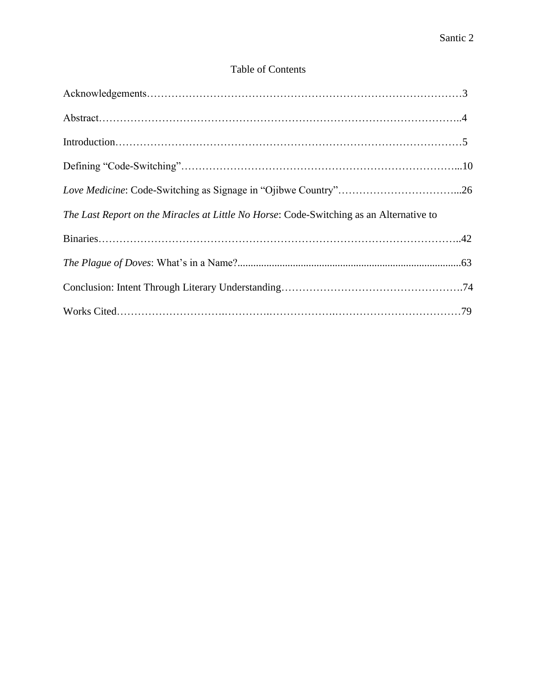# Table of Contents

| The Last Report on the Miracles at Little No Horse: Code-Switching as an Alternative to |
|-----------------------------------------------------------------------------------------|
|                                                                                         |
|                                                                                         |
|                                                                                         |
|                                                                                         |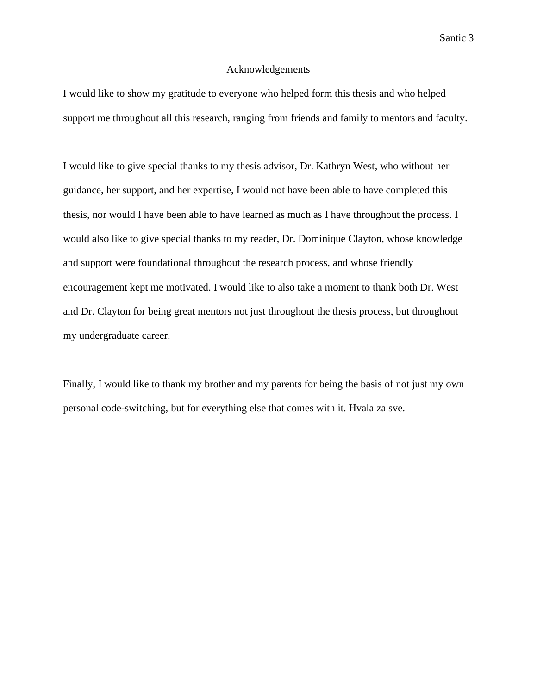#### Acknowledgements

I would like to show my gratitude to everyone who helped form this thesis and who helped support me throughout all this research, ranging from friends and family to mentors and faculty.

I would like to give special thanks to my thesis advisor, Dr. Kathryn West, who without her guidance, her support, and her expertise, I would not have been able to have completed this thesis, nor would I have been able to have learned as much as I have throughout the process. I would also like to give special thanks to my reader, Dr. Dominique Clayton, whose knowledge and support were foundational throughout the research process, and whose friendly encouragement kept me motivated. I would like to also take a moment to thank both Dr. West and Dr. Clayton for being great mentors not just throughout the thesis process, but throughout my undergraduate career.

Finally, I would like to thank my brother and my parents for being the basis of not just my own personal code-switching, but for everything else that comes with it. Hvala za sve.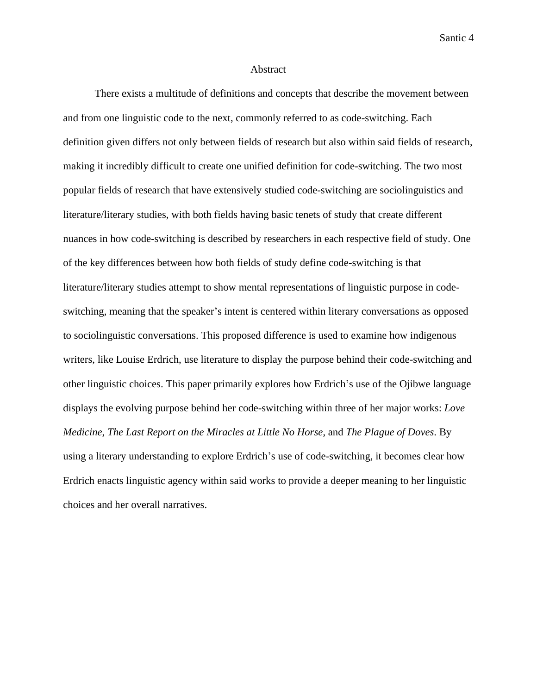#### Abstract

There exists a multitude of definitions and concepts that describe the movement between and from one linguistic code to the next, commonly referred to as code-switching. Each definition given differs not only between fields of research but also within said fields of research, making it incredibly difficult to create one unified definition for code-switching. The two most popular fields of research that have extensively studied code-switching are sociolinguistics and literature/literary studies, with both fields having basic tenets of study that create different nuances in how code-switching is described by researchers in each respective field of study. One of the key differences between how both fields of study define code-switching is that literature/literary studies attempt to show mental representations of linguistic purpose in codeswitching, meaning that the speaker's intent is centered within literary conversations as opposed to sociolinguistic conversations. This proposed difference is used to examine how indigenous writers, like Louise Erdrich, use literature to display the purpose behind their code-switching and other linguistic choices. This paper primarily explores how Erdrich's use of the Ojibwe language displays the evolving purpose behind her code-switching within three of her major works: *Love Medicine*, *The Last Report on the Miracles at Little No Horse*, and *The Plague of Doves*. By using a literary understanding to explore Erdrich's use of code-switching, it becomes clear how Erdrich enacts linguistic agency within said works to provide a deeper meaning to her linguistic choices and her overall narratives.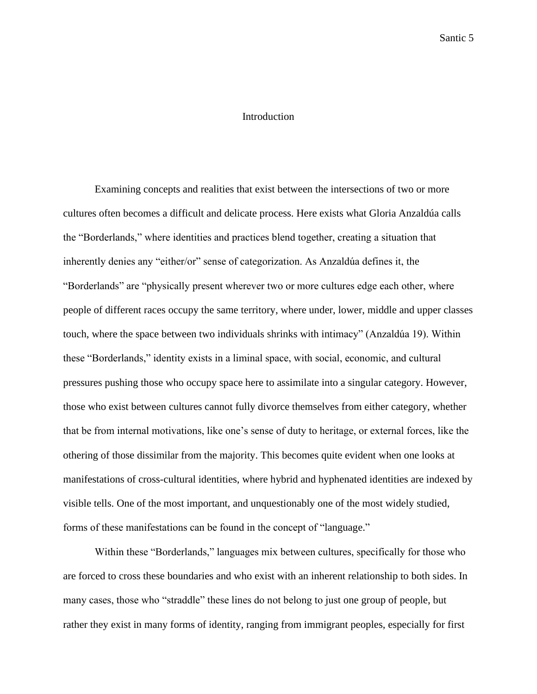# Introduction

Examining concepts and realities that exist between the intersections of two or more cultures often becomes a difficult and delicate process. Here exists what Gloria Anzaldúa calls the "Borderlands," where identities and practices blend together, creating a situation that inherently denies any "either/or" sense of categorization. As Anzaldúa defines it, the "Borderlands" are "physically present wherever two or more cultures edge each other, where people of different races occupy the same territory, where under, lower, middle and upper classes touch, where the space between two individuals shrinks with intimacy" (Anzaldúa 19). Within these "Borderlands," identity exists in a liminal space, with social, economic, and cultural pressures pushing those who occupy space here to assimilate into a singular category. However, those who exist between cultures cannot fully divorce themselves from either category, whether that be from internal motivations, like one's sense of duty to heritage, or external forces, like the othering of those dissimilar from the majority. This becomes quite evident when one looks at manifestations of cross-cultural identities, where hybrid and hyphenated identities are indexed by visible tells. One of the most important, and unquestionably one of the most widely studied, forms of these manifestations can be found in the concept of "language."

Within these "Borderlands," languages mix between cultures, specifically for those who are forced to cross these boundaries and who exist with an inherent relationship to both sides. In many cases, those who "straddle" these lines do not belong to just one group of people, but rather they exist in many forms of identity, ranging from immigrant peoples, especially for first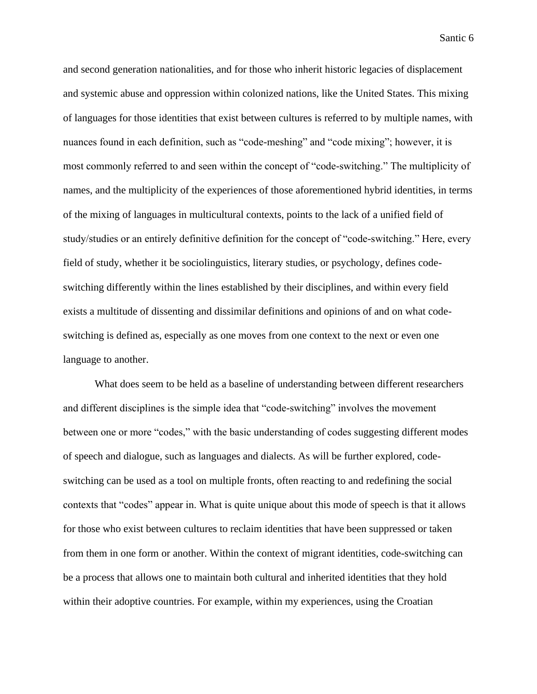and second generation nationalities, and for those who inherit historic legacies of displacement and systemic abuse and oppression within colonized nations, like the United States. This mixing of languages for those identities that exist between cultures is referred to by multiple names, with nuances found in each definition, such as "code-meshing" and "code mixing"; however, it is most commonly referred to and seen within the concept of "code-switching." The multiplicity of names, and the multiplicity of the experiences of those aforementioned hybrid identities, in terms of the mixing of languages in multicultural contexts, points to the lack of a unified field of study/studies or an entirely definitive definition for the concept of "code-switching." Here, every field of study, whether it be sociolinguistics, literary studies, or psychology, defines codeswitching differently within the lines established by their disciplines, and within every field exists a multitude of dissenting and dissimilar definitions and opinions of and on what codeswitching is defined as, especially as one moves from one context to the next or even one language to another.

What does seem to be held as a baseline of understanding between different researchers and different disciplines is the simple idea that "code-switching" involves the movement between one or more "codes," with the basic understanding of codes suggesting different modes of speech and dialogue, such as languages and dialects. As will be further explored, codeswitching can be used as a tool on multiple fronts, often reacting to and redefining the social contexts that "codes" appear in. What is quite unique about this mode of speech is that it allows for those who exist between cultures to reclaim identities that have been suppressed or taken from them in one form or another. Within the context of migrant identities, code-switching can be a process that allows one to maintain both cultural and inherited identities that they hold within their adoptive countries. For example, within my experiences, using the Croatian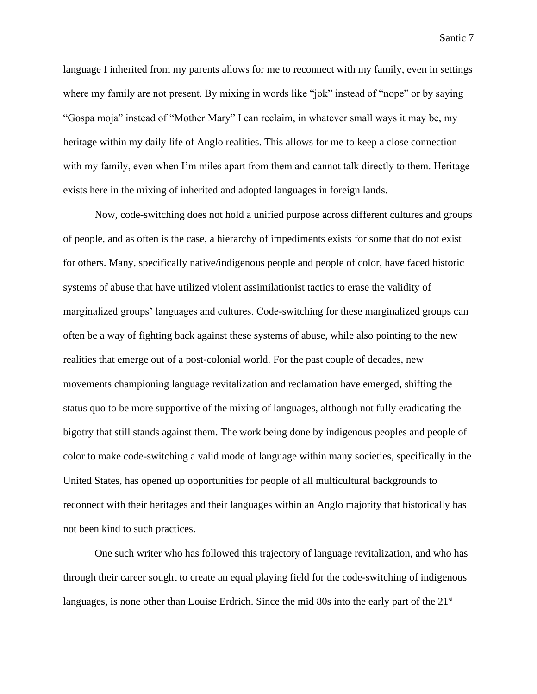language I inherited from my parents allows for me to reconnect with my family, even in settings where my family are not present. By mixing in words like "jok" instead of "nope" or by saying "Gospa moja" instead of "Mother Mary" I can reclaim, in whatever small ways it may be, my heritage within my daily life of Anglo realities. This allows for me to keep a close connection with my family, even when I'm miles apart from them and cannot talk directly to them. Heritage exists here in the mixing of inherited and adopted languages in foreign lands.

Now, code-switching does not hold a unified purpose across different cultures and groups of people, and as often is the case, a hierarchy of impediments exists for some that do not exist for others. Many, specifically native/indigenous people and people of color, have faced historic systems of abuse that have utilized violent assimilationist tactics to erase the validity of marginalized groups' languages and cultures. Code-switching for these marginalized groups can often be a way of fighting back against these systems of abuse, while also pointing to the new realities that emerge out of a post-colonial world. For the past couple of decades, new movements championing language revitalization and reclamation have emerged, shifting the status quo to be more supportive of the mixing of languages, although not fully eradicating the bigotry that still stands against them. The work being done by indigenous peoples and people of color to make code-switching a valid mode of language within many societies, specifically in the United States, has opened up opportunities for people of all multicultural backgrounds to reconnect with their heritages and their languages within an Anglo majority that historically has not been kind to such practices.

One such writer who has followed this trajectory of language revitalization, and who has through their career sought to create an equal playing field for the code-switching of indigenous languages, is none other than Louise Erdrich. Since the mid 80s into the early part of the 21<sup>st</sup>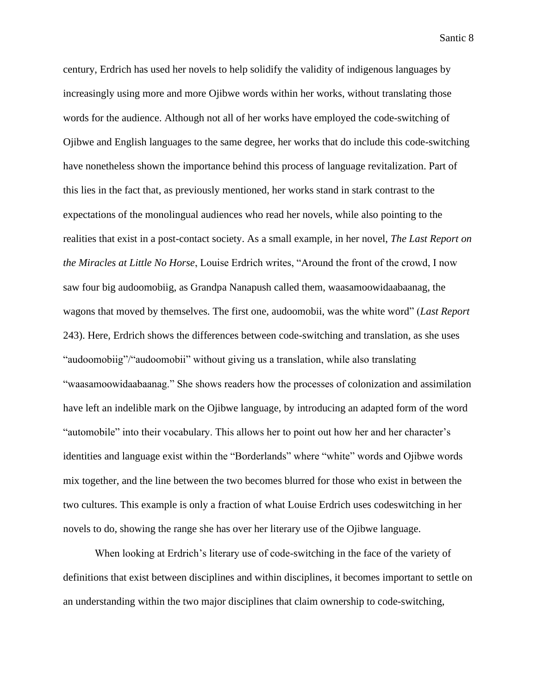century, Erdrich has used her novels to help solidify the validity of indigenous languages by increasingly using more and more Ojibwe words within her works, without translating those words for the audience. Although not all of her works have employed the code-switching of Ojibwe and English languages to the same degree, her works that do include this code-switching have nonetheless shown the importance behind this process of language revitalization. Part of this lies in the fact that, as previously mentioned, her works stand in stark contrast to the expectations of the monolingual audiences who read her novels, while also pointing to the realities that exist in a post-contact society. As a small example, in her novel, *The Last Report on the Miracles at Little No Horse*, Louise Erdrich writes, "Around the front of the crowd, I now saw four big audoomobiig, as Grandpa Nanapush called them, waasamoowidaabaanag, the wagons that moved by themselves. The first one, audoomobii, was the white word" (*Last Report*  243). Here, Erdrich shows the differences between code-switching and translation, as she uses "audoomobiig"/"audoomobii" without giving us a translation, while also translating "waasamoowidaabaanag." She shows readers how the processes of colonization and assimilation have left an indelible mark on the Ojibwe language, by introducing an adapted form of the word "automobile" into their vocabulary. This allows her to point out how her and her character's identities and language exist within the "Borderlands" where "white" words and Ojibwe words mix together, and the line between the two becomes blurred for those who exist in between the two cultures. This example is only a fraction of what Louise Erdrich uses codeswitching in her novels to do, showing the range she has over her literary use of the Ojibwe language.

When looking at Erdrich's literary use of code-switching in the face of the variety of definitions that exist between disciplines and within disciplines, it becomes important to settle on an understanding within the two major disciplines that claim ownership to code-switching,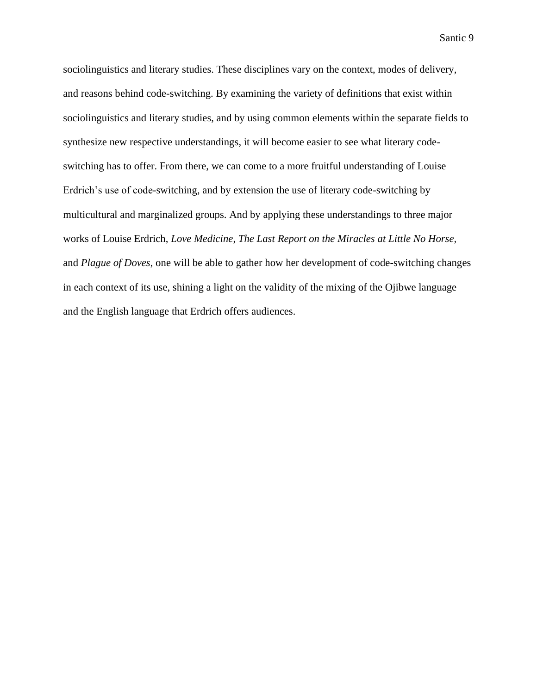sociolinguistics and literary studies. These disciplines vary on the context, modes of delivery, and reasons behind code-switching. By examining the variety of definitions that exist within sociolinguistics and literary studies, and by using common elements within the separate fields to synthesize new respective understandings, it will become easier to see what literary codeswitching has to offer. From there, we can come to a more fruitful understanding of Louise Erdrich's use of code-switching, and by extension the use of literary code-switching by multicultural and marginalized groups. And by applying these understandings to three major works of Louise Erdrich, *Love Medicine*, *The Last Report on the Miracles at Little No Horse,*  and *Plague of Doves*, one will be able to gather how her development of code-switching changes in each context of its use, shining a light on the validity of the mixing of the Ojibwe language and the English language that Erdrich offers audiences.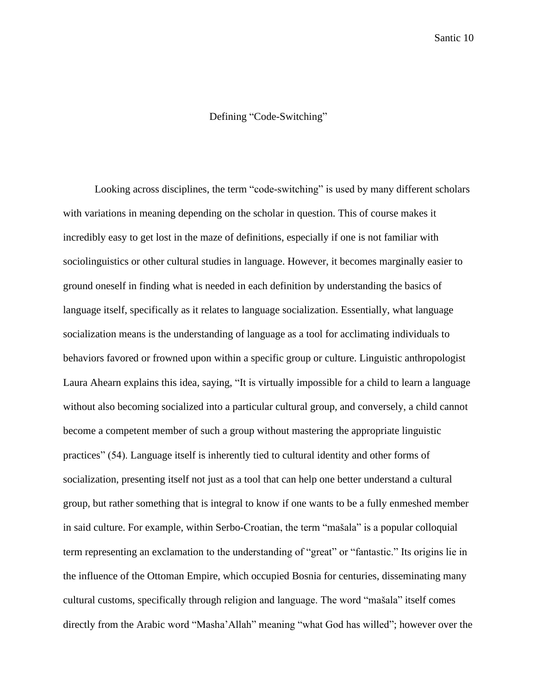# Defining "Code-Switching"

Looking across disciplines, the term "code-switching" is used by many different scholars with variations in meaning depending on the scholar in question. This of course makes it incredibly easy to get lost in the maze of definitions, especially if one is not familiar with sociolinguistics or other cultural studies in language. However, it becomes marginally easier to ground oneself in finding what is needed in each definition by understanding the basics of language itself, specifically as it relates to language socialization. Essentially, what language socialization means is the understanding of language as a tool for acclimating individuals to behaviors favored or frowned upon within a specific group or culture. Linguistic anthropologist Laura Ahearn explains this idea, saying, "It is virtually impossible for a child to learn a language without also becoming socialized into a particular cultural group, and conversely, a child cannot become a competent member of such a group without mastering the appropriate linguistic practices" (54). Language itself is inherently tied to cultural identity and other forms of socialization, presenting itself not just as a tool that can help one better understand a cultural group, but rather something that is integral to know if one wants to be a fully enmeshed member in said culture. For example, within Serbo-Croatian, the term "mašala" is a popular colloquial term representing an exclamation to the understanding of "great" or "fantastic." Its origins lie in the influence of the Ottoman Empire, which occupied Bosnia for centuries, disseminating many cultural customs, specifically through religion and language. The word "mašala" itself comes directly from the Arabic word "Masha'Allah" meaning "what God has willed"; however over the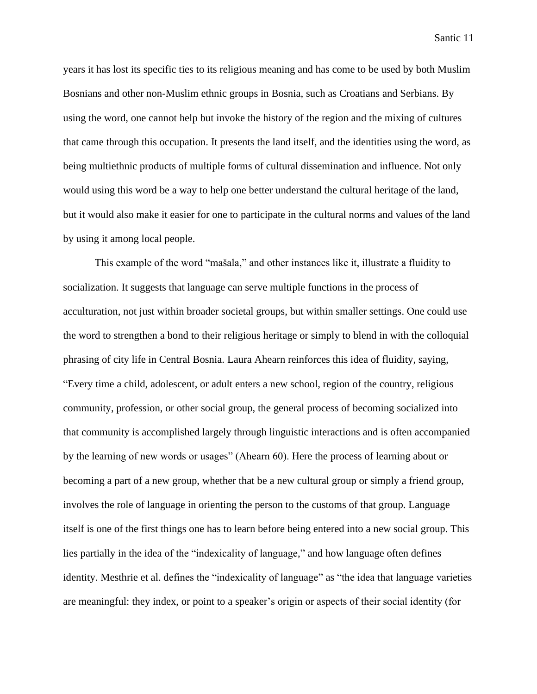years it has lost its specific ties to its religious meaning and has come to be used by both Muslim Bosnians and other non-Muslim ethnic groups in Bosnia, such as Croatians and Serbians. By using the word, one cannot help but invoke the history of the region and the mixing of cultures that came through this occupation. It presents the land itself, and the identities using the word, as being multiethnic products of multiple forms of cultural dissemination and influence. Not only would using this word be a way to help one better understand the cultural heritage of the land, but it would also make it easier for one to participate in the cultural norms and values of the land by using it among local people.

This example of the word "mašala," and other instances like it, illustrate a fluidity to socialization. It suggests that language can serve multiple functions in the process of acculturation, not just within broader societal groups, but within smaller settings. One could use the word to strengthen a bond to their religious heritage or simply to blend in with the colloquial phrasing of city life in Central Bosnia. Laura Ahearn reinforces this idea of fluidity, saying, "Every time a child, adolescent, or adult enters a new school, region of the country, religious community, profession, or other social group, the general process of becoming socialized into that community is accomplished largely through linguistic interactions and is often accompanied by the learning of new words or usages" (Ahearn 60). Here the process of learning about or becoming a part of a new group, whether that be a new cultural group or simply a friend group, involves the role of language in orienting the person to the customs of that group. Language itself is one of the first things one has to learn before being entered into a new social group. This lies partially in the idea of the "indexicality of language," and how language often defines identity. Mesthrie et al. defines the "indexicality of language" as "the idea that language varieties are meaningful: they index, or point to a speaker's origin or aspects of their social identity (for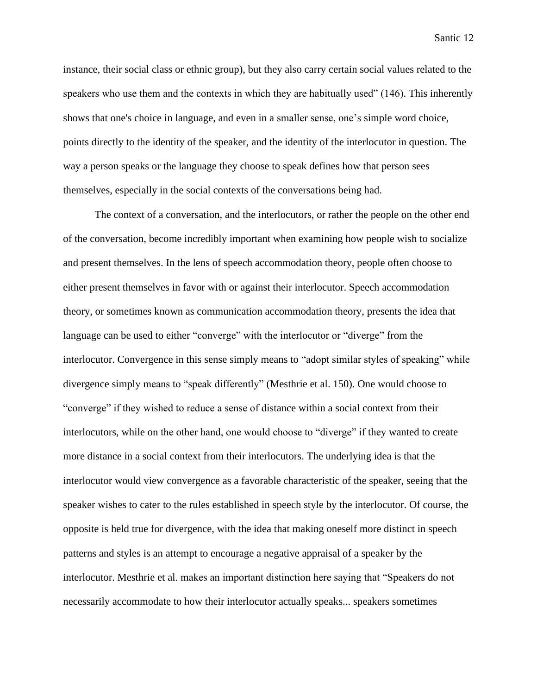instance, their social class or ethnic group), but they also carry certain social values related to the speakers who use them and the contexts in which they are habitually used" (146). This inherently shows that one's choice in language, and even in a smaller sense, one's simple word choice, points directly to the identity of the speaker, and the identity of the interlocutor in question. The way a person speaks or the language they choose to speak defines how that person sees themselves, especially in the social contexts of the conversations being had.

The context of a conversation, and the interlocutors, or rather the people on the other end of the conversation, become incredibly important when examining how people wish to socialize and present themselves. In the lens of speech accommodation theory, people often choose to either present themselves in favor with or against their interlocutor. Speech accommodation theory, or sometimes known as communication accommodation theory, presents the idea that language can be used to either "converge" with the interlocutor or "diverge" from the interlocutor. Convergence in this sense simply means to "adopt similar styles of speaking" while divergence simply means to "speak differently" (Mesthrie et al. 150). One would choose to "converge" if they wished to reduce a sense of distance within a social context from their interlocutors, while on the other hand, one would choose to "diverge" if they wanted to create more distance in a social context from their interlocutors. The underlying idea is that the interlocutor would view convergence as a favorable characteristic of the speaker, seeing that the speaker wishes to cater to the rules established in speech style by the interlocutor. Of course, the opposite is held true for divergence, with the idea that making oneself more distinct in speech patterns and styles is an attempt to encourage a negative appraisal of a speaker by the interlocutor. Mesthrie et al. makes an important distinction here saying that "Speakers do not necessarily accommodate to how their interlocutor actually speaks... speakers sometimes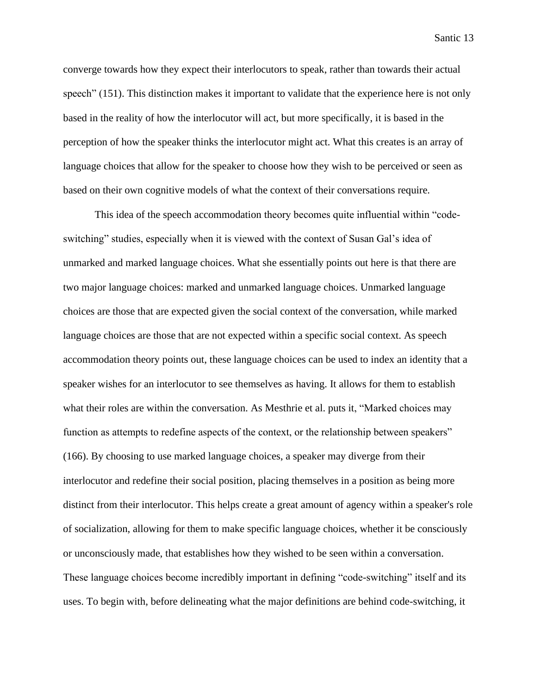converge towards how they expect their interlocutors to speak, rather than towards their actual speech" (151). This distinction makes it important to validate that the experience here is not only based in the reality of how the interlocutor will act, but more specifically, it is based in the perception of how the speaker thinks the interlocutor might act. What this creates is an array of language choices that allow for the speaker to choose how they wish to be perceived or seen as based on their own cognitive models of what the context of their conversations require.

This idea of the speech accommodation theory becomes quite influential within "codeswitching" studies, especially when it is viewed with the context of Susan Gal's idea of unmarked and marked language choices. What she essentially points out here is that there are two major language choices: marked and unmarked language choices. Unmarked language choices are those that are expected given the social context of the conversation, while marked language choices are those that are not expected within a specific social context. As speech accommodation theory points out, these language choices can be used to index an identity that a speaker wishes for an interlocutor to see themselves as having. It allows for them to establish what their roles are within the conversation. As Mesthrie et al. puts it, "Marked choices may function as attempts to redefine aspects of the context, or the relationship between speakers" (166). By choosing to use marked language choices, a speaker may diverge from their interlocutor and redefine their social position, placing themselves in a position as being more distinct from their interlocutor. This helps create a great amount of agency within a speaker's role of socialization, allowing for them to make specific language choices, whether it be consciously or unconsciously made, that establishes how they wished to be seen within a conversation. These language choices become incredibly important in defining "code-switching" itself and its uses. To begin with, before delineating what the major definitions are behind code-switching, it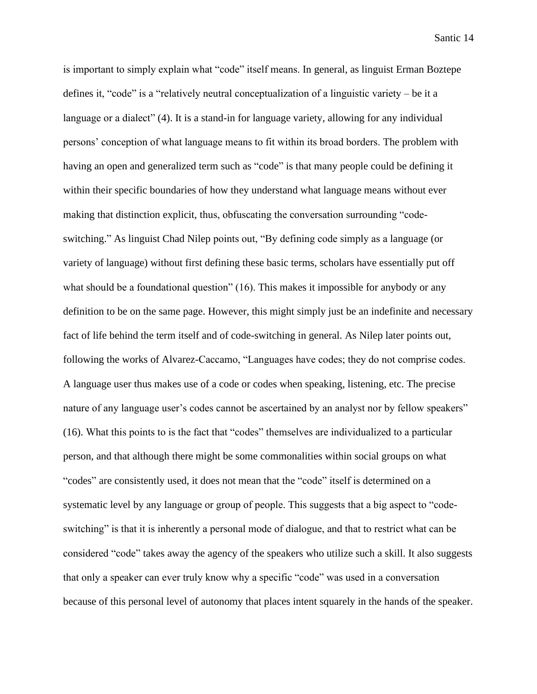is important to simply explain what "code" itself means. In general, as linguist Erman Boztepe defines it, "code" is a "relatively neutral conceptualization of a linguistic variety – be it a language or a dialect" (4). It is a stand-in for language variety, allowing for any individual persons' conception of what language means to fit within its broad borders. The problem with having an open and generalized term such as "code" is that many people could be defining it within their specific boundaries of how they understand what language means without ever making that distinction explicit, thus, obfuscating the conversation surrounding "codeswitching." As linguist Chad Nilep points out, "By defining code simply as a language (or variety of language) without first defining these basic terms, scholars have essentially put off what should be a foundational question" (16). This makes it impossible for anybody or any definition to be on the same page. However, this might simply just be an indefinite and necessary fact of life behind the term itself and of code-switching in general. As Nilep later points out, following the works of Alvarez-Caccamo, "Languages have codes; they do not comprise codes. A language user thus makes use of a code or codes when speaking, listening, etc. The precise nature of any language user's codes cannot be ascertained by an analyst nor by fellow speakers" (16). What this points to is the fact that "codes" themselves are individualized to a particular person, and that although there might be some commonalities within social groups on what "codes" are consistently used, it does not mean that the "code" itself is determined on a systematic level by any language or group of people. This suggests that a big aspect to "codeswitching" is that it is inherently a personal mode of dialogue, and that to restrict what can be considered "code" takes away the agency of the speakers who utilize such a skill. It also suggests that only a speaker can ever truly know why a specific "code" was used in a conversation because of this personal level of autonomy that places intent squarely in the hands of the speaker.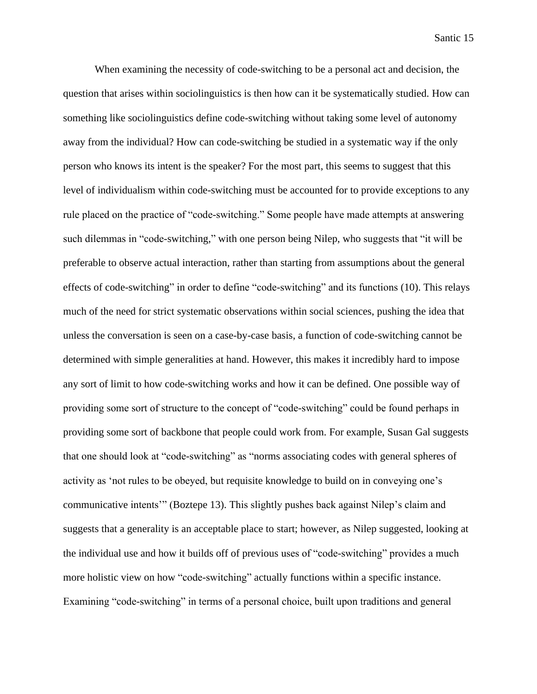When examining the necessity of code-switching to be a personal act and decision, the question that arises within sociolinguistics is then how can it be systematically studied. How can something like sociolinguistics define code-switching without taking some level of autonomy away from the individual? How can code-switching be studied in a systematic way if the only person who knows its intent is the speaker? For the most part, this seems to suggest that this level of individualism within code-switching must be accounted for to provide exceptions to any rule placed on the practice of "code-switching." Some people have made attempts at answering such dilemmas in "code-switching," with one person being Nilep, who suggests that "it will be preferable to observe actual interaction, rather than starting from assumptions about the general effects of code-switching" in order to define "code-switching" and its functions (10). This relays much of the need for strict systematic observations within social sciences, pushing the idea that unless the conversation is seen on a case-by-case basis, a function of code-switching cannot be determined with simple generalities at hand. However, this makes it incredibly hard to impose any sort of limit to how code-switching works and how it can be defined. One possible way of providing some sort of structure to the concept of "code-switching" could be found perhaps in providing some sort of backbone that people could work from. For example, Susan Gal suggests that one should look at "code-switching" as "norms associating codes with general spheres of activity as 'not rules to be obeyed, but requisite knowledge to build on in conveying one's communicative intents'" (Boztepe 13). This slightly pushes back against Nilep's claim and suggests that a generality is an acceptable place to start; however, as Nilep suggested, looking at the individual use and how it builds off of previous uses of "code-switching" provides a much more holistic view on how "code-switching" actually functions within a specific instance. Examining "code-switching" in terms of a personal choice, built upon traditions and general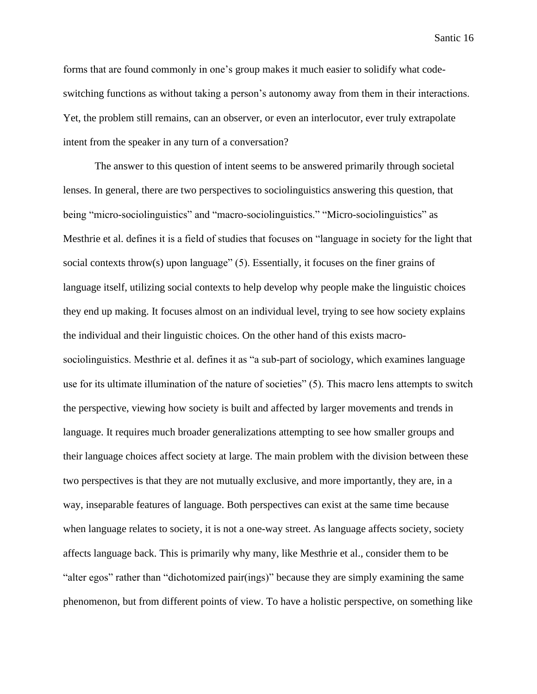forms that are found commonly in one's group makes it much easier to solidify what codeswitching functions as without taking a person's autonomy away from them in their interactions. Yet, the problem still remains, can an observer, or even an interlocutor, ever truly extrapolate intent from the speaker in any turn of a conversation?

The answer to this question of intent seems to be answered primarily through societal lenses. In general, there are two perspectives to sociolinguistics answering this question, that being "micro-sociolinguistics" and "macro-sociolinguistics." "Micro-sociolinguistics" as Mesthrie et al. defines it is a field of studies that focuses on "language in society for the light that social contexts throw(s) upon language" (5). Essentially, it focuses on the finer grains of language itself, utilizing social contexts to help develop why people make the linguistic choices they end up making. It focuses almost on an individual level, trying to see how society explains the individual and their linguistic choices. On the other hand of this exists macrosociolinguistics. Mesthrie et al. defines it as "a sub-part of sociology, which examines language use for its ultimate illumination of the nature of societies" (5). This macro lens attempts to switch the perspective, viewing how society is built and affected by larger movements and trends in language. It requires much broader generalizations attempting to see how smaller groups and their language choices affect society at large. The main problem with the division between these two perspectives is that they are not mutually exclusive, and more importantly, they are, in a way, inseparable features of language. Both perspectives can exist at the same time because when language relates to society, it is not a one-way street. As language affects society, society affects language back. This is primarily why many, like Mesthrie et al., consider them to be "alter egos" rather than "dichotomized pair(ings)" because they are simply examining the same phenomenon, but from different points of view. To have a holistic perspective, on something like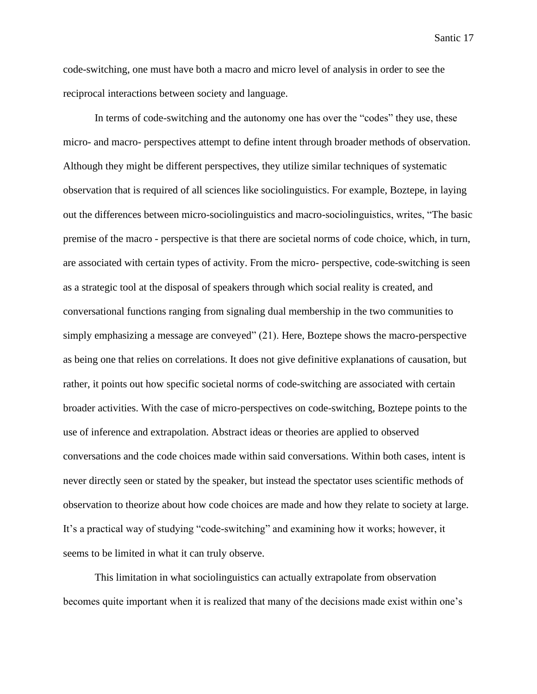code-switching, one must have both a macro and micro level of analysis in order to see the reciprocal interactions between society and language.

In terms of code-switching and the autonomy one has over the "codes" they use, these micro- and macro- perspectives attempt to define intent through broader methods of observation. Although they might be different perspectives, they utilize similar techniques of systematic observation that is required of all sciences like sociolinguistics. For example, Boztepe, in laying out the differences between micro-sociolinguistics and macro-sociolinguistics, writes, "The basic premise of the macro - perspective is that there are societal norms of code choice, which, in turn, are associated with certain types of activity. From the micro- perspective, code-switching is seen as a strategic tool at the disposal of speakers through which social reality is created, and conversational functions ranging from signaling dual membership in the two communities to simply emphasizing a message are conveyed" (21). Here, Boztepe shows the macro-perspective as being one that relies on correlations. It does not give definitive explanations of causation, but rather, it points out how specific societal norms of code-switching are associated with certain broader activities. With the case of micro-perspectives on code-switching, Boztepe points to the use of inference and extrapolation. Abstract ideas or theories are applied to observed conversations and the code choices made within said conversations. Within both cases, intent is never directly seen or stated by the speaker, but instead the spectator uses scientific methods of observation to theorize about how code choices are made and how they relate to society at large. It's a practical way of studying "code-switching" and examining how it works; however, it seems to be limited in what it can truly observe.

This limitation in what sociolinguistics can actually extrapolate from observation becomes quite important when it is realized that many of the decisions made exist within one's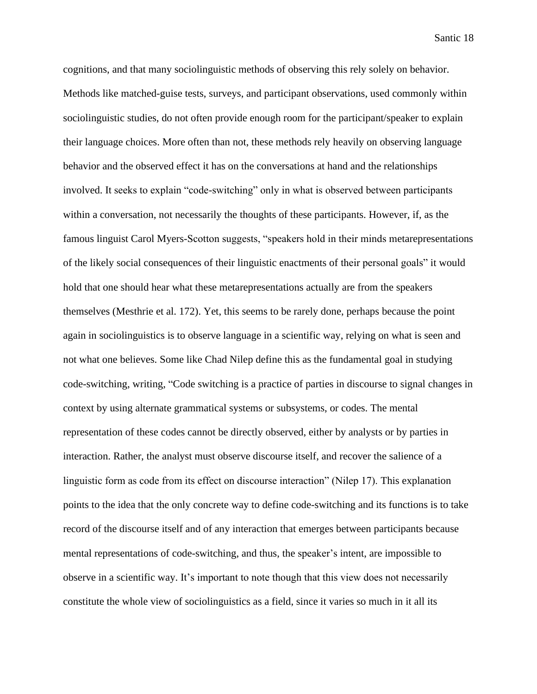cognitions, and that many sociolinguistic methods of observing this rely solely on behavior. Methods like matched-guise tests, surveys, and participant observations, used commonly within sociolinguistic studies, do not often provide enough room for the participant/speaker to explain their language choices. More often than not, these methods rely heavily on observing language behavior and the observed effect it has on the conversations at hand and the relationships involved. It seeks to explain "code-switching" only in what is observed between participants within a conversation, not necessarily the thoughts of these participants. However, if, as the famous linguist Carol Myers-Scotton suggests, "speakers hold in their minds metarepresentations of the likely social consequences of their linguistic enactments of their personal goals" it would hold that one should hear what these metarepresentations actually are from the speakers themselves (Mesthrie et al. 172). Yet, this seems to be rarely done, perhaps because the point again in sociolinguistics is to observe language in a scientific way, relying on what is seen and not what one believes. Some like Chad Nilep define this as the fundamental goal in studying code-switching, writing, "Code switching is a practice of parties in discourse to signal changes in context by using alternate grammatical systems or subsystems, or codes. The mental representation of these codes cannot be directly observed, either by analysts or by parties in interaction. Rather, the analyst must observe discourse itself, and recover the salience of a linguistic form as code from its effect on discourse interaction" (Nilep 17). This explanation points to the idea that the only concrete way to define code-switching and its functions is to take record of the discourse itself and of any interaction that emerges between participants because mental representations of code-switching, and thus, the speaker's intent, are impossible to observe in a scientific way. It's important to note though that this view does not necessarily constitute the whole view of sociolinguistics as a field, since it varies so much in it all its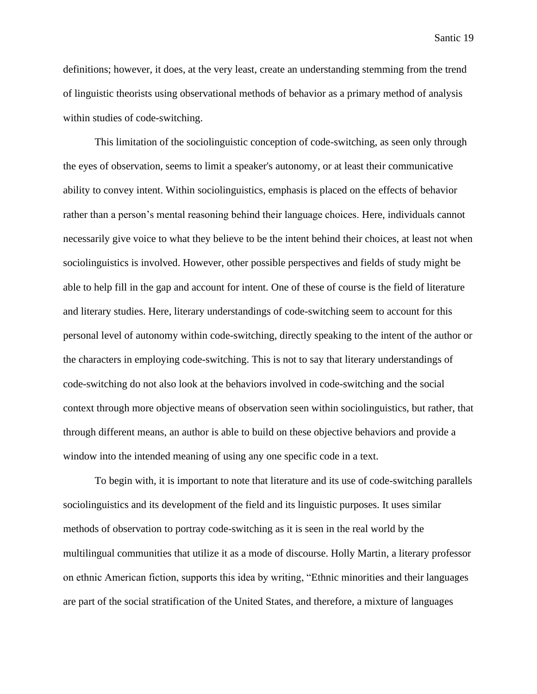definitions; however, it does, at the very least, create an understanding stemming from the trend of linguistic theorists using observational methods of behavior as a primary method of analysis within studies of code-switching.

This limitation of the sociolinguistic conception of code-switching, as seen only through the eyes of observation, seems to limit a speaker's autonomy, or at least their communicative ability to convey intent. Within sociolinguistics, emphasis is placed on the effects of behavior rather than a person's mental reasoning behind their language choices. Here, individuals cannot necessarily give voice to what they believe to be the intent behind their choices, at least not when sociolinguistics is involved. However, other possible perspectives and fields of study might be able to help fill in the gap and account for intent. One of these of course is the field of literature and literary studies. Here, literary understandings of code-switching seem to account for this personal level of autonomy within code-switching, directly speaking to the intent of the author or the characters in employing code-switching. This is not to say that literary understandings of code-switching do not also look at the behaviors involved in code-switching and the social context through more objective means of observation seen within sociolinguistics, but rather, that through different means, an author is able to build on these objective behaviors and provide a window into the intended meaning of using any one specific code in a text.

To begin with, it is important to note that literature and its use of code-switching parallels sociolinguistics and its development of the field and its linguistic purposes. It uses similar methods of observation to portray code-switching as it is seen in the real world by the multilingual communities that utilize it as a mode of discourse. Holly Martin, a literary professor on ethnic American fiction, supports this idea by writing, "Ethnic minorities and their languages are part of the social stratification of the United States, and therefore, a mixture of languages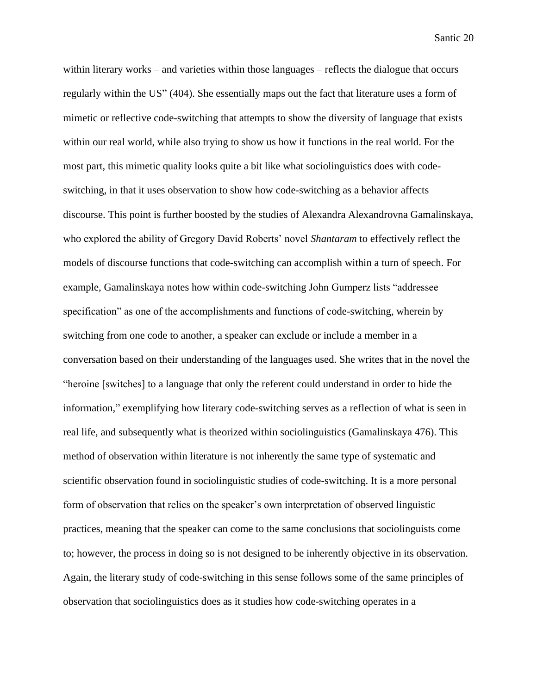within literary works – and varieties within those languages – reflects the dialogue that occurs regularly within the US" (404). She essentially maps out the fact that literature uses a form of mimetic or reflective code-switching that attempts to show the diversity of language that exists within our real world, while also trying to show us how it functions in the real world. For the most part, this mimetic quality looks quite a bit like what sociolinguistics does with codeswitching, in that it uses observation to show how code-switching as a behavior affects discourse. This point is further boosted by the studies of Alexandra Alexandrovna Gamalinskaya, who explored the ability of Gregory David Roberts' novel *Shantaram* to effectively reflect the models of discourse functions that code-switching can accomplish within a turn of speech. For example, Gamalinskaya notes how within code-switching John Gumperz lists "addressee specification" as one of the accomplishments and functions of code-switching, wherein by switching from one code to another, a speaker can exclude or include a member in a conversation based on their understanding of the languages used. She writes that in the novel the "heroine [switches] to a language that only the referent could understand in order to hide the information," exemplifying how literary code-switching serves as a reflection of what is seen in real life, and subsequently what is theorized within sociolinguistics (Gamalinskaya 476). This method of observation within literature is not inherently the same type of systematic and scientific observation found in sociolinguistic studies of code-switching. It is a more personal form of observation that relies on the speaker's own interpretation of observed linguistic practices, meaning that the speaker can come to the same conclusions that sociolinguists come to; however, the process in doing so is not designed to be inherently objective in its observation. Again, the literary study of code-switching in this sense follows some of the same principles of observation that sociolinguistics does as it studies how code-switching operates in a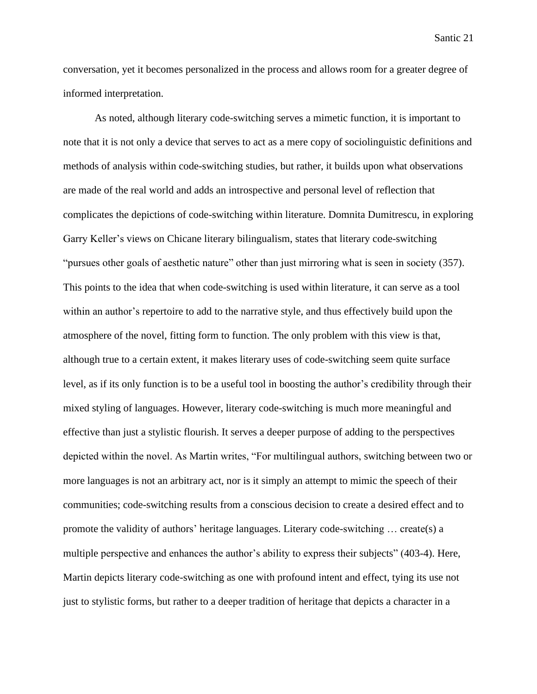conversation, yet it becomes personalized in the process and allows room for a greater degree of informed interpretation.

As noted, although literary code-switching serves a mimetic function, it is important to note that it is not only a device that serves to act as a mere copy of sociolinguistic definitions and methods of analysis within code-switching studies, but rather, it builds upon what observations are made of the real world and adds an introspective and personal level of reflection that complicates the depictions of code-switching within literature. Domnita Dumitrescu, in exploring Garry Keller's views on Chicane literary bilingualism, states that literary code-switching "pursues other goals of aesthetic nature" other than just mirroring what is seen in society (357). This points to the idea that when code-switching is used within literature, it can serve as a tool within an author's repertoire to add to the narrative style, and thus effectively build upon the atmosphere of the novel, fitting form to function. The only problem with this view is that, although true to a certain extent, it makes literary uses of code-switching seem quite surface level, as if its only function is to be a useful tool in boosting the author's credibility through their mixed styling of languages. However, literary code-switching is much more meaningful and effective than just a stylistic flourish. It serves a deeper purpose of adding to the perspectives depicted within the novel. As Martin writes, "For multilingual authors, switching between two or more languages is not an arbitrary act, nor is it simply an attempt to mimic the speech of their communities; code-switching results from a conscious decision to create a desired effect and to promote the validity of authors' heritage languages. Literary code-switching … create(s) a multiple perspective and enhances the author's ability to express their subjects" (403-4). Here, Martin depicts literary code-switching as one with profound intent and effect, tying its use not just to stylistic forms, but rather to a deeper tradition of heritage that depicts a character in a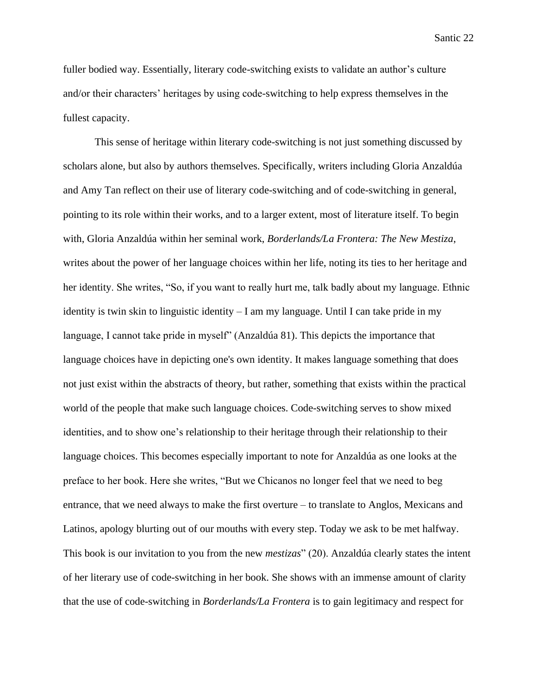fuller bodied way. Essentially, literary code-switching exists to validate an author's culture and/or their characters' heritages by using code-switching to help express themselves in the fullest capacity.

This sense of heritage within literary code-switching is not just something discussed by scholars alone, but also by authors themselves. Specifically, writers including Gloria Anzaldúa and Amy Tan reflect on their use of literary code-switching and of code-switching in general, pointing to its role within their works, and to a larger extent, most of literature itself. To begin with, Gloria Anzaldúa within her seminal work, *Borderlands/La Frontera: The New Mestiza*, writes about the power of her language choices within her life, noting its ties to her heritage and her identity. She writes, "So, if you want to really hurt me, talk badly about my language. Ethnic identity is twin skin to linguistic identity  $-I$  am my language. Until I can take pride in my language, I cannot take pride in myself" (Anzaldúa 81). This depicts the importance that language choices have in depicting one's own identity. It makes language something that does not just exist within the abstracts of theory, but rather, something that exists within the practical world of the people that make such language choices. Code-switching serves to show mixed identities, and to show one's relationship to their heritage through their relationship to their language choices. This becomes especially important to note for Anzaldúa as one looks at the preface to her book. Here she writes, "But we Chicanos no longer feel that we need to beg entrance, that we need always to make the first overture – to translate to Anglos, Mexicans and Latinos, apology blurting out of our mouths with every step. Today we ask to be met halfway. This book is our invitation to you from the new *mestizas*" (20). Anzaldúa clearly states the intent of her literary use of code-switching in her book. She shows with an immense amount of clarity that the use of code-switching in *Borderlands/La Frontera* is to gain legitimacy and respect for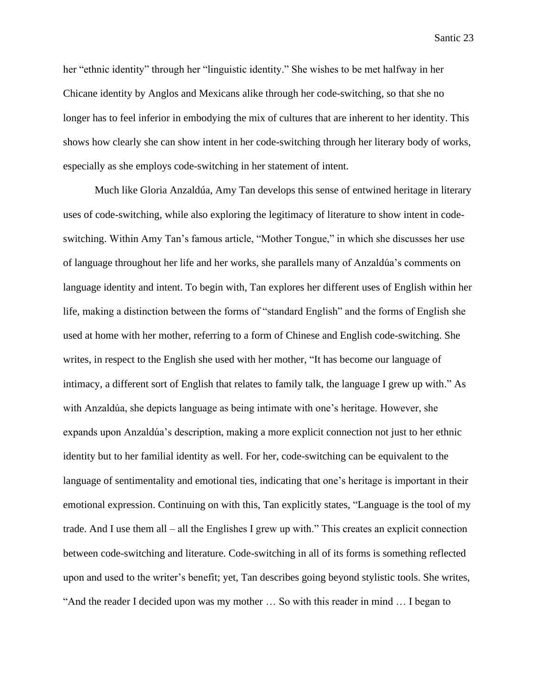her "ethnic identity" through her "linguistic identity." She wishes to be met halfway in her Chicane identity by Anglos and Mexicans alike through her code-switching, so that she no longer has to feel inferior in embodying the mix of cultures that are inherent to her identity. This shows how clearly she can show intent in her code-switching through her literary body of works, especially as she employs code-switching in her statement of intent.

Much like Gloria Anzaldúa, Amy Tan develops this sense of entwined heritage in literary uses of code-switching, while also exploring the legitimacy of literature to show intent in codeswitching. Within Amy Tan's famous article, "Mother Tongue," in which she discusses her use of language throughout her life and her works, she parallels many of Anzaldúa's comments on language identity and intent. To begin with, Tan explores her different uses of English within her life, making a distinction between the forms of "standard English" and the forms of English she used at home with her mother, referring to a form of Chinese and English code-switching. She writes, in respect to the English she used with her mother, "It has become our language of intimacy, a different sort of English that relates to family talk, the language I grew up with." As with Anzaldúa, she depicts language as being intimate with one's heritage. However, she expands upon Anzaldúa's description, making a more explicit connection not just to her ethnic identity but to her familial identity as well. For her, code-switching can be equivalent to the language of sentimentality and emotional ties, indicating that one's heritage is important in their emotional expression. Continuing on with this, Tan explicitly states, "Language is the tool of my trade. And I use them all – all the Englishes I grew up with." This creates an explicit connection between code-switching and literature. Code-switching in all of its forms is something reflected upon and used to the writer's benefit; yet, Tan describes going beyond stylistic tools. She writes, "And the reader I decided upon was my mother … So with this reader in mind … I began to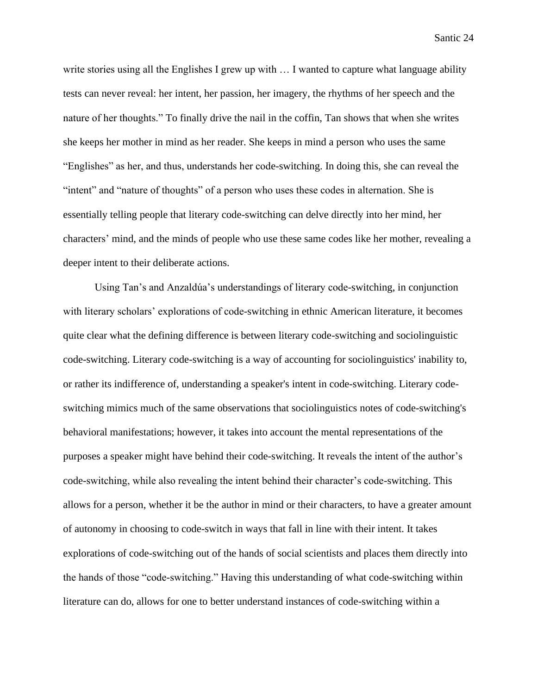write stories using all the Englishes I grew up with  $\dots$  I wanted to capture what language ability tests can never reveal: her intent, her passion, her imagery, the rhythms of her speech and the nature of her thoughts." To finally drive the nail in the coffin, Tan shows that when she writes she keeps her mother in mind as her reader. She keeps in mind a person who uses the same "Englishes" as her, and thus, understands her code-switching. In doing this, she can reveal the "intent" and "nature of thoughts" of a person who uses these codes in alternation. She is essentially telling people that literary code-switching can delve directly into her mind, her characters' mind, and the minds of people who use these same codes like her mother, revealing a deeper intent to their deliberate actions.

Using Tan's and Anzaldúa's understandings of literary code-switching, in conjunction with literary scholars' explorations of code-switching in ethnic American literature, it becomes quite clear what the defining difference is between literary code-switching and sociolinguistic code-switching. Literary code-switching is a way of accounting for sociolinguistics' inability to, or rather its indifference of, understanding a speaker's intent in code-switching. Literary codeswitching mimics much of the same observations that sociolinguistics notes of code-switching's behavioral manifestations; however, it takes into account the mental representations of the purposes a speaker might have behind their code-switching. It reveals the intent of the author's code-switching, while also revealing the intent behind their character's code-switching. This allows for a person, whether it be the author in mind or their characters, to have a greater amount of autonomy in choosing to code-switch in ways that fall in line with their intent. It takes explorations of code-switching out of the hands of social scientists and places them directly into the hands of those "code-switching." Having this understanding of what code-switching within literature can do, allows for one to better understand instances of code-switching within a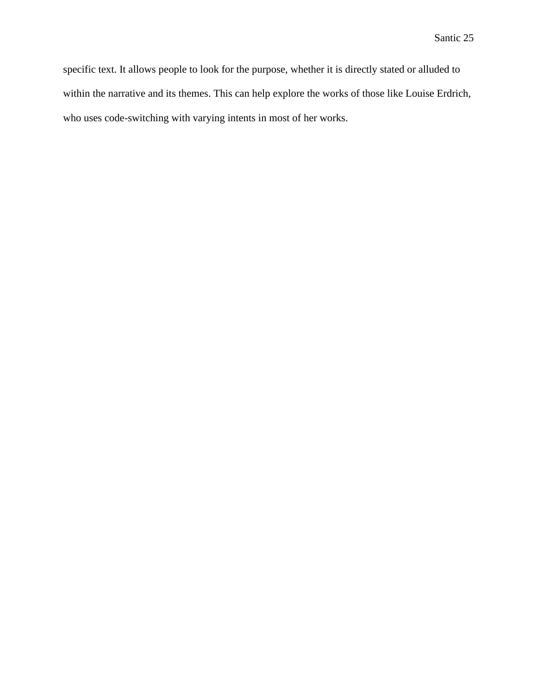specific text. It allows people to look for the purpose, whether it is directly stated or alluded to within the narrative and its themes. This can help explore the works of those like Louise Erdrich, who uses code-switching with varying intents in most of her works.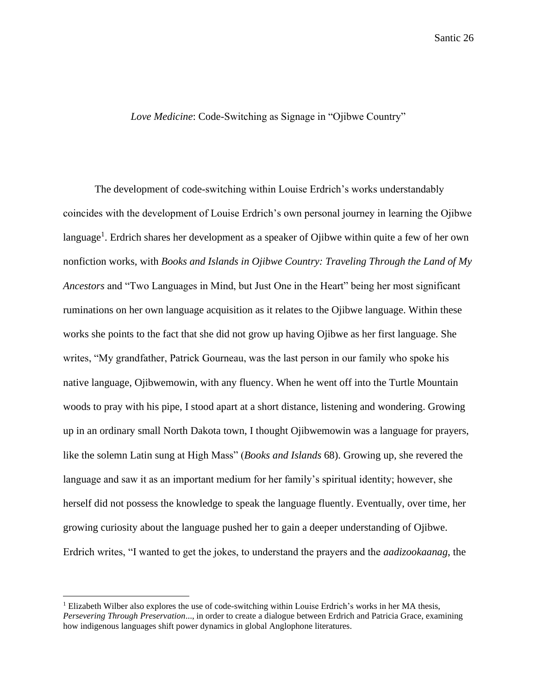# *Love Medicine*: Code-Switching as Signage in "Ojibwe Country"

The development of code-switching within Louise Erdrich's works understandably coincides with the development of Louise Erdrich's own personal journey in learning the Ojibwe language<sup>1</sup>. Erdrich shares her development as a speaker of Ojibwe within quite a few of her own nonfiction works, with *Books and Islands in Ojibwe Country: Traveling Through the Land of My Ancestors* and "Two Languages in Mind, but Just One in the Heart" being her most significant ruminations on her own language acquisition as it relates to the Ojibwe language. Within these works she points to the fact that she did not grow up having Ojibwe as her first language. She writes, "My grandfather, Patrick Gourneau, was the last person in our family who spoke his native language, Ojibwemowin, with any fluency. When he went off into the Turtle Mountain woods to pray with his pipe, I stood apart at a short distance, listening and wondering. Growing up in an ordinary small North Dakota town, I thought Ojibwemowin was a language for prayers, like the solemn Latin sung at High Mass" (*Books and Islands* 68). Growing up, she revered the language and saw it as an important medium for her family's spiritual identity; however, she herself did not possess the knowledge to speak the language fluently. Eventually, over time, her growing curiosity about the language pushed her to gain a deeper understanding of Ojibwe. Erdrich writes, "I wanted to get the jokes, to understand the prayers and the *aadizookaanag*, the

 $<sup>1</sup>$  Elizabeth Wilber also explores the use of code-switching within Louise Erdrich's works in her MA thesis,</sup> *Persevering Through Preservation*..., in order to create a dialogue between Erdrich and Patricia Grace, examining how indigenous languages shift power dynamics in global Anglophone literatures.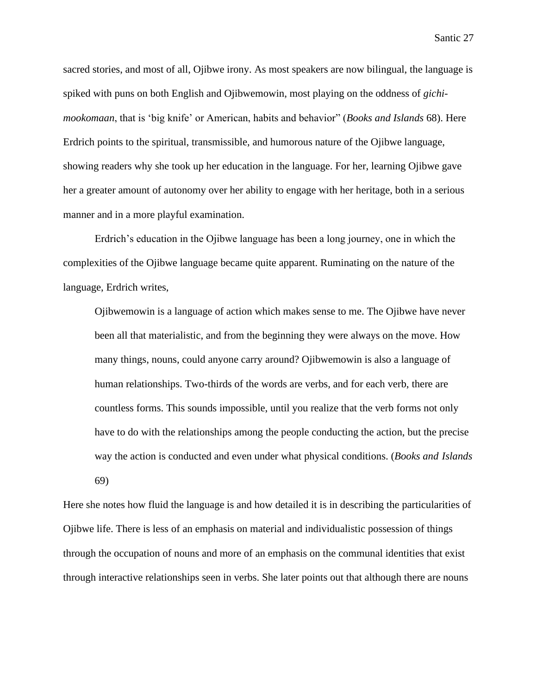sacred stories, and most of all, Ojibwe irony. As most speakers are now bilingual, the language is spiked with puns on both English and Ojibwemowin, most playing on the oddness of *gichimookomaan*, that is 'big knife' or American, habits and behavior" (*Books and Islands* 68). Here Erdrich points to the spiritual, transmissible, and humorous nature of the Ojibwe language, showing readers why she took up her education in the language. For her, learning Ojibwe gave her a greater amount of autonomy over her ability to engage with her heritage, both in a serious manner and in a more playful examination.

Erdrich's education in the Ojibwe language has been a long journey, one in which the complexities of the Ojibwe language became quite apparent. Ruminating on the nature of the language, Erdrich writes,

Ojibwemowin is a language of action which makes sense to me. The Ojibwe have never been all that materialistic, and from the beginning they were always on the move. How many things, nouns, could anyone carry around? Ojibwemowin is also a language of human relationships. Two-thirds of the words are verbs, and for each verb, there are countless forms. This sounds impossible, until you realize that the verb forms not only have to do with the relationships among the people conducting the action, but the precise way the action is conducted and even under what physical conditions. (*Books and Islands* 69)

Here she notes how fluid the language is and how detailed it is in describing the particularities of Ojibwe life. There is less of an emphasis on material and individualistic possession of things through the occupation of nouns and more of an emphasis on the communal identities that exist through interactive relationships seen in verbs. She later points out that although there are nouns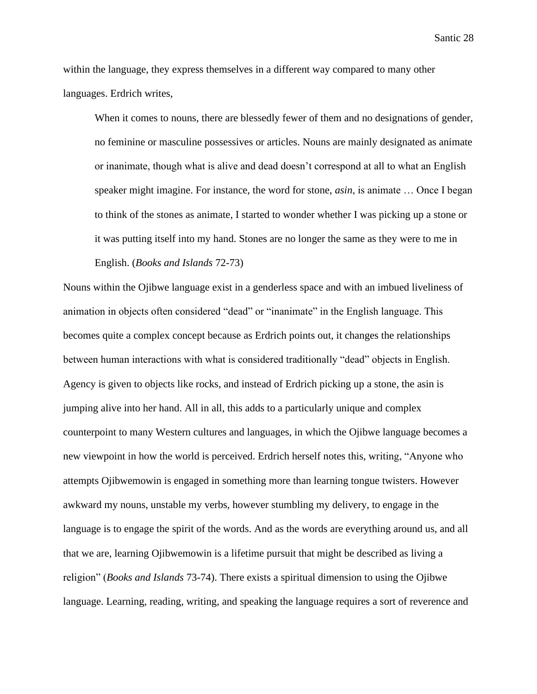within the language, they express themselves in a different way compared to many other languages. Erdrich writes,

When it comes to nouns, there are blessedly fewer of them and no designations of gender, no feminine or masculine possessives or articles. Nouns are mainly designated as animate or inanimate, though what is alive and dead doesn't correspond at all to what an English speaker might imagine. For instance, the word for stone, *asin*, is animate … Once I began to think of the stones as animate, I started to wonder whether I was picking up a stone or it was putting itself into my hand. Stones are no longer the same as they were to me in English. (*Books and Islands* 72-73)

Nouns within the Ojibwe language exist in a genderless space and with an imbued liveliness of animation in objects often considered "dead" or "inanimate" in the English language. This becomes quite a complex concept because as Erdrich points out, it changes the relationships between human interactions with what is considered traditionally "dead" objects in English. Agency is given to objects like rocks, and instead of Erdrich picking up a stone, the asin is jumping alive into her hand. All in all, this adds to a particularly unique and complex counterpoint to many Western cultures and languages, in which the Ojibwe language becomes a new viewpoint in how the world is perceived. Erdrich herself notes this, writing, "Anyone who attempts Ojibwemowin is engaged in something more than learning tongue twisters. However awkward my nouns, unstable my verbs, however stumbling my delivery, to engage in the language is to engage the spirit of the words. And as the words are everything around us, and all that we are, learning Ojibwemowin is a lifetime pursuit that might be described as living a religion" (*Books and Islands* 73-74). There exists a spiritual dimension to using the Ojibwe language. Learning, reading, writing, and speaking the language requires a sort of reverence and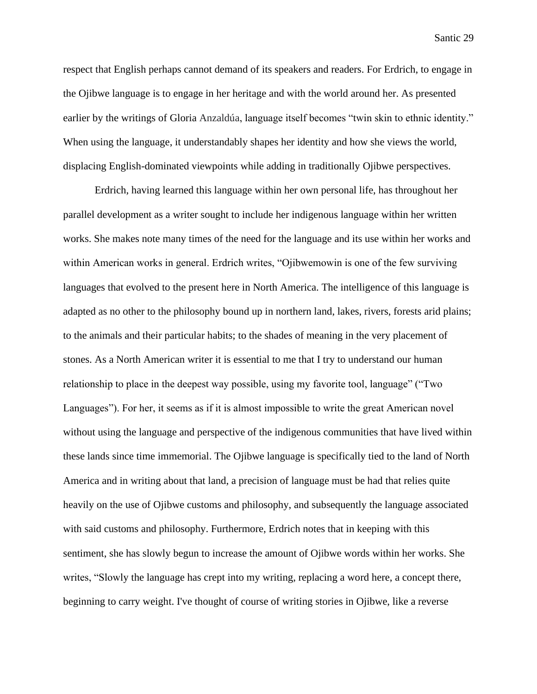respect that English perhaps cannot demand of its speakers and readers. For Erdrich, to engage in the Ojibwe language is to engage in her heritage and with the world around her. As presented earlier by the writings of Gloria Anzaldúa, language itself becomes "twin skin to ethnic identity." When using the language, it understandably shapes her identity and how she views the world, displacing English-dominated viewpoints while adding in traditionally Ojibwe perspectives.

Erdrich, having learned this language within her own personal life, has throughout her parallel development as a writer sought to include her indigenous language within her written works. She makes note many times of the need for the language and its use within her works and within American works in general. Erdrich writes, "Ojibwemowin is one of the few surviving languages that evolved to the present here in North America. The intelligence of this language is adapted as no other to the philosophy bound up in northern land, lakes, rivers, forests arid plains; to the animals and their particular habits; to the shades of meaning in the very placement of stones. As a North American writer it is essential to me that I try to understand our human relationship to place in the deepest way possible, using my favorite tool, language" ("Two Languages"). For her, it seems as if it is almost impossible to write the great American novel without using the language and perspective of the indigenous communities that have lived within these lands since time immemorial. The Ojibwe language is specifically tied to the land of North America and in writing about that land, a precision of language must be had that relies quite heavily on the use of Ojibwe customs and philosophy, and subsequently the language associated with said customs and philosophy. Furthermore, Erdrich notes that in keeping with this sentiment, she has slowly begun to increase the amount of Ojibwe words within her works. She writes, "Slowly the language has crept into my writing, replacing a word here, a concept there, beginning to carry weight. I've thought of course of writing stories in Ojibwe, like a reverse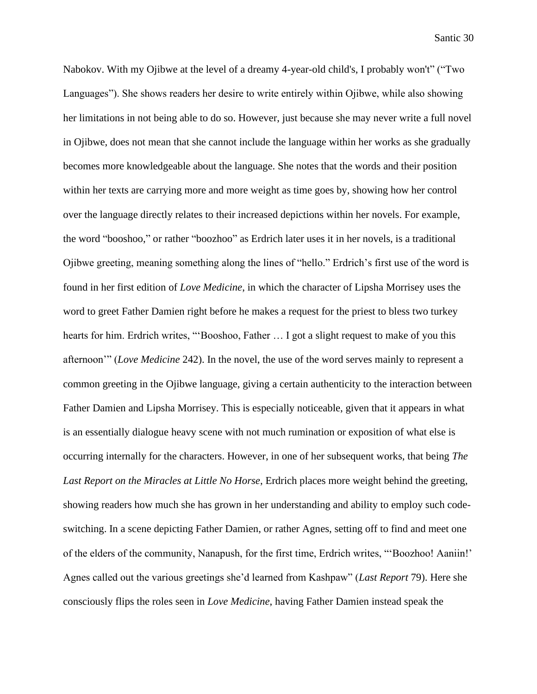Nabokov. With my Ojibwe at the level of a dreamy 4-year-old child's, I probably won't" ("Two Languages"). She shows readers her desire to write entirely within Ojibwe, while also showing her limitations in not being able to do so. However, just because she may never write a full novel in Ojibwe, does not mean that she cannot include the language within her works as she gradually becomes more knowledgeable about the language. She notes that the words and their position within her texts are carrying more and more weight as time goes by, showing how her control over the language directly relates to their increased depictions within her novels. For example, the word "booshoo," or rather "boozhoo" as Erdrich later uses it in her novels, is a traditional Ojibwe greeting, meaning something along the lines of "hello." Erdrich's first use of the word is found in her first edition of *Love Medicine*, in which the character of Lipsha Morrisey uses the word to greet Father Damien right before he makes a request for the priest to bless two turkey hearts for him. Erdrich writes, "'Booshoo, Father … I got a slight request to make of you this afternoon'" (*Love Medicine* 242). In the novel, the use of the word serves mainly to represent a common greeting in the Ojibwe language, giving a certain authenticity to the interaction between Father Damien and Lipsha Morrisey. This is especially noticeable, given that it appears in what is an essentially dialogue heavy scene with not much rumination or exposition of what else is occurring internally for the characters. However, in one of her subsequent works, that being *The Last Report on the Miracles at Little No Horse*, Erdrich places more weight behind the greeting, showing readers how much she has grown in her understanding and ability to employ such codeswitching. In a scene depicting Father Damien, or rather Agnes, setting off to find and meet one of the elders of the community, Nanapush, for the first time, Erdrich writes, "'Boozhoo! Aaniin!' Agnes called out the various greetings she'd learned from Kashpaw" (*Last Report* 79). Here she consciously flips the roles seen in *Love Medicine*, having Father Damien instead speak the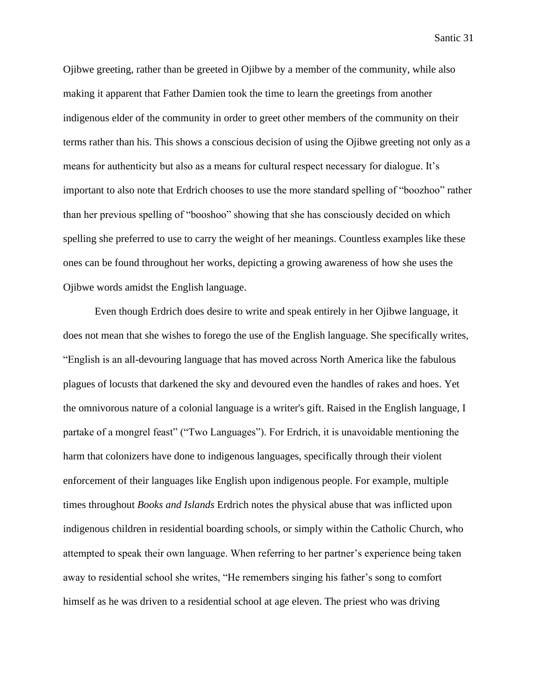Ojibwe greeting, rather than be greeted in Ojibwe by a member of the community, while also making it apparent that Father Damien took the time to learn the greetings from another indigenous elder of the community in order to greet other members of the community on their terms rather than his. This shows a conscious decision of using the Ojibwe greeting not only as a means for authenticity but also as a means for cultural respect necessary for dialogue. It's important to also note that Erdrich chooses to use the more standard spelling of "boozhoo" rather than her previous spelling of "booshoo" showing that she has consciously decided on which spelling she preferred to use to carry the weight of her meanings. Countless examples like these ones can be found throughout her works, depicting a growing awareness of how she uses the Ojibwe words amidst the English language.

Even though Erdrich does desire to write and speak entirely in her Ojibwe language, it does not mean that she wishes to forego the use of the English language. She specifically writes, "English is an all-devouring language that has moved across North America like the fabulous plagues of locusts that darkened the sky and devoured even the handles of rakes and hoes. Yet the omnivorous nature of a colonial language is a writer's gift. Raised in the English language, I partake of a mongrel feast" ("Two Languages"). For Erdrich, it is unavoidable mentioning the harm that colonizers have done to indigenous languages, specifically through their violent enforcement of their languages like English upon indigenous people. For example, multiple times throughout *Books and Islands* Erdrich notes the physical abuse that was inflicted upon indigenous children in residential boarding schools, or simply within the Catholic Church, who attempted to speak their own language. When referring to her partner's experience being taken away to residential school she writes, "He remembers singing his father's song to comfort himself as he was driven to a residential school at age eleven. The priest who was driving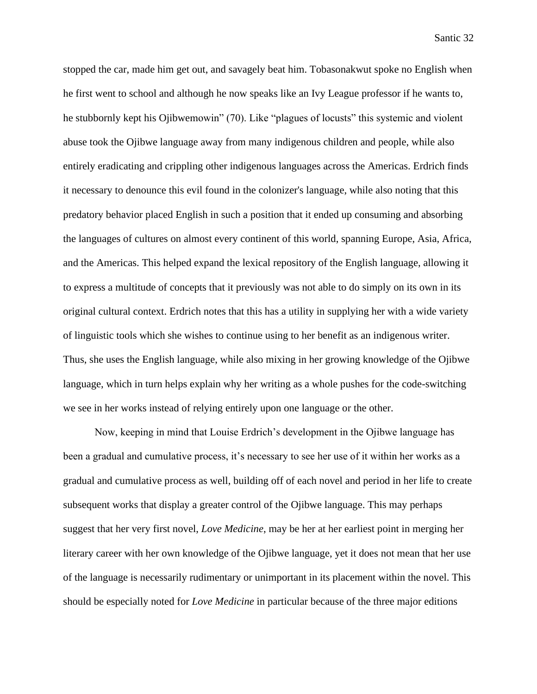stopped the car, made him get out, and savagely beat him. Tobasonakwut spoke no English when he first went to school and although he now speaks like an Ivy League professor if he wants to, he stubbornly kept his Ojibwemowin" (70). Like "plagues of locusts" this systemic and violent abuse took the Ojibwe language away from many indigenous children and people, while also entirely eradicating and crippling other indigenous languages across the Americas. Erdrich finds it necessary to denounce this evil found in the colonizer's language, while also noting that this predatory behavior placed English in such a position that it ended up consuming and absorbing the languages of cultures on almost every continent of this world, spanning Europe, Asia, Africa, and the Americas. This helped expand the lexical repository of the English language, allowing it to express a multitude of concepts that it previously was not able to do simply on its own in its original cultural context. Erdrich notes that this has a utility in supplying her with a wide variety of linguistic tools which she wishes to continue using to her benefit as an indigenous writer. Thus, she uses the English language, while also mixing in her growing knowledge of the Ojibwe language, which in turn helps explain why her writing as a whole pushes for the code-switching we see in her works instead of relying entirely upon one language or the other.

Now, keeping in mind that Louise Erdrich's development in the Ojibwe language has been a gradual and cumulative process, it's necessary to see her use of it within her works as a gradual and cumulative process as well, building off of each novel and period in her life to create subsequent works that display a greater control of the Ojibwe language. This may perhaps suggest that her very first novel, *Love Medicine*, may be her at her earliest point in merging her literary career with her own knowledge of the Ojibwe language, yet it does not mean that her use of the language is necessarily rudimentary or unimportant in its placement within the novel. This should be especially noted for *Love Medicine* in particular because of the three major editions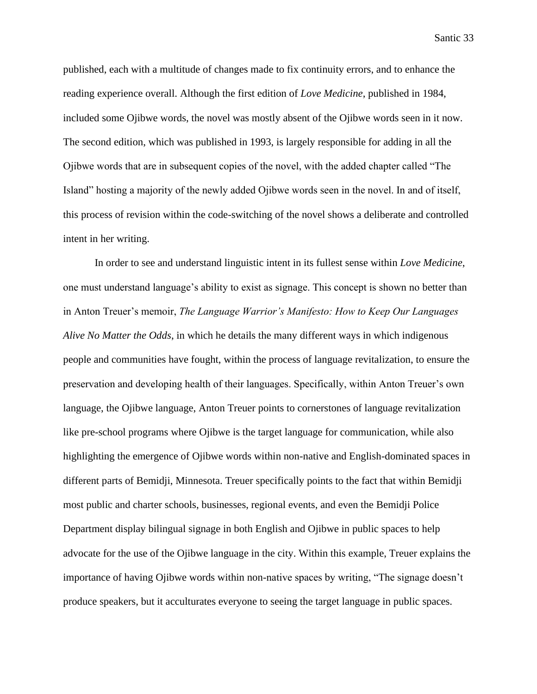published, each with a multitude of changes made to fix continuity errors, and to enhance the reading experience overall. Although the first edition of *Love Medicine*, published in 1984, included some Ojibwe words, the novel was mostly absent of the Ojibwe words seen in it now. The second edition, which was published in 1993, is largely responsible for adding in all the Ojibwe words that are in subsequent copies of the novel, with the added chapter called "The Island" hosting a majority of the newly added Ojibwe words seen in the novel. In and of itself, this process of revision within the code-switching of the novel shows a deliberate and controlled intent in her writing.

In order to see and understand linguistic intent in its fullest sense within *Love Medicine*, one must understand language's ability to exist as signage. This concept is shown no better than in Anton Treuer's memoir, *The Language Warrior's Manifesto: How to Keep Our Languages Alive No Matter the Odds*, in which he details the many different ways in which indigenous people and communities have fought, within the process of language revitalization, to ensure the preservation and developing health of their languages. Specifically, within Anton Treuer's own language, the Ojibwe language, Anton Treuer points to cornerstones of language revitalization like pre-school programs where Ojibwe is the target language for communication, while also highlighting the emergence of Ojibwe words within non-native and English-dominated spaces in different parts of Bemidji, Minnesota. Treuer specifically points to the fact that within Bemidji most public and charter schools, businesses, regional events, and even the Bemidji Police Department display bilingual signage in both English and Ojibwe in public spaces to help advocate for the use of the Ojibwe language in the city. Within this example, Treuer explains the importance of having Ojibwe words within non-native spaces by writing, "The signage doesn't produce speakers, but it acculturates everyone to seeing the target language in public spaces.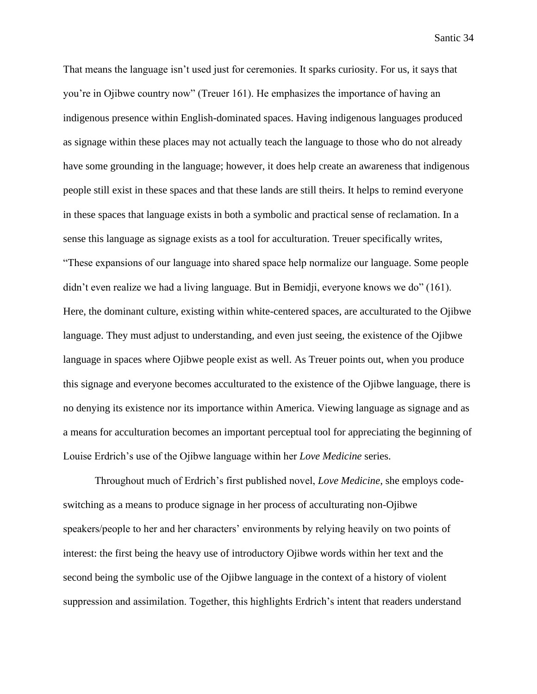That means the language isn't used just for ceremonies. It sparks curiosity. For us, it says that you're in Ojibwe country now" (Treuer 161). He emphasizes the importance of having an indigenous presence within English-dominated spaces. Having indigenous languages produced as signage within these places may not actually teach the language to those who do not already have some grounding in the language; however, it does help create an awareness that indigenous people still exist in these spaces and that these lands are still theirs. It helps to remind everyone in these spaces that language exists in both a symbolic and practical sense of reclamation. In a sense this language as signage exists as a tool for acculturation. Treuer specifically writes, "These expansions of our language into shared space help normalize our language. Some people didn't even realize we had a living language. But in Bemidji, everyone knows we do" (161). Here, the dominant culture, existing within white-centered spaces, are acculturated to the Ojibwe language. They must adjust to understanding, and even just seeing, the existence of the Ojibwe language in spaces where Ojibwe people exist as well. As Treuer points out, when you produce this signage and everyone becomes acculturated to the existence of the Ojibwe language, there is no denying its existence nor its importance within America. Viewing language as signage and as a means for acculturation becomes an important perceptual tool for appreciating the beginning of Louise Erdrich's use of the Ojibwe language within her *Love Medicine* series.

Throughout much of Erdrich's first published novel, *Love Medicine*, she employs codeswitching as a means to produce signage in her process of acculturating non-Ojibwe speakers/people to her and her characters' environments by relying heavily on two points of interest: the first being the heavy use of introductory Ojibwe words within her text and the second being the symbolic use of the Ojibwe language in the context of a history of violent suppression and assimilation. Together, this highlights Erdrich's intent that readers understand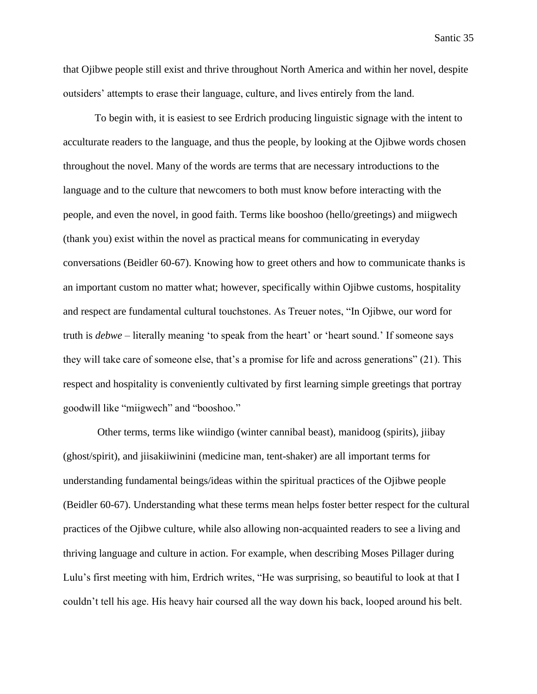that Ojibwe people still exist and thrive throughout North America and within her novel, despite outsiders' attempts to erase their language, culture, and lives entirely from the land.

To begin with, it is easiest to see Erdrich producing linguistic signage with the intent to acculturate readers to the language, and thus the people, by looking at the Ojibwe words chosen throughout the novel. Many of the words are terms that are necessary introductions to the language and to the culture that newcomers to both must know before interacting with the people, and even the novel, in good faith. Terms like booshoo (hello/greetings) and miigwech (thank you) exist within the novel as practical means for communicating in everyday conversations (Beidler 60-67). Knowing how to greet others and how to communicate thanks is an important custom no matter what; however, specifically within Ojibwe customs, hospitality and respect are fundamental cultural touchstones. As Treuer notes, "In Ojibwe, our word for truth is *debwe* – literally meaning 'to speak from the heart' or 'heart sound.' If someone says they will take care of someone else, that's a promise for life and across generations" (21). This respect and hospitality is conveniently cultivated by first learning simple greetings that portray goodwill like "miigwech" and "booshoo."

Other terms, terms like wiindigo (winter cannibal beast), manidoog (spirits), jiibay (ghost/spirit), and jiisakiiwinini (medicine man, tent-shaker) are all important terms for understanding fundamental beings/ideas within the spiritual practices of the Ojibwe people (Beidler 60-67). Understanding what these terms mean helps foster better respect for the cultural practices of the Ojibwe culture, while also allowing non-acquainted readers to see a living and thriving language and culture in action. For example, when describing Moses Pillager during Lulu's first meeting with him, Erdrich writes, "He was surprising, so beautiful to look at that I couldn't tell his age. His heavy hair coursed all the way down his back, looped around his belt.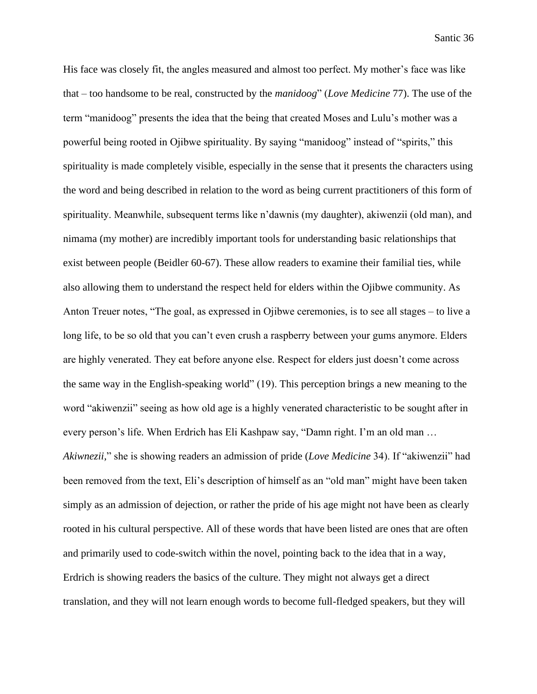His face was closely fit, the angles measured and almost too perfect. My mother's face was like that – too handsome to be real, constructed by the *manidoog*" (*Love Medicine* 77). The use of the term "manidoog" presents the idea that the being that created Moses and Lulu's mother was a powerful being rooted in Ojibwe spirituality. By saying "manidoog" instead of "spirits," this spirituality is made completely visible, especially in the sense that it presents the characters using the word and being described in relation to the word as being current practitioners of this form of spirituality. Meanwhile, subsequent terms like n'dawnis (my daughter), akiwenzii (old man), and nimama (my mother) are incredibly important tools for understanding basic relationships that exist between people (Beidler 60-67). These allow readers to examine their familial ties, while also allowing them to understand the respect held for elders within the Ojibwe community. As Anton Treuer notes, "The goal, as expressed in Ojibwe ceremonies, is to see all stages – to live a long life, to be so old that you can't even crush a raspberry between your gums anymore. Elders are highly venerated. They eat before anyone else. Respect for elders just doesn't come across the same way in the English-speaking world" (19). This perception brings a new meaning to the word "akiwenzii" seeing as how old age is a highly venerated characteristic to be sought after in every person's life. When Erdrich has Eli Kashpaw say, "Damn right. I'm an old man … *Akiwnezii,*" she is showing readers an admission of pride (*Love Medicine* 34). If "akiwenzii" had been removed from the text, Eli's description of himself as an "old man" might have been taken simply as an admission of dejection, or rather the pride of his age might not have been as clearly rooted in his cultural perspective. All of these words that have been listed are ones that are often and primarily used to code-switch within the novel, pointing back to the idea that in a way, Erdrich is showing readers the basics of the culture. They might not always get a direct translation, and they will not learn enough words to become full-fledged speakers, but they will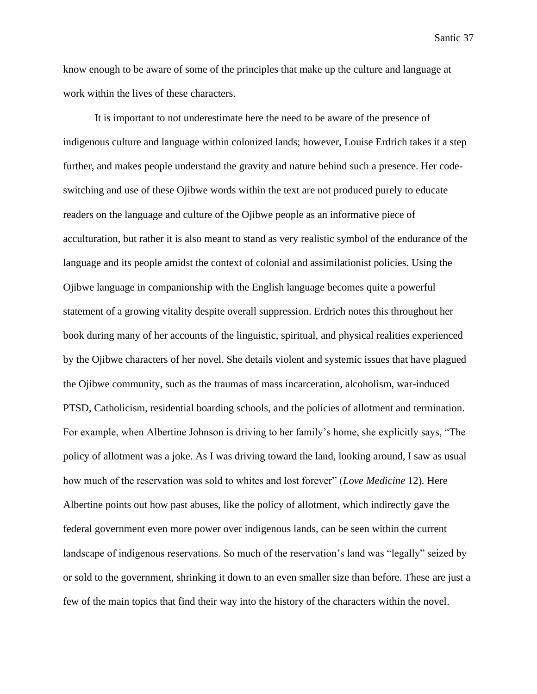know enough to be aware of some of the principles that make up the culture and language at work within the lives of these characters.

It is important to not underestimate here the need to be aware of the presence of indigenous culture and language within colonized lands; however, Louise Erdrich takes it a step further, and makes people understand the gravity and nature behind such a presence. Her codeswitching and use of these Ojibwe words within the text are not produced purely to educate readers on the language and culture of the Ojibwe people as an informative piece of acculturation, but rather it is also meant to stand as very realistic symbol of the endurance of the language and its people amidst the context of colonial and assimilationist policies. Using the Ojibwe language in companionship with the English language becomes quite a powerful statement of a growing vitality despite overall suppression. Erdrich notes this throughout her book during many of her accounts of the linguistic, spiritual, and physical realities experienced by the Ojibwe characters of her novel. She details violent and systemic issues that have plagued the Ojibwe community, such as the traumas of mass incarceration, alcoholism, war-induced PTSD, Catholicism, residential boarding schools, and the policies of allotment and termination. For example, when Albertine Johnson is driving to her family's home, she explicitly says, "The policy of allotment was a joke. As I was driving toward the land, looking around, I saw as usual how much of the reservation was sold to whites and lost forever" (*Love Medicine* 12)*.* Here Albertine points out how past abuses, like the policy of allotment, which indirectly gave the federal government even more power over indigenous lands, can be seen within the current landscape of indigenous reservations. So much of the reservation's land was "legally" seized by or sold to the government, shrinking it down to an even smaller size than before. These are just a few of the main topics that find their way into the history of the characters within the novel.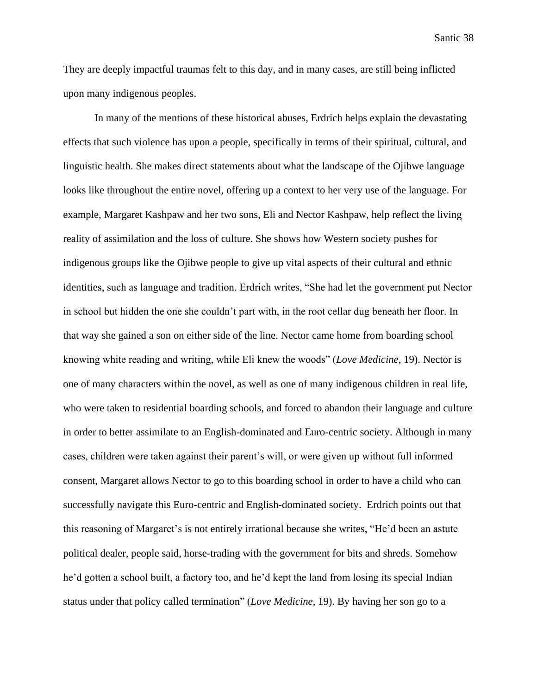They are deeply impactful traumas felt to this day, and in many cases, are still being inflicted upon many indigenous peoples.

In many of the mentions of these historical abuses, Erdrich helps explain the devastating effects that such violence has upon a people, specifically in terms of their spiritual, cultural, and linguistic health. She makes direct statements about what the landscape of the Ojibwe language looks like throughout the entire novel, offering up a context to her very use of the language. For example, Margaret Kashpaw and her two sons, Eli and Nector Kashpaw, help reflect the living reality of assimilation and the loss of culture. She shows how Western society pushes for indigenous groups like the Ojibwe people to give up vital aspects of their cultural and ethnic identities, such as language and tradition. Erdrich writes, "She had let the government put Nector in school but hidden the one she couldn't part with, in the root cellar dug beneath her floor. In that way she gained a son on either side of the line. Nector came home from boarding school knowing white reading and writing, while Eli knew the woods" (*Love Medicine*, 19). Nector is one of many characters within the novel, as well as one of many indigenous children in real life, who were taken to residential boarding schools, and forced to abandon their language and culture in order to better assimilate to an English-dominated and Euro-centric society. Although in many cases, children were taken against their parent's will, or were given up without full informed consent, Margaret allows Nector to go to this boarding school in order to have a child who can successfully navigate this Euro-centric and English-dominated society. Erdrich points out that this reasoning of Margaret's is not entirely irrational because she writes, "He'd been an astute political dealer, people said, horse-trading with the government for bits and shreds. Somehow he'd gotten a school built, a factory too, and he'd kept the land from losing its special Indian status under that policy called termination" (*Love Medicine*, 19). By having her son go to a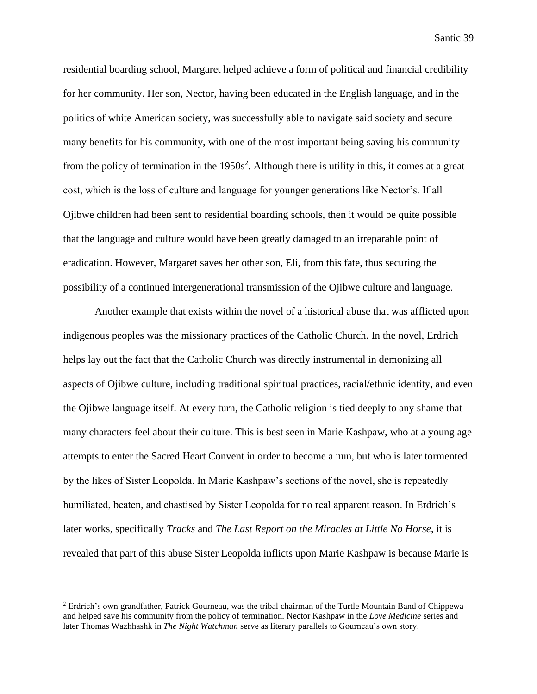residential boarding school, Margaret helped achieve a form of political and financial credibility for her community. Her son, Nector, having been educated in the English language, and in the politics of white American society, was successfully able to navigate said society and secure many benefits for his community, with one of the most important being saving his community from the policy of termination in the  $1950s^2$ . Although there is utility in this, it comes at a great cost, which is the loss of culture and language for younger generations like Nector's. If all Ojibwe children had been sent to residential boarding schools, then it would be quite possible that the language and culture would have been greatly damaged to an irreparable point of eradication. However, Margaret saves her other son, Eli, from this fate, thus securing the possibility of a continued intergenerational transmission of the Ojibwe culture and language.

Another example that exists within the novel of a historical abuse that was afflicted upon indigenous peoples was the missionary practices of the Catholic Church. In the novel, Erdrich helps lay out the fact that the Catholic Church was directly instrumental in demonizing all aspects of Ojibwe culture, including traditional spiritual practices, racial/ethnic identity, and even the Ojibwe language itself. At every turn, the Catholic religion is tied deeply to any shame that many characters feel about their culture. This is best seen in Marie Kashpaw, who at a young age attempts to enter the Sacred Heart Convent in order to become a nun, but who is later tormented by the likes of Sister Leopolda. In Marie Kashpaw's sections of the novel, she is repeatedly humiliated, beaten, and chastised by Sister Leopolda for no real apparent reason. In Erdrich's later works, specifically *Tracks* and *The Last Report on the Miracles at Little No Horse*, it is revealed that part of this abuse Sister Leopolda inflicts upon Marie Kashpaw is because Marie is

<sup>2</sup> Erdrich's own grandfather, Patrick Gourneau, was the tribal chairman of the Turtle Mountain Band of Chippewa and helped save his community from the policy of termination. Nector Kashpaw in the *Love Medicine* series and later Thomas Wazhhashk in *The Night Watchman* serve as literary parallels to Gourneau's own story.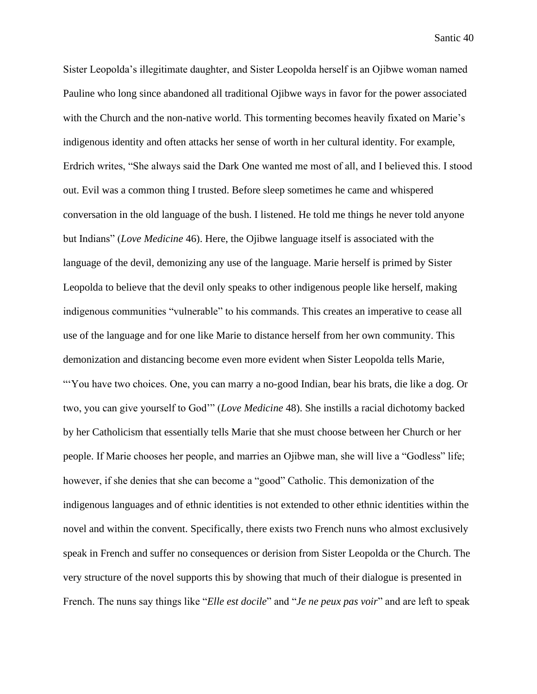Sister Leopolda's illegitimate daughter, and Sister Leopolda herself is an Ojibwe woman named Pauline who long since abandoned all traditional Ojibwe ways in favor for the power associated with the Church and the non-native world. This tormenting becomes heavily fixated on Marie's indigenous identity and often attacks her sense of worth in her cultural identity. For example, Erdrich writes, "She always said the Dark One wanted me most of all, and I believed this. I stood out. Evil was a common thing I trusted. Before sleep sometimes he came and whispered conversation in the old language of the bush. I listened. He told me things he never told anyone but Indians" (*Love Medicine* 46). Here, the Ojibwe language itself is associated with the language of the devil, demonizing any use of the language. Marie herself is primed by Sister Leopolda to believe that the devil only speaks to other indigenous people like herself, making indigenous communities "vulnerable" to his commands. This creates an imperative to cease all use of the language and for one like Marie to distance herself from her own community. This demonization and distancing become even more evident when Sister Leopolda tells Marie, "'You have two choices. One, you can marry a no-good Indian, bear his brats, die like a dog. Or two, you can give yourself to God'" (*Love Medicine* 48). She instills a racial dichotomy backed by her Catholicism that essentially tells Marie that she must choose between her Church or her people. If Marie chooses her people, and marries an Ojibwe man, she will live a "Godless" life; however, if she denies that she can become a "good" Catholic. This demonization of the indigenous languages and of ethnic identities is not extended to other ethnic identities within the novel and within the convent. Specifically, there exists two French nuns who almost exclusively speak in French and suffer no consequences or derision from Sister Leopolda or the Church. The very structure of the novel supports this by showing that much of their dialogue is presented in French. The nuns say things like "*Elle est docile*" and "*Je ne peux pas voir*" and are left to speak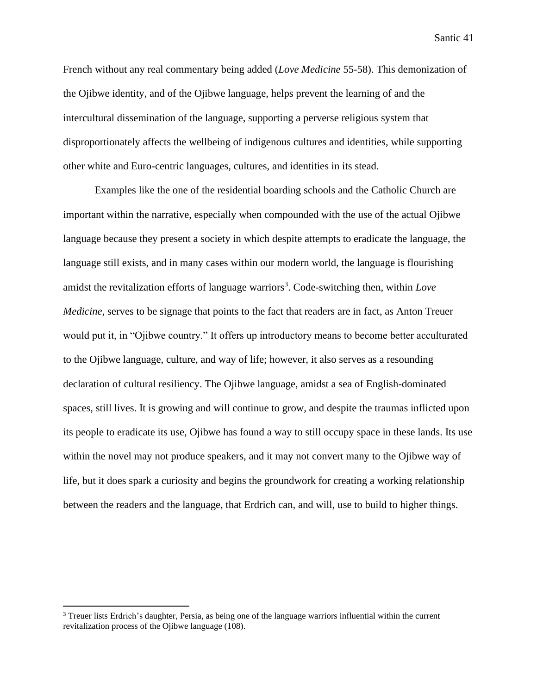French without any real commentary being added (*Love Medicine* 55-58). This demonization of the Ojibwe identity, and of the Ojibwe language, helps prevent the learning of and the intercultural dissemination of the language, supporting a perverse religious system that disproportionately affects the wellbeing of indigenous cultures and identities, while supporting other white and Euro-centric languages, cultures, and identities in its stead.

Examples like the one of the residential boarding schools and the Catholic Church are important within the narrative, especially when compounded with the use of the actual Ojibwe language because they present a society in which despite attempts to eradicate the language, the language still exists, and in many cases within our modern world, the language is flourishing amidst the revitalization efforts of language warriors<sup>3</sup>. Code-switching then, within *Love Medicine*, serves to be signage that points to the fact that readers are in fact, as Anton Treuer would put it, in "Ojibwe country." It offers up introductory means to become better acculturated to the Ojibwe language, culture, and way of life; however, it also serves as a resounding declaration of cultural resiliency. The Ojibwe language, amidst a sea of English-dominated spaces, still lives. It is growing and will continue to grow, and despite the traumas inflicted upon its people to eradicate its use, Ojibwe has found a way to still occupy space in these lands. Its use within the novel may not produce speakers, and it may not convert many to the Ojibwe way of life, but it does spark a curiosity and begins the groundwork for creating a working relationship between the readers and the language, that Erdrich can, and will, use to build to higher things.

<sup>&</sup>lt;sup>3</sup> Treuer lists Erdrich's daughter, Persia, as being one of the language warriors influential within the current revitalization process of the Ojibwe language (108).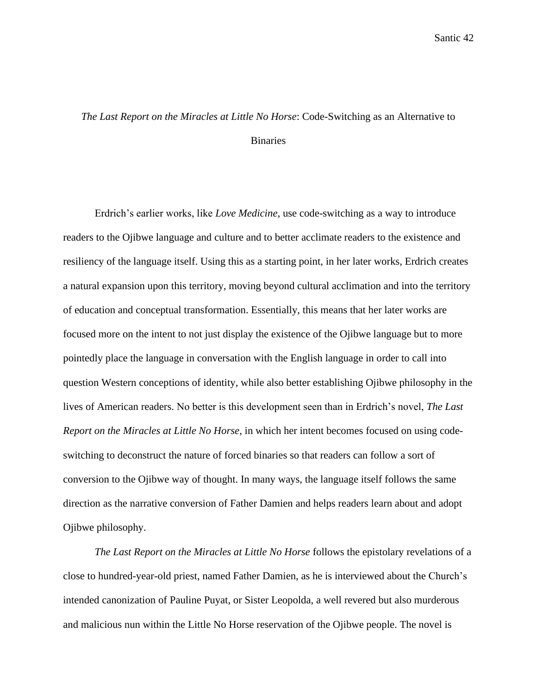## *The Last Report on the Miracles at Little No Horse*: Code-Switching as an Alternative to Binaries

Erdrich's earlier works, like *Love Medicine,* use code-switching as a way to introduce readers to the Ojibwe language and culture and to better acclimate readers to the existence and resiliency of the language itself. Using this as a starting point, in her later works, Erdrich creates a natural expansion upon this territory, moving beyond cultural acclimation and into the territory of education and conceptual transformation. Essentially, this means that her later works are focused more on the intent to not just display the existence of the Ojibwe language but to more pointedly place the language in conversation with the English language in order to call into question Western conceptions of identity, while also better establishing Ojibwe philosophy in the lives of American readers. No better is this development seen than in Erdrich's novel, *The Last Report on the Miracles at Little No Horse*, in which her intent becomes focused on using codeswitching to deconstruct the nature of forced binaries so that readers can follow a sort of conversion to the Ojibwe way of thought. In many ways, the language itself follows the same direction as the narrative conversion of Father Damien and helps readers learn about and adopt Ojibwe philosophy.

*The Last Report on the Miracles at Little No Horse* follows the epistolary revelations of a close to hundred-year-old priest, named Father Damien, as he is interviewed about the Church's intended canonization of Pauline Puyat, or Sister Leopolda, a well revered but also murderous and malicious nun within the Little No Horse reservation of the Ojibwe people. The novel is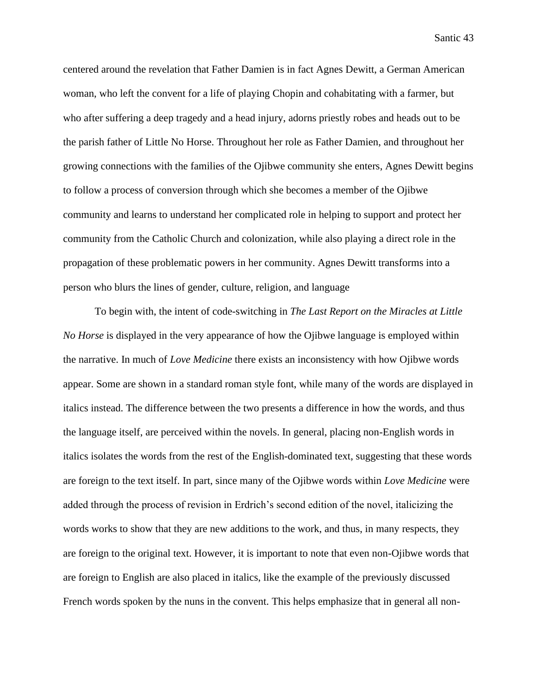centered around the revelation that Father Damien is in fact Agnes Dewitt, a German American woman, who left the convent for a life of playing Chopin and cohabitating with a farmer, but who after suffering a deep tragedy and a head injury, adorns priestly robes and heads out to be the parish father of Little No Horse. Throughout her role as Father Damien, and throughout her growing connections with the families of the Ojibwe community she enters, Agnes Dewitt begins to follow a process of conversion through which she becomes a member of the Ojibwe community and learns to understand her complicated role in helping to support and protect her community from the Catholic Church and colonization, while also playing a direct role in the propagation of these problematic powers in her community. Agnes Dewitt transforms into a person who blurs the lines of gender, culture, religion, and language

To begin with, the intent of code-switching in *The Last Report on the Miracles at Little No Horse* is displayed in the very appearance of how the Ojibwe language is employed within the narrative. In much of *Love Medicine* there exists an inconsistency with how Ojibwe words appear. Some are shown in a standard roman style font, while many of the words are displayed in italics instead. The difference between the two presents a difference in how the words, and thus the language itself, are perceived within the novels. In general, placing non-English words in italics isolates the words from the rest of the English-dominated text, suggesting that these words are foreign to the text itself. In part, since many of the Ojibwe words within *Love Medicine* were added through the process of revision in Erdrich's second edition of the novel, italicizing the words works to show that they are new additions to the work, and thus, in many respects, they are foreign to the original text. However, it is important to note that even non-Ojibwe words that are foreign to English are also placed in italics, like the example of the previously discussed French words spoken by the nuns in the convent. This helps emphasize that in general all non-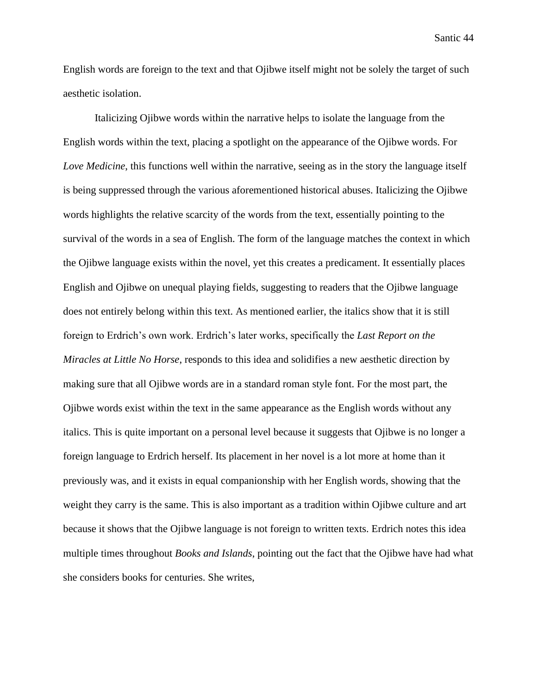English words are foreign to the text and that Ojibwe itself might not be solely the target of such aesthetic isolation.

Italicizing Ojibwe words within the narrative helps to isolate the language from the English words within the text, placing a spotlight on the appearance of the Ojibwe words. For *Love Medicine*, this functions well within the narrative, seeing as in the story the language itself is being suppressed through the various aforementioned historical abuses. Italicizing the Ojibwe words highlights the relative scarcity of the words from the text, essentially pointing to the survival of the words in a sea of English. The form of the language matches the context in which the Ojibwe language exists within the novel, yet this creates a predicament. It essentially places English and Ojibwe on unequal playing fields, suggesting to readers that the Ojibwe language does not entirely belong within this text. As mentioned earlier, the italics show that it is still foreign to Erdrich's own work. Erdrich's later works, specifically the *Last Report on the Miracles at Little No Horse*, responds to this idea and solidifies a new aesthetic direction by making sure that all Ojibwe words are in a standard roman style font. For the most part, the Ojibwe words exist within the text in the same appearance as the English words without any italics. This is quite important on a personal level because it suggests that Ojibwe is no longer a foreign language to Erdrich herself. Its placement in her novel is a lot more at home than it previously was, and it exists in equal companionship with her English words, showing that the weight they carry is the same. This is also important as a tradition within Ojibwe culture and art because it shows that the Ojibwe language is not foreign to written texts. Erdrich notes this idea multiple times throughout *Books and Islands*, pointing out the fact that the Ojibwe have had what she considers books for centuries. She writes,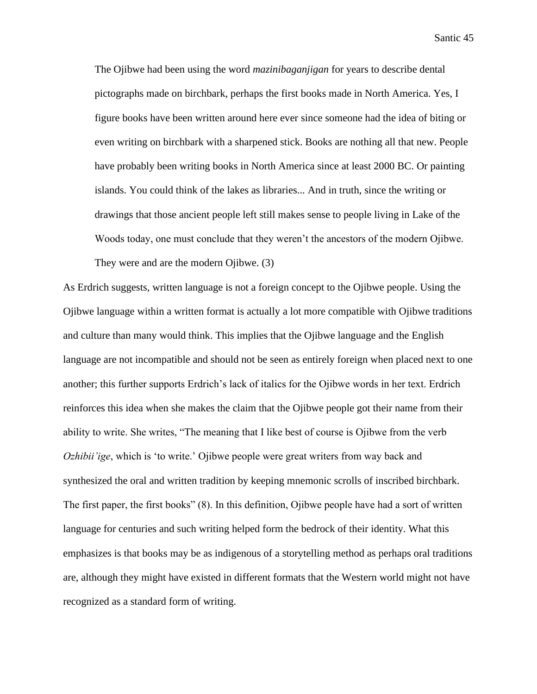The Ojibwe had been using the word *mazinibaganjigan* for years to describe dental pictographs made on birchbark, perhaps the first books made in North America. Yes, I figure books have been written around here ever since someone had the idea of biting or even writing on birchbark with a sharpened stick. Books are nothing all that new. People have probably been writing books in North America since at least 2000 BC. Or painting islands. You could think of the lakes as libraries... And in truth, since the writing or drawings that those ancient people left still makes sense to people living in Lake of the Woods today, one must conclude that they weren't the ancestors of the modern Ojibwe. They were and are the modern Ojibwe. (3)

As Erdrich suggests, written language is not a foreign concept to the Ojibwe people. Using the Ojibwe language within a written format is actually a lot more compatible with Ojibwe traditions and culture than many would think. This implies that the Ojibwe language and the English language are not incompatible and should not be seen as entirely foreign when placed next to one another; this further supports Erdrich's lack of italics for the Ojibwe words in her text. Erdrich reinforces this idea when she makes the claim that the Ojibwe people got their name from their ability to write. She writes, "The meaning that I like best of course is Ojibwe from the verb *Ozhibii'ige*, which is 'to write.' Ojibwe people were great writers from way back and synthesized the oral and written tradition by keeping mnemonic scrolls of inscribed birchbark. The first paper, the first books" (8). In this definition, Ojibwe people have had a sort of written language for centuries and such writing helped form the bedrock of their identity. What this emphasizes is that books may be as indigenous of a storytelling method as perhaps oral traditions are, although they might have existed in different formats that the Western world might not have recognized as a standard form of writing.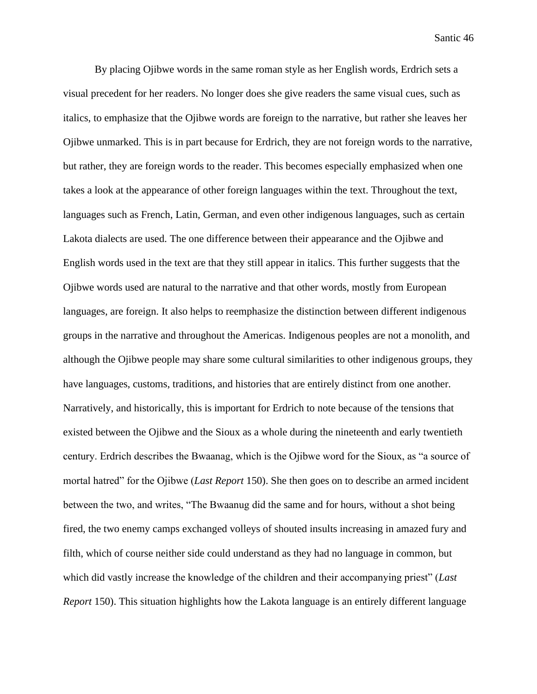By placing Ojibwe words in the same roman style as her English words, Erdrich sets a visual precedent for her readers. No longer does she give readers the same visual cues, such as italics, to emphasize that the Ojibwe words are foreign to the narrative, but rather she leaves her Ojibwe unmarked. This is in part because for Erdrich, they are not foreign words to the narrative, but rather, they are foreign words to the reader. This becomes especially emphasized when one takes a look at the appearance of other foreign languages within the text. Throughout the text, languages such as French, Latin, German, and even other indigenous languages, such as certain Lakota dialects are used. The one difference between their appearance and the Ojibwe and English words used in the text are that they still appear in italics. This further suggests that the Ojibwe words used are natural to the narrative and that other words, mostly from European languages, are foreign. It also helps to reemphasize the distinction between different indigenous groups in the narrative and throughout the Americas. Indigenous peoples are not a monolith, and although the Ojibwe people may share some cultural similarities to other indigenous groups, they have languages, customs, traditions, and histories that are entirely distinct from one another. Narratively, and historically, this is important for Erdrich to note because of the tensions that existed between the Ojibwe and the Sioux as a whole during the nineteenth and early twentieth century. Erdrich describes the Bwaanag, which is the Ojibwe word for the Sioux, as "a source of mortal hatred" for the Ojibwe (*Last Report* 150). She then goes on to describe an armed incident between the two, and writes, "The Bwaanug did the same and for hours, without a shot being fired, the two enemy camps exchanged volleys of shouted insults increasing in amazed fury and filth, which of course neither side could understand as they had no language in common, but which did vastly increase the knowledge of the children and their accompanying priest" (*Last Report* 150). This situation highlights how the Lakota language is an entirely different language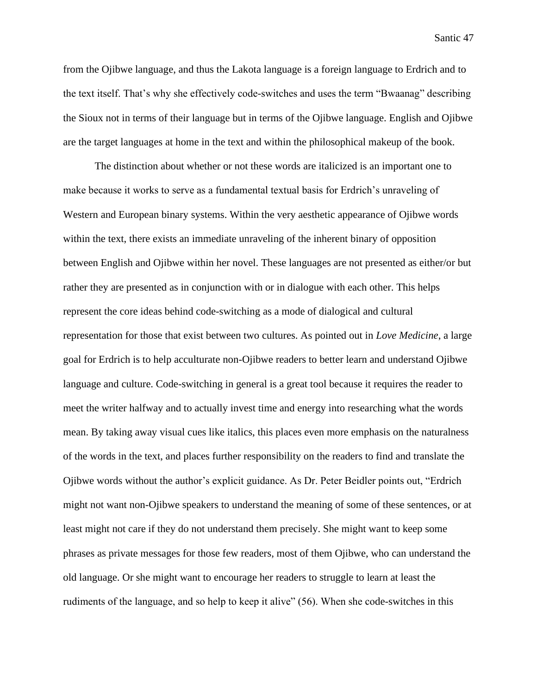from the Ojibwe language, and thus the Lakota language is a foreign language to Erdrich and to the text itself. That's why she effectively code-switches and uses the term "Bwaanag" describing the Sioux not in terms of their language but in terms of the Ojibwe language. English and Ojibwe are the target languages at home in the text and within the philosophical makeup of the book.

The distinction about whether or not these words are italicized is an important one to make because it works to serve as a fundamental textual basis for Erdrich's unraveling of Western and European binary systems. Within the very aesthetic appearance of Ojibwe words within the text, there exists an immediate unraveling of the inherent binary of opposition between English and Ojibwe within her novel. These languages are not presented as either/or but rather they are presented as in conjunction with or in dialogue with each other. This helps represent the core ideas behind code-switching as a mode of dialogical and cultural representation for those that exist between two cultures. As pointed out in *Love Medicine*, a large goal for Erdrich is to help acculturate non-Ojibwe readers to better learn and understand Ojibwe language and culture. Code-switching in general is a great tool because it requires the reader to meet the writer halfway and to actually invest time and energy into researching what the words mean. By taking away visual cues like italics, this places even more emphasis on the naturalness of the words in the text, and places further responsibility on the readers to find and translate the Ojibwe words without the author's explicit guidance. As Dr. Peter Beidler points out, "Erdrich might not want non-Ojibwe speakers to understand the meaning of some of these sentences, or at least might not care if they do not understand them precisely. She might want to keep some phrases as private messages for those few readers, most of them Ojibwe, who can understand the old language. Or she might want to encourage her readers to struggle to learn at least the rudiments of the language, and so help to keep it alive" (56). When she code-switches in this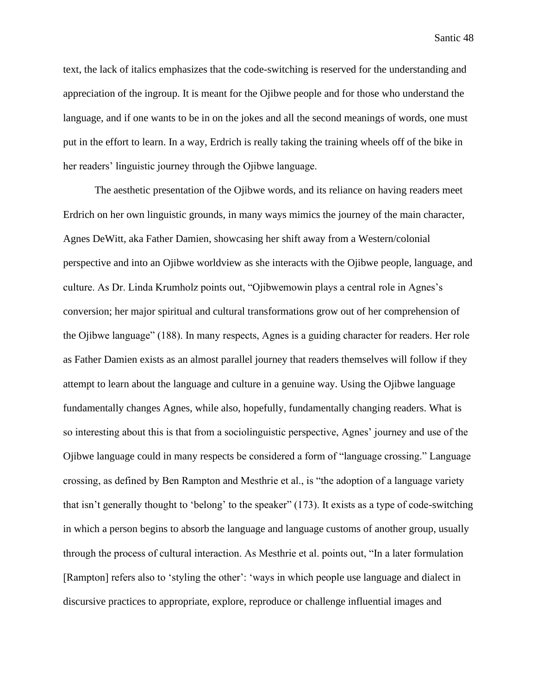text, the lack of italics emphasizes that the code-switching is reserved for the understanding and appreciation of the ingroup. It is meant for the Ojibwe people and for those who understand the language, and if one wants to be in on the jokes and all the second meanings of words, one must put in the effort to learn. In a way, Erdrich is really taking the training wheels off of the bike in her readers' linguistic journey through the Ojibwe language.

The aesthetic presentation of the Ojibwe words, and its reliance on having readers meet Erdrich on her own linguistic grounds, in many ways mimics the journey of the main character, Agnes DeWitt, aka Father Damien, showcasing her shift away from a Western/colonial perspective and into an Ojibwe worldview as she interacts with the Ojibwe people, language, and culture. As Dr. Linda Krumholz points out, "Ojibwemowin plays a central role in Agnes's conversion; her major spiritual and cultural transformations grow out of her comprehension of the Ojibwe language" (188). In many respects, Agnes is a guiding character for readers. Her role as Father Damien exists as an almost parallel journey that readers themselves will follow if they attempt to learn about the language and culture in a genuine way. Using the Ojibwe language fundamentally changes Agnes, while also, hopefully, fundamentally changing readers. What is so interesting about this is that from a sociolinguistic perspective, Agnes' journey and use of the Ojibwe language could in many respects be considered a form of "language crossing." Language crossing, as defined by Ben Rampton and Mesthrie et al., is "the adoption of a language variety that isn't generally thought to 'belong' to the speaker" (173). It exists as a type of code-switching in which a person begins to absorb the language and language customs of another group, usually through the process of cultural interaction. As Mesthrie et al. points out, "In a later formulation [Rampton] refers also to 'styling the other': 'ways in which people use language and dialect in discursive practices to appropriate, explore, reproduce or challenge influential images and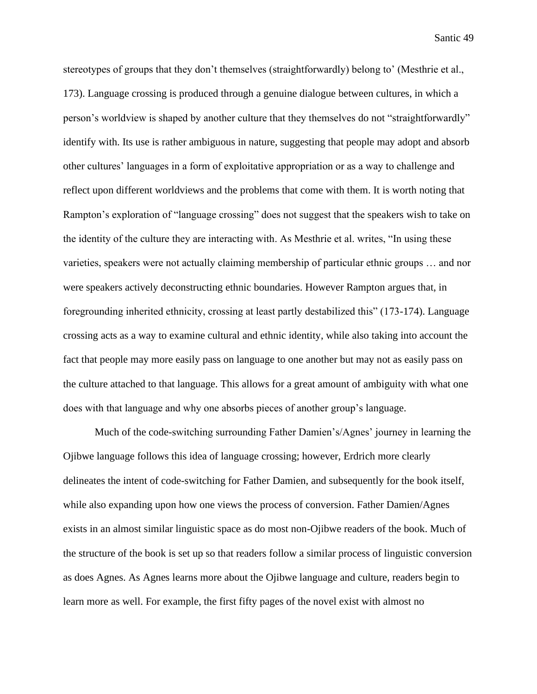stereotypes of groups that they don't themselves (straightforwardly) belong to' (Mesthrie et al., 173). Language crossing is produced through a genuine dialogue between cultures, in which a person's worldview is shaped by another culture that they themselves do not "straightforwardly" identify with. Its use is rather ambiguous in nature, suggesting that people may adopt and absorb other cultures' languages in a form of exploitative appropriation or as a way to challenge and reflect upon different worldviews and the problems that come with them. It is worth noting that Rampton's exploration of "language crossing" does not suggest that the speakers wish to take on the identity of the culture they are interacting with. As Mesthrie et al. writes, "In using these varieties, speakers were not actually claiming membership of particular ethnic groups … and nor were speakers actively deconstructing ethnic boundaries. However Rampton argues that, in foregrounding inherited ethnicity, crossing at least partly destabilized this" (173-174). Language crossing acts as a way to examine cultural and ethnic identity, while also taking into account the fact that people may more easily pass on language to one another but may not as easily pass on the culture attached to that language. This allows for a great amount of ambiguity with what one does with that language and why one absorbs pieces of another group's language.

Much of the code-switching surrounding Father Damien's/Agnes' journey in learning the Ojibwe language follows this idea of language crossing; however, Erdrich more clearly delineates the intent of code-switching for Father Damien, and subsequently for the book itself, while also expanding upon how one views the process of conversion. Father Damien/Agnes exists in an almost similar linguistic space as do most non-Ojibwe readers of the book. Much of the structure of the book is set up so that readers follow a similar process of linguistic conversion as does Agnes. As Agnes learns more about the Ojibwe language and culture, readers begin to learn more as well. For example, the first fifty pages of the novel exist with almost no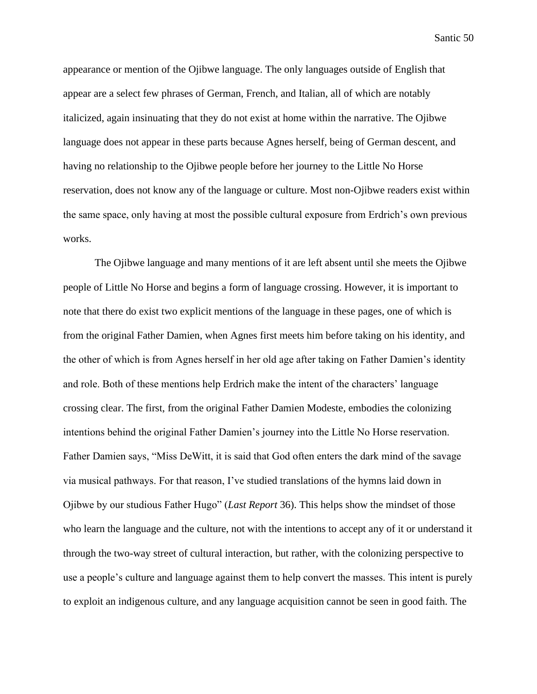appearance or mention of the Ojibwe language. The only languages outside of English that appear are a select few phrases of German, French, and Italian, all of which are notably italicized, again insinuating that they do not exist at home within the narrative. The Ojibwe language does not appear in these parts because Agnes herself, being of German descent, and having no relationship to the Ojibwe people before her journey to the Little No Horse reservation, does not know any of the language or culture. Most non-Ojibwe readers exist within the same space, only having at most the possible cultural exposure from Erdrich's own previous works.

The Ojibwe language and many mentions of it are left absent until she meets the Ojibwe people of Little No Horse and begins a form of language crossing. However, it is important to note that there do exist two explicit mentions of the language in these pages, one of which is from the original Father Damien, when Agnes first meets him before taking on his identity, and the other of which is from Agnes herself in her old age after taking on Father Damien's identity and role. Both of these mentions help Erdrich make the intent of the characters' language crossing clear. The first, from the original Father Damien Modeste, embodies the colonizing intentions behind the original Father Damien's journey into the Little No Horse reservation. Father Damien says, "Miss DeWitt, it is said that God often enters the dark mind of the savage via musical pathways. For that reason, I've studied translations of the hymns laid down in Ojibwe by our studious Father Hugo" (*Last Report* 36). This helps show the mindset of those who learn the language and the culture, not with the intentions to accept any of it or understand it through the two-way street of cultural interaction, but rather, with the colonizing perspective to use a people's culture and language against them to help convert the masses. This intent is purely to exploit an indigenous culture, and any language acquisition cannot be seen in good faith. The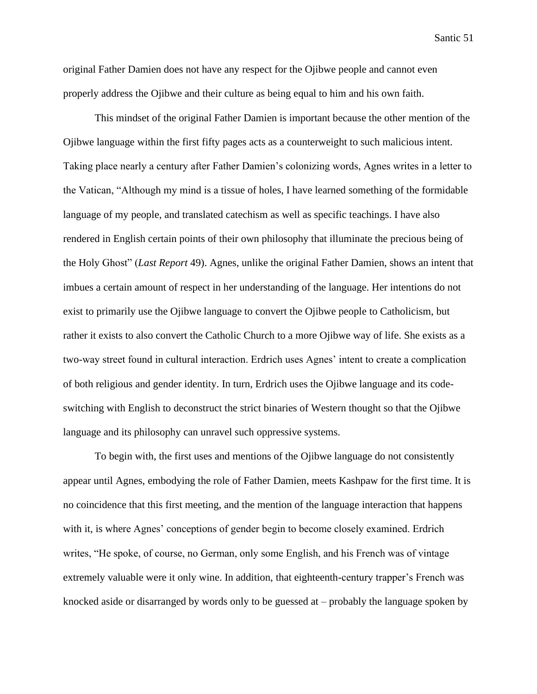original Father Damien does not have any respect for the Ojibwe people and cannot even properly address the Ojibwe and their culture as being equal to him and his own faith.

This mindset of the original Father Damien is important because the other mention of the Ojibwe language within the first fifty pages acts as a counterweight to such malicious intent. Taking place nearly a century after Father Damien's colonizing words, Agnes writes in a letter to the Vatican, "Although my mind is a tissue of holes, I have learned something of the formidable language of my people, and translated catechism as well as specific teachings. I have also rendered in English certain points of their own philosophy that illuminate the precious being of the Holy Ghost" (*Last Report* 49). Agnes, unlike the original Father Damien, shows an intent that imbues a certain amount of respect in her understanding of the language. Her intentions do not exist to primarily use the Ojibwe language to convert the Ojibwe people to Catholicism, but rather it exists to also convert the Catholic Church to a more Ojibwe way of life. She exists as a two-way street found in cultural interaction. Erdrich uses Agnes' intent to create a complication of both religious and gender identity. In turn, Erdrich uses the Ojibwe language and its codeswitching with English to deconstruct the strict binaries of Western thought so that the Ojibwe language and its philosophy can unravel such oppressive systems.

To begin with, the first uses and mentions of the Ojibwe language do not consistently appear until Agnes, embodying the role of Father Damien, meets Kashpaw for the first time. It is no coincidence that this first meeting, and the mention of the language interaction that happens with it, is where Agnes' conceptions of gender begin to become closely examined. Erdrich writes, "He spoke, of course, no German, only some English, and his French was of vintage extremely valuable were it only wine. In addition, that eighteenth-century trapper's French was knocked aside or disarranged by words only to be guessed at – probably the language spoken by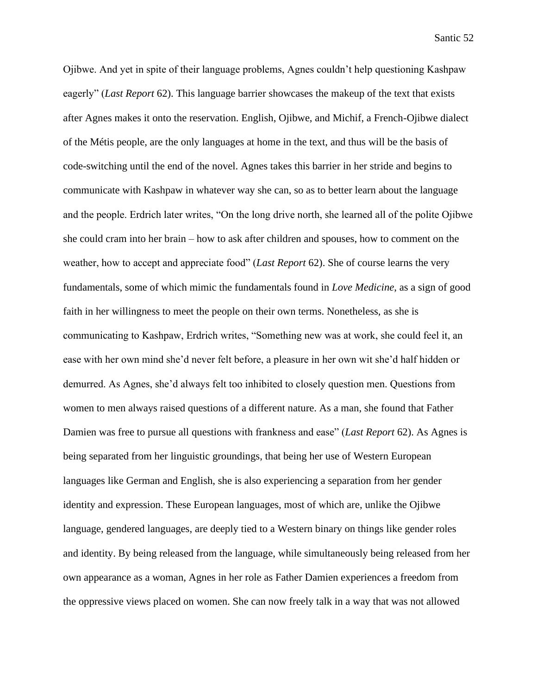Ojibwe. And yet in spite of their language problems, Agnes couldn't help questioning Kashpaw eagerly" (*Last Report* 62). This language barrier showcases the makeup of the text that exists after Agnes makes it onto the reservation. English, Ojibwe, and Michif, a French-Ojibwe dialect of the Métis people, are the only languages at home in the text, and thus will be the basis of code-switching until the end of the novel. Agnes takes this barrier in her stride and begins to communicate with Kashpaw in whatever way she can, so as to better learn about the language and the people. Erdrich later writes, "On the long drive north, she learned all of the polite Ojibwe she could cram into her brain – how to ask after children and spouses, how to comment on the weather, how to accept and appreciate food" (*Last Report* 62). She of course learns the very fundamentals, some of which mimic the fundamentals found in *Love Medicine*, as a sign of good faith in her willingness to meet the people on their own terms. Nonetheless, as she is communicating to Kashpaw, Erdrich writes, "Something new was at work, she could feel it, an ease with her own mind she'd never felt before, a pleasure in her own wit she'd half hidden or demurred. As Agnes, she'd always felt too inhibited to closely question men. Questions from women to men always raised questions of a different nature. As a man, she found that Father Damien was free to pursue all questions with frankness and ease" (*Last Report* 62). As Agnes is being separated from her linguistic groundings, that being her use of Western European languages like German and English, she is also experiencing a separation from her gender identity and expression. These European languages, most of which are, unlike the Ojibwe language, gendered languages, are deeply tied to a Western binary on things like gender roles and identity. By being released from the language, while simultaneously being released from her own appearance as a woman, Agnes in her role as Father Damien experiences a freedom from the oppressive views placed on women. She can now freely talk in a way that was not allowed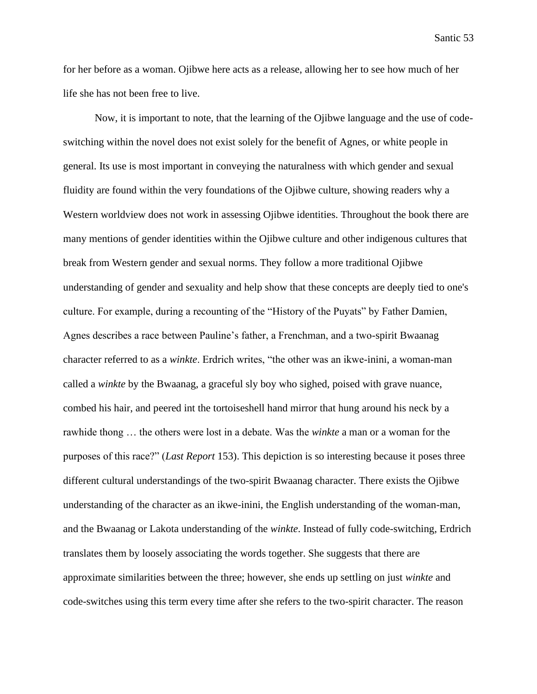for her before as a woman. Ojibwe here acts as a release, allowing her to see how much of her life she has not been free to live.

Now, it is important to note, that the learning of the Ojibwe language and the use of codeswitching within the novel does not exist solely for the benefit of Agnes, or white people in general. Its use is most important in conveying the naturalness with which gender and sexual fluidity are found within the very foundations of the Ojibwe culture, showing readers why a Western worldview does not work in assessing Ojibwe identities. Throughout the book there are many mentions of gender identities within the Ojibwe culture and other indigenous cultures that break from Western gender and sexual norms. They follow a more traditional Ojibwe understanding of gender and sexuality and help show that these concepts are deeply tied to one's culture. For example, during a recounting of the "History of the Puyats" by Father Damien, Agnes describes a race between Pauline's father, a Frenchman, and a two-spirit Bwaanag character referred to as a *winkte*. Erdrich writes, "the other was an ikwe-inini, a woman-man called a *winkte* by the Bwaanag, a graceful sly boy who sighed, poised with grave nuance, combed his hair, and peered int the tortoiseshell hand mirror that hung around his neck by a rawhide thong … the others were lost in a debate. Was the *winkte* a man or a woman for the purposes of this race?" (*Last Report* 153). This depiction is so interesting because it poses three different cultural understandings of the two-spirit Bwaanag character. There exists the Ojibwe understanding of the character as an ikwe-inini, the English understanding of the woman-man, and the Bwaanag or Lakota understanding of the *winkte*. Instead of fully code-switching, Erdrich translates them by loosely associating the words together. She suggests that there are approximate similarities between the three; however, she ends up settling on just *winkte* and code-switches using this term every time after she refers to the two-spirit character. The reason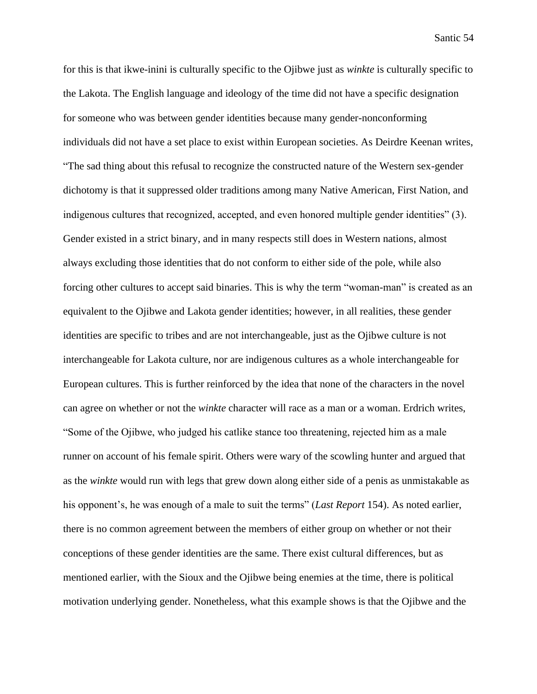for this is that ikwe-inini is culturally specific to the Ojibwe just as *winkte* is culturally specific to the Lakota. The English language and ideology of the time did not have a specific designation for someone who was between gender identities because many gender-nonconforming individuals did not have a set place to exist within European societies. As Deirdre Keenan writes, "The sad thing about this refusal to recognize the constructed nature of the Western sex-gender dichotomy is that it suppressed older traditions among many Native American, First Nation, and indigenous cultures that recognized, accepted, and even honored multiple gender identities" (3). Gender existed in a strict binary, and in many respects still does in Western nations, almost always excluding those identities that do not conform to either side of the pole, while also forcing other cultures to accept said binaries. This is why the term "woman-man" is created as an equivalent to the Ojibwe and Lakota gender identities; however, in all realities, these gender identities are specific to tribes and are not interchangeable, just as the Ojibwe culture is not interchangeable for Lakota culture, nor are indigenous cultures as a whole interchangeable for European cultures. This is further reinforced by the idea that none of the characters in the novel can agree on whether or not the *winkte* character will race as a man or a woman. Erdrich writes, "Some of the Ojibwe, who judged his catlike stance too threatening, rejected him as a male runner on account of his female spirit. Others were wary of the scowling hunter and argued that as the *winkte* would run with legs that grew down along either side of a penis as unmistakable as his opponent's, he was enough of a male to suit the terms" (*Last Report* 154). As noted earlier, there is no common agreement between the members of either group on whether or not their conceptions of these gender identities are the same. There exist cultural differences, but as mentioned earlier, with the Sioux and the Ojibwe being enemies at the time, there is political motivation underlying gender. Nonetheless, what this example shows is that the Ojibwe and the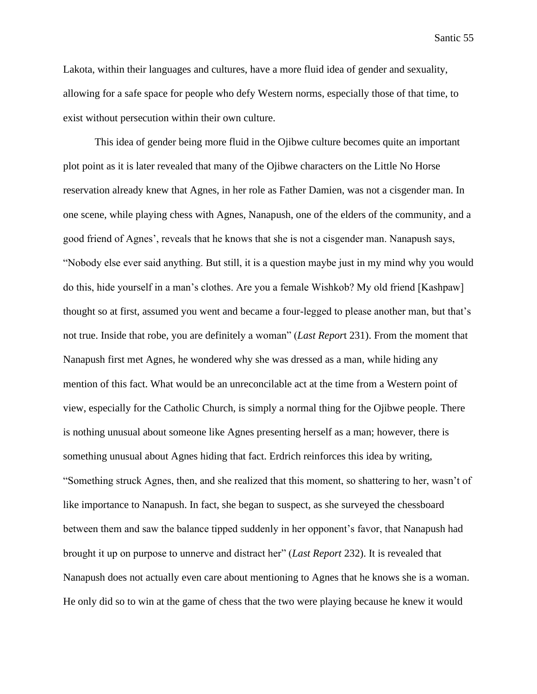Lakota, within their languages and cultures, have a more fluid idea of gender and sexuality, allowing for a safe space for people who defy Western norms, especially those of that time, to exist without persecution within their own culture.

This idea of gender being more fluid in the Ojibwe culture becomes quite an important plot point as it is later revealed that many of the Ojibwe characters on the Little No Horse reservation already knew that Agnes, in her role as Father Damien, was not a cisgender man. In one scene, while playing chess with Agnes, Nanapush, one of the elders of the community, and a good friend of Agnes', reveals that he knows that she is not a cisgender man. Nanapush says, "Nobody else ever said anything. But still, it is a question maybe just in my mind why you would do this, hide yourself in a man's clothes. Are you a female Wishkob? My old friend [Kashpaw] thought so at first, assumed you went and became a four-legged to please another man, but that's not true. Inside that robe, you are definitely a woman" (*Last Repor*t 231). From the moment that Nanapush first met Agnes, he wondered why she was dressed as a man, while hiding any mention of this fact. What would be an unreconcilable act at the time from a Western point of view, especially for the Catholic Church, is simply a normal thing for the Ojibwe people. There is nothing unusual about someone like Agnes presenting herself as a man; however, there is something unusual about Agnes hiding that fact. Erdrich reinforces this idea by writing, "Something struck Agnes, then, and she realized that this moment, so shattering to her, wasn't of like importance to Nanapush. In fact, she began to suspect, as she surveyed the chessboard between them and saw the balance tipped suddenly in her opponent's favor, that Nanapush had brought it up on purpose to unnerve and distract her" (*Last Report* 232). It is revealed that Nanapush does not actually even care about mentioning to Agnes that he knows she is a woman. He only did so to win at the game of chess that the two were playing because he knew it would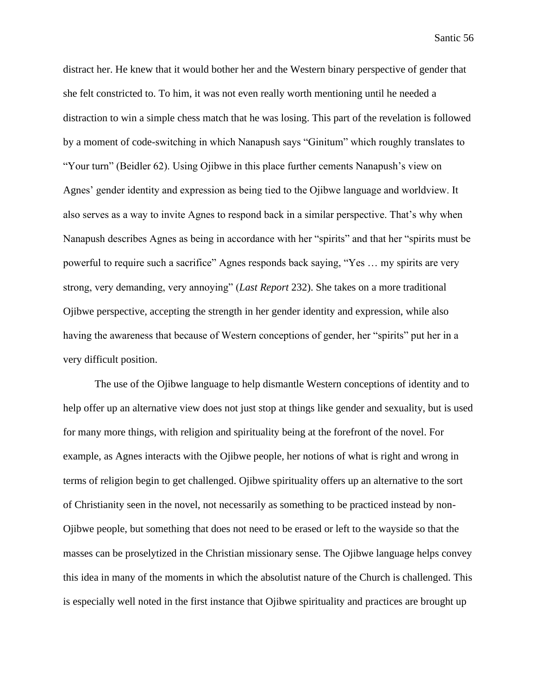distract her. He knew that it would bother her and the Western binary perspective of gender that she felt constricted to. To him, it was not even really worth mentioning until he needed a distraction to win a simple chess match that he was losing. This part of the revelation is followed by a moment of code-switching in which Nanapush says "Ginitum" which roughly translates to "Your turn" (Beidler 62). Using Ojibwe in this place further cements Nanapush's view on Agnes' gender identity and expression as being tied to the Ojibwe language and worldview. It also serves as a way to invite Agnes to respond back in a similar perspective. That's why when Nanapush describes Agnes as being in accordance with her "spirits" and that her "spirits must be powerful to require such a sacrifice" Agnes responds back saying, "Yes … my spirits are very strong, very demanding, very annoying" (*Last Report* 232). She takes on a more traditional Ojibwe perspective, accepting the strength in her gender identity and expression, while also having the awareness that because of Western conceptions of gender, her "spirits" put her in a very difficult position.

The use of the Ojibwe language to help dismantle Western conceptions of identity and to help offer up an alternative view does not just stop at things like gender and sexuality, but is used for many more things, with religion and spirituality being at the forefront of the novel. For example, as Agnes interacts with the Ojibwe people, her notions of what is right and wrong in terms of religion begin to get challenged. Ojibwe spirituality offers up an alternative to the sort of Christianity seen in the novel, not necessarily as something to be practiced instead by non-Ojibwe people, but something that does not need to be erased or left to the wayside so that the masses can be proselytized in the Christian missionary sense. The Ojibwe language helps convey this idea in many of the moments in which the absolutist nature of the Church is challenged. This is especially well noted in the first instance that Ojibwe spirituality and practices are brought up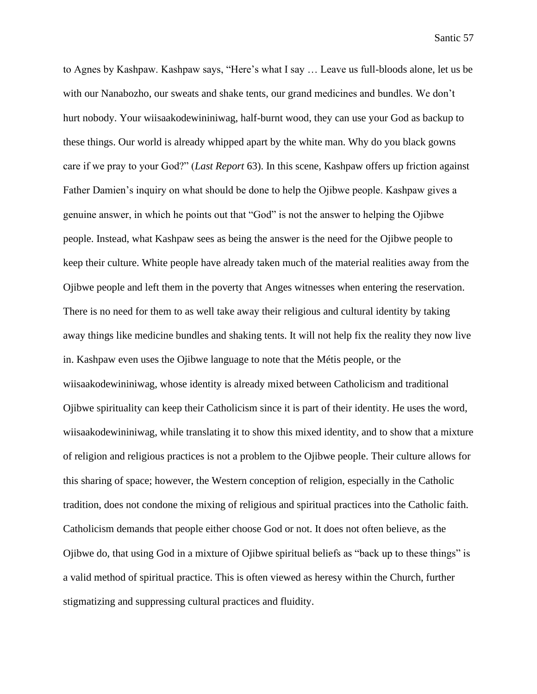to Agnes by Kashpaw. Kashpaw says, "Here's what I say … Leave us full-bloods alone, let us be with our Nanabozho, our sweats and shake tents, our grand medicines and bundles. We don't hurt nobody. Your wiisaakodewininiwag, half-burnt wood, they can use your God as backup to these things. Our world is already whipped apart by the white man. Why do you black gowns care if we pray to your God?" (*Last Report* 63). In this scene, Kashpaw offers up friction against Father Damien's inquiry on what should be done to help the Ojibwe people. Kashpaw gives a genuine answer, in which he points out that "God" is not the answer to helping the Ojibwe people. Instead, what Kashpaw sees as being the answer is the need for the Ojibwe people to keep their culture. White people have already taken much of the material realities away from the Ojibwe people and left them in the poverty that Anges witnesses when entering the reservation. There is no need for them to as well take away their religious and cultural identity by taking away things like medicine bundles and shaking tents. It will not help fix the reality they now live in. Kashpaw even uses the Ojibwe language to note that the Métis people, or the wiisaakodewininiwag, whose identity is already mixed between Catholicism and traditional Ojibwe spirituality can keep their Catholicism since it is part of their identity. He uses the word, wiisaakodewininiwag, while translating it to show this mixed identity, and to show that a mixture of religion and religious practices is not a problem to the Ojibwe people. Their culture allows for this sharing of space; however, the Western conception of religion, especially in the Catholic tradition, does not condone the mixing of religious and spiritual practices into the Catholic faith. Catholicism demands that people either choose God or not. It does not often believe, as the Ojibwe do, that using God in a mixture of Ojibwe spiritual beliefs as "back up to these things" is a valid method of spiritual practice. This is often viewed as heresy within the Church, further stigmatizing and suppressing cultural practices and fluidity.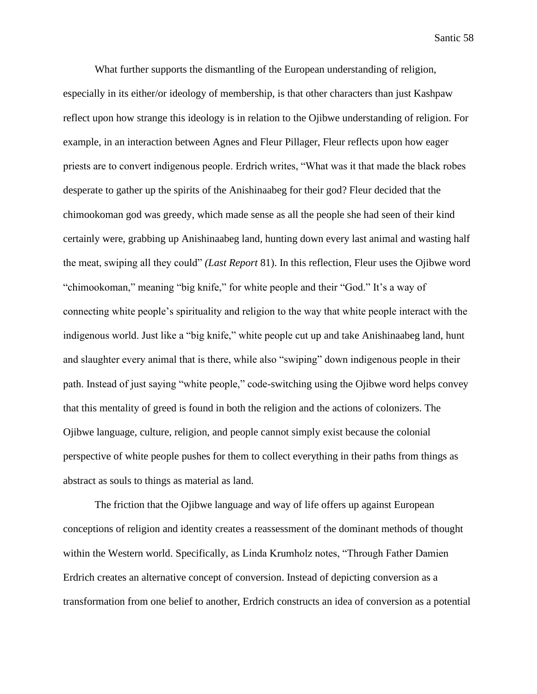What further supports the dismantling of the European understanding of religion, especially in its either/or ideology of membership, is that other characters than just Kashpaw reflect upon how strange this ideology is in relation to the Ojibwe understanding of religion. For example, in an interaction between Agnes and Fleur Pillager, Fleur reflects upon how eager priests are to convert indigenous people. Erdrich writes, "What was it that made the black robes desperate to gather up the spirits of the Anishinaabeg for their god? Fleur decided that the chimookoman god was greedy, which made sense as all the people she had seen of their kind certainly were, grabbing up Anishinaabeg land, hunting down every last animal and wasting half the meat, swiping all they could" *(Last Report* 81). In this reflection, Fleur uses the Ojibwe word "chimookoman," meaning "big knife," for white people and their "God." It's a way of connecting white people's spirituality and religion to the way that white people interact with the indigenous world. Just like a "big knife," white people cut up and take Anishinaabeg land, hunt and slaughter every animal that is there, while also "swiping" down indigenous people in their path. Instead of just saying "white people," code-switching using the Ojibwe word helps convey that this mentality of greed is found in both the religion and the actions of colonizers. The Ojibwe language, culture, religion, and people cannot simply exist because the colonial perspective of white people pushes for them to collect everything in their paths from things as abstract as souls to things as material as land.

The friction that the Ojibwe language and way of life offers up against European conceptions of religion and identity creates a reassessment of the dominant methods of thought within the Western world. Specifically, as Linda Krumholz notes, "Through Father Damien Erdrich creates an alternative concept of conversion. Instead of depicting conversion as a transformation from one belief to another, Erdrich constructs an idea of conversion as a potential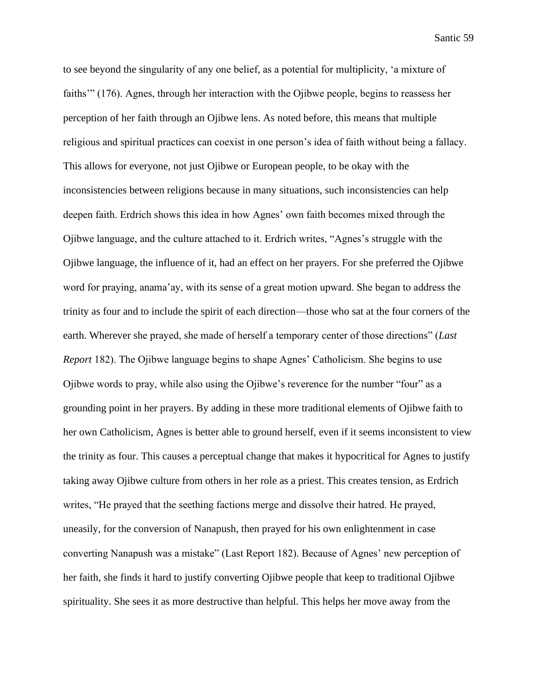to see beyond the singularity of any one belief, as a potential for multiplicity, 'a mixture of faiths'" (176). Agnes, through her interaction with the Ojibwe people, begins to reassess her perception of her faith through an Ojibwe lens. As noted before, this means that multiple religious and spiritual practices can coexist in one person's idea of faith without being a fallacy. This allows for everyone, not just Ojibwe or European people, to be okay with the inconsistencies between religions because in many situations, such inconsistencies can help deepen faith. Erdrich shows this idea in how Agnes' own faith becomes mixed through the Ojibwe language, and the culture attached to it. Erdrich writes, "Agnes's struggle with the Ojibwe language, the influence of it, had an effect on her prayers. For she preferred the Ojibwe word for praying, anama'ay, with its sense of a great motion upward. She began to address the trinity as four and to include the spirit of each direction—those who sat at the four corners of the earth. Wherever she prayed, she made of herself a temporary center of those directions" (*Last Report* 182). The Ojibwe language begins to shape Agnes' Catholicism. She begins to use Ojibwe words to pray, while also using the Ojibwe's reverence for the number "four" as a grounding point in her prayers. By adding in these more traditional elements of Ojibwe faith to her own Catholicism, Agnes is better able to ground herself, even if it seems inconsistent to view the trinity as four. This causes a perceptual change that makes it hypocritical for Agnes to justify taking away Ojibwe culture from others in her role as a priest. This creates tension, as Erdrich writes, "He prayed that the seething factions merge and dissolve their hatred. He prayed, uneasily, for the conversion of Nanapush, then prayed for his own enlightenment in case converting Nanapush was a mistake" (Last Report 182). Because of Agnes' new perception of her faith, she finds it hard to justify converting Ojibwe people that keep to traditional Ojibwe spirituality. She sees it as more destructive than helpful. This helps her move away from the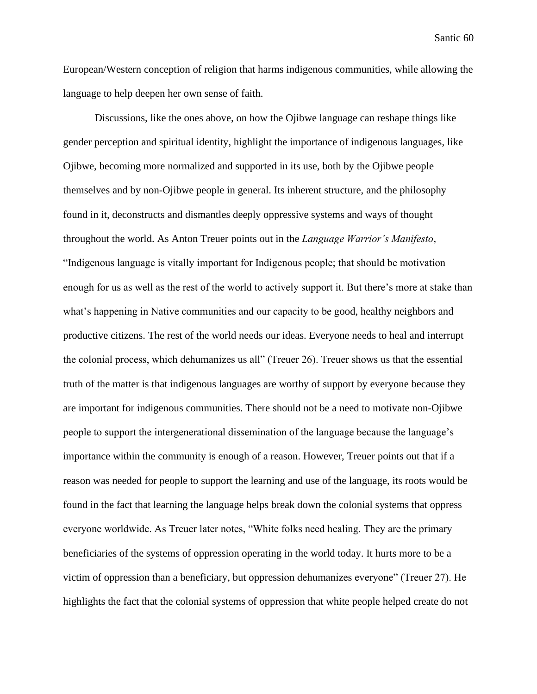European/Western conception of religion that harms indigenous communities, while allowing the language to help deepen her own sense of faith.

Discussions, like the ones above, on how the Ojibwe language can reshape things like gender perception and spiritual identity, highlight the importance of indigenous languages, like Ojibwe, becoming more normalized and supported in its use, both by the Ojibwe people themselves and by non-Ojibwe people in general. Its inherent structure, and the philosophy found in it, deconstructs and dismantles deeply oppressive systems and ways of thought throughout the world. As Anton Treuer points out in the *Language Warrior's Manifesto*, "Indigenous language is vitally important for Indigenous people; that should be motivation enough for us as well as the rest of the world to actively support it. But there's more at stake than what's happening in Native communities and our capacity to be good, healthy neighbors and productive citizens. The rest of the world needs our ideas. Everyone needs to heal and interrupt the colonial process, which dehumanizes us all" (Treuer 26). Treuer shows us that the essential truth of the matter is that indigenous languages are worthy of support by everyone because they are important for indigenous communities. There should not be a need to motivate non-Ojibwe people to support the intergenerational dissemination of the language because the language's importance within the community is enough of a reason. However, Treuer points out that if a reason was needed for people to support the learning and use of the language, its roots would be found in the fact that learning the language helps break down the colonial systems that oppress everyone worldwide. As Treuer later notes, "White folks need healing. They are the primary beneficiaries of the systems of oppression operating in the world today. It hurts more to be a victim of oppression than a beneficiary, but oppression dehumanizes everyone" (Treuer 27). He highlights the fact that the colonial systems of oppression that white people helped create do not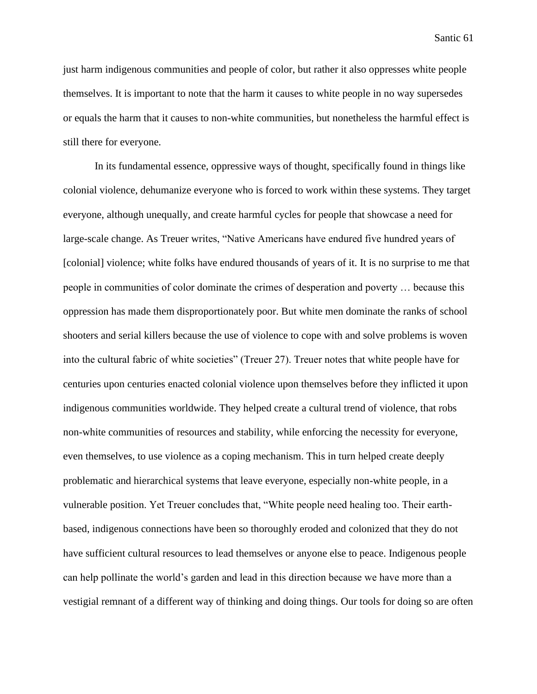just harm indigenous communities and people of color, but rather it also oppresses white people themselves. It is important to note that the harm it causes to white people in no way supersedes or equals the harm that it causes to non-white communities, but nonetheless the harmful effect is still there for everyone.

In its fundamental essence, oppressive ways of thought, specifically found in things like colonial violence, dehumanize everyone who is forced to work within these systems. They target everyone, although unequally, and create harmful cycles for people that showcase a need for large-scale change. As Treuer writes, "Native Americans have endured five hundred years of [colonial] violence; white folks have endured thousands of years of it. It is no surprise to me that people in communities of color dominate the crimes of desperation and poverty … because this oppression has made them disproportionately poor. But white men dominate the ranks of school shooters and serial killers because the use of violence to cope with and solve problems is woven into the cultural fabric of white societies" (Treuer 27). Treuer notes that white people have for centuries upon centuries enacted colonial violence upon themselves before they inflicted it upon indigenous communities worldwide. They helped create a cultural trend of violence, that robs non-white communities of resources and stability, while enforcing the necessity for everyone, even themselves, to use violence as a coping mechanism. This in turn helped create deeply problematic and hierarchical systems that leave everyone, especially non-white people, in a vulnerable position. Yet Treuer concludes that, "White people need healing too. Their earthbased, indigenous connections have been so thoroughly eroded and colonized that they do not have sufficient cultural resources to lead themselves or anyone else to peace. Indigenous people can help pollinate the world's garden and lead in this direction because we have more than a vestigial remnant of a different way of thinking and doing things. Our tools for doing so are often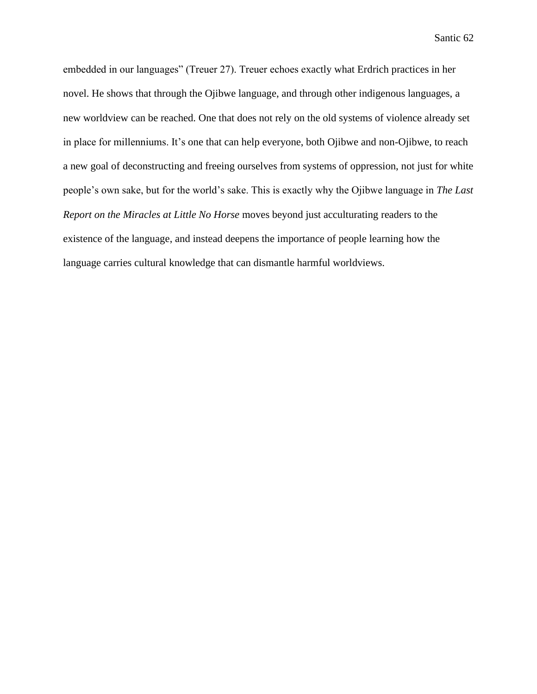embedded in our languages" (Treuer 27). Treuer echoes exactly what Erdrich practices in her novel. He shows that through the Ojibwe language, and through other indigenous languages, a new worldview can be reached. One that does not rely on the old systems of violence already set in place for millenniums. It's one that can help everyone, both Ojibwe and non-Ojibwe, to reach a new goal of deconstructing and freeing ourselves from systems of oppression, not just for white people's own sake, but for the world's sake. This is exactly why the Ojibwe language in *The Last Report on the Miracles at Little No Horse* moves beyond just acculturating readers to the existence of the language, and instead deepens the importance of people learning how the language carries cultural knowledge that can dismantle harmful worldviews.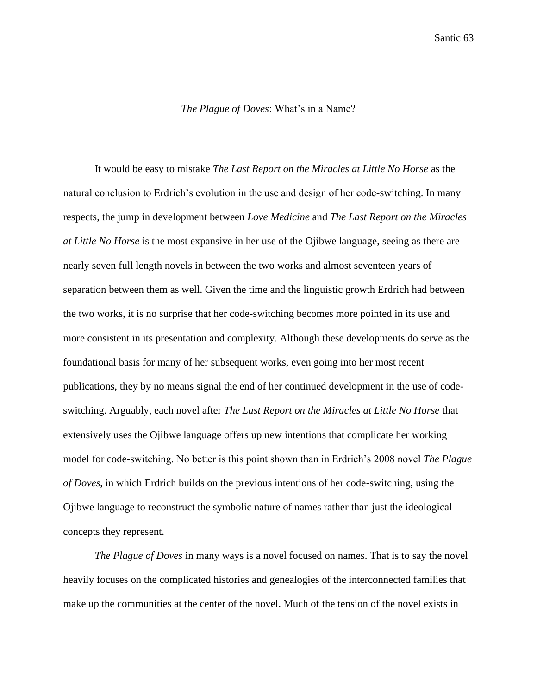## *The Plague of Doves*: What's in a Name?

It would be easy to mistake *The Last Report on the Miracles at Little No Horse* as the natural conclusion to Erdrich's evolution in the use and design of her code-switching. In many respects, the jump in development between *Love Medicine* and *The Last Report on the Miracles at Little No Horse* is the most expansive in her use of the Ojibwe language, seeing as there are nearly seven full length novels in between the two works and almost seventeen years of separation between them as well. Given the time and the linguistic growth Erdrich had between the two works, it is no surprise that her code-switching becomes more pointed in its use and more consistent in its presentation and complexity. Although these developments do serve as the foundational basis for many of her subsequent works, even going into her most recent publications, they by no means signal the end of her continued development in the use of codeswitching. Arguably, each novel after *The Last Report on the Miracles at Little No Horse* that extensively uses the Ojibwe language offers up new intentions that complicate her working model for code-switching. No better is this point shown than in Erdrich's 2008 novel *The Plague of Doves*, in which Erdrich builds on the previous intentions of her code-switching, using the Ojibwe language to reconstruct the symbolic nature of names rather than just the ideological concepts they represent.

*The Plague of Doves* in many ways is a novel focused on names. That is to say the novel heavily focuses on the complicated histories and genealogies of the interconnected families that make up the communities at the center of the novel. Much of the tension of the novel exists in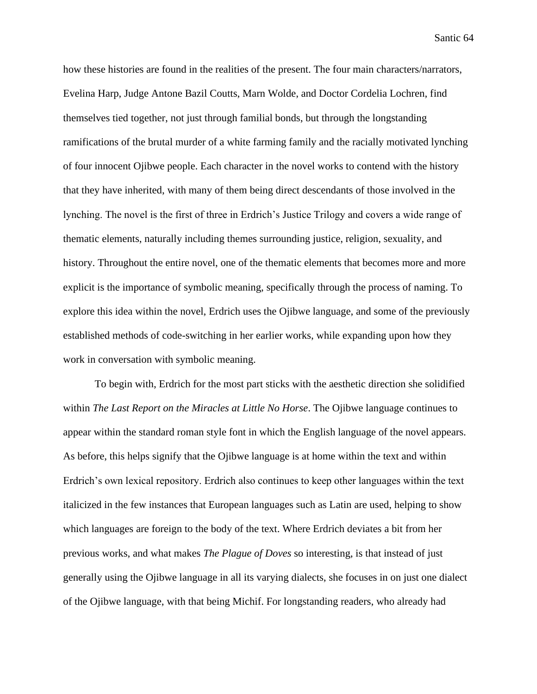how these histories are found in the realities of the present. The four main characters/narrators, Evelina Harp, Judge Antone Bazil Coutts, Marn Wolde, and Doctor Cordelia Lochren, find themselves tied together, not just through familial bonds, but through the longstanding ramifications of the brutal murder of a white farming family and the racially motivated lynching of four innocent Ojibwe people. Each character in the novel works to contend with the history that they have inherited, with many of them being direct descendants of those involved in the lynching. The novel is the first of three in Erdrich's Justice Trilogy and covers a wide range of thematic elements, naturally including themes surrounding justice, religion, sexuality, and history. Throughout the entire novel, one of the thematic elements that becomes more and more explicit is the importance of symbolic meaning, specifically through the process of naming. To explore this idea within the novel, Erdrich uses the Ojibwe language, and some of the previously established methods of code-switching in her earlier works, while expanding upon how they work in conversation with symbolic meaning.

To begin with, Erdrich for the most part sticks with the aesthetic direction she solidified within *The Last Report on the Miracles at Little No Horse*. The Ojibwe language continues to appear within the standard roman style font in which the English language of the novel appears. As before, this helps signify that the Ojibwe language is at home within the text and within Erdrich's own lexical repository. Erdrich also continues to keep other languages within the text italicized in the few instances that European languages such as Latin are used, helping to show which languages are foreign to the body of the text. Where Erdrich deviates a bit from her previous works, and what makes *The Plague of Doves* so interesting, is that instead of just generally using the Ojibwe language in all its varying dialects, she focuses in on just one dialect of the Ojibwe language, with that being Michif. For longstanding readers, who already had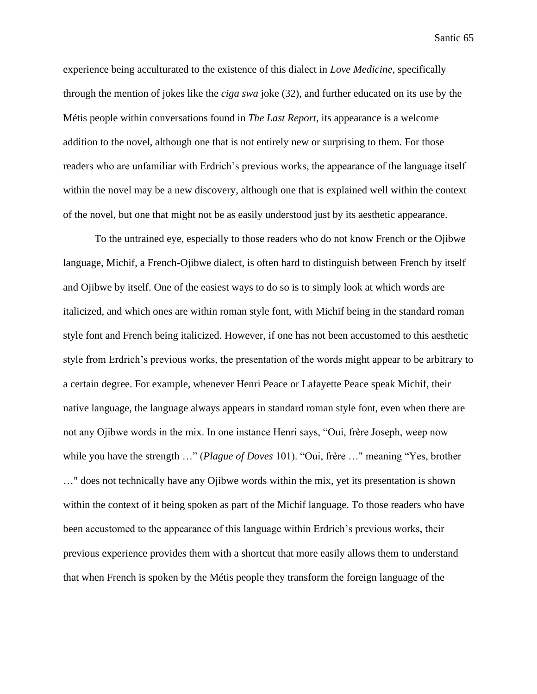experience being acculturated to the existence of this dialect in *Love Medicine*, specifically through the mention of jokes like the *ciga swa* joke (32), and further educated on its use by the Métis people within conversations found in *The Last Report*, its appearance is a welcome addition to the novel, although one that is not entirely new or surprising to them. For those readers who are unfamiliar with Erdrich's previous works, the appearance of the language itself within the novel may be a new discovery, although one that is explained well within the context of the novel, but one that might not be as easily understood just by its aesthetic appearance.

To the untrained eye, especially to those readers who do not know French or the Ojibwe language, Michif, a French-Ojibwe dialect, is often hard to distinguish between French by itself and Ojibwe by itself. One of the easiest ways to do so is to simply look at which words are italicized, and which ones are within roman style font, with Michif being in the standard roman style font and French being italicized. However, if one has not been accustomed to this aesthetic style from Erdrich's previous works, the presentation of the words might appear to be arbitrary to a certain degree. For example, whenever Henri Peace or Lafayette Peace speak Michif, their native language, the language always appears in standard roman style font, even when there are not any Ojibwe words in the mix. In one instance Henri says, "Oui, frère Joseph, weep now while you have the strength …" (*Plague of Doves* 101). "Oui, frère …" meaning "Yes, brother …" does not technically have any Ojibwe words within the mix, yet its presentation is shown within the context of it being spoken as part of the Michif language. To those readers who have been accustomed to the appearance of this language within Erdrich's previous works, their previous experience provides them with a shortcut that more easily allows them to understand that when French is spoken by the Métis people they transform the foreign language of the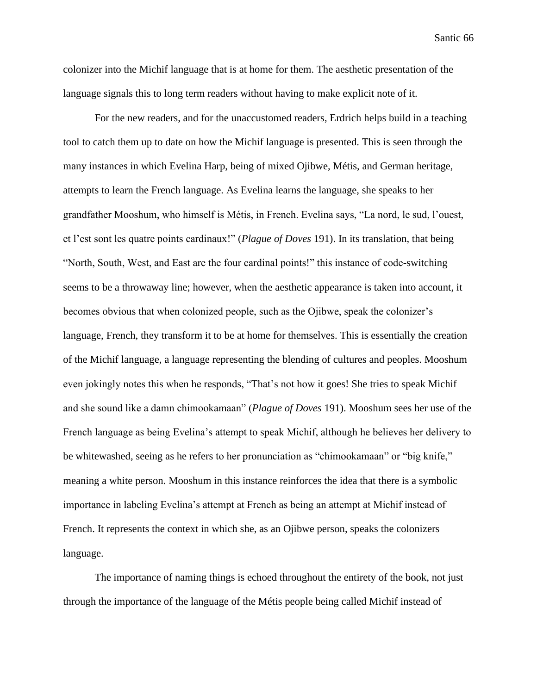colonizer into the Michif language that is at home for them. The aesthetic presentation of the language signals this to long term readers without having to make explicit note of it.

For the new readers, and for the unaccustomed readers, Erdrich helps build in a teaching tool to catch them up to date on how the Michif language is presented. This is seen through the many instances in which Evelina Harp, being of mixed Ojibwe, Métis, and German heritage, attempts to learn the French language. As Evelina learns the language, she speaks to her grandfather Mooshum, who himself is Métis, in French. Evelina says, "La nord, le sud, l'ouest, et l'est sont les quatre points cardinaux!" (*Plague of Doves* 191). In its translation, that being "North, South, West, and East are the four cardinal points!" this instance of code-switching seems to be a throwaway line; however, when the aesthetic appearance is taken into account, it becomes obvious that when colonized people, such as the Ojibwe, speak the colonizer's language, French, they transform it to be at home for themselves. This is essentially the creation of the Michif language, a language representing the blending of cultures and peoples. Mooshum even jokingly notes this when he responds, "That's not how it goes! She tries to speak Michif and she sound like a damn chimookamaan" (*Plague of Doves* 191). Mooshum sees her use of the French language as being Evelina's attempt to speak Michif, although he believes her delivery to be whitewashed, seeing as he refers to her pronunciation as "chimookamaan" or "big knife," meaning a white person. Mooshum in this instance reinforces the idea that there is a symbolic importance in labeling Evelina's attempt at French as being an attempt at Michif instead of French. It represents the context in which she, as an Ojibwe person, speaks the colonizers language.

The importance of naming things is echoed throughout the entirety of the book, not just through the importance of the language of the Métis people being called Michif instead of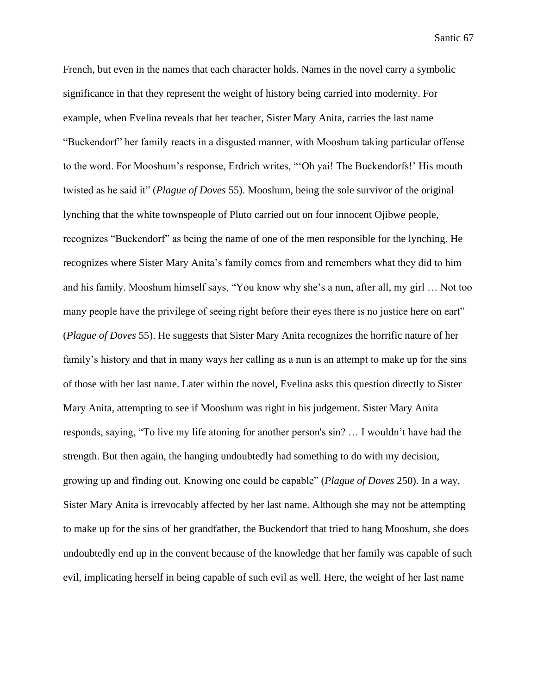French, but even in the names that each character holds. Names in the novel carry a symbolic significance in that they represent the weight of history being carried into modernity. For example, when Evelina reveals that her teacher, Sister Mary Anita, carries the last name "Buckendorf" her family reacts in a disgusted manner, with Mooshum taking particular offense to the word. For Mooshum's response, Erdrich writes, "'Oh yai! The Buckendorfs!' His mouth twisted as he said it" (*Plague of Doves* 55). Mooshum, being the sole survivor of the original lynching that the white townspeople of Pluto carried out on four innocent Ojibwe people, recognizes "Buckendorf" as being the name of one of the men responsible for the lynching. He recognizes where Sister Mary Anita's family comes from and remembers what they did to him and his family. Mooshum himself says, "You know why she's a nun, after all, my girl … Not too many people have the privilege of seeing right before their eyes there is no justice here on eart" (*Plague of Doves* 55). He suggests that Sister Mary Anita recognizes the horrific nature of her family's history and that in many ways her calling as a nun is an attempt to make up for the sins of those with her last name. Later within the novel, Evelina asks this question directly to Sister Mary Anita, attempting to see if Mooshum was right in his judgement. Sister Mary Anita responds, saying, "To live my life atoning for another person's sin? … I wouldn't have had the strength. But then again, the hanging undoubtedly had something to do with my decision, growing up and finding out. Knowing one could be capable" (*Plague of Doves* 250). In a way, Sister Mary Anita is irrevocably affected by her last name. Although she may not be attempting to make up for the sins of her grandfather, the Buckendorf that tried to hang Mooshum, she does undoubtedly end up in the convent because of the knowledge that her family was capable of such evil, implicating herself in being capable of such evil as well. Here, the weight of her last name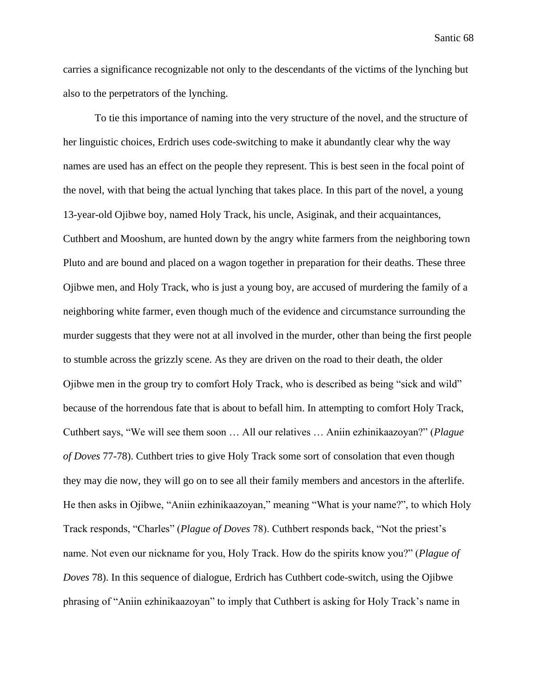carries a significance recognizable not only to the descendants of the victims of the lynching but also to the perpetrators of the lynching.

To tie this importance of naming into the very structure of the novel, and the structure of her linguistic choices, Erdrich uses code-switching to make it abundantly clear why the way names are used has an effect on the people they represent. This is best seen in the focal point of the novel, with that being the actual lynching that takes place. In this part of the novel, a young 13-year-old Ojibwe boy, named Holy Track, his uncle, Asiginak, and their acquaintances, Cuthbert and Mooshum, are hunted down by the angry white farmers from the neighboring town Pluto and are bound and placed on a wagon together in preparation for their deaths. These three Ojibwe men, and Holy Track, who is just a young boy, are accused of murdering the family of a neighboring white farmer, even though much of the evidence and circumstance surrounding the murder suggests that they were not at all involved in the murder, other than being the first people to stumble across the grizzly scene. As they are driven on the road to their death, the older Ojibwe men in the group try to comfort Holy Track, who is described as being "sick and wild" because of the horrendous fate that is about to befall him. In attempting to comfort Holy Track, Cuthbert says, "We will see them soon … All our relatives … Aniin ezhinikaazoyan?" (*Plague of Doves* 77-78). Cuthbert tries to give Holy Track some sort of consolation that even though they may die now, they will go on to see all their family members and ancestors in the afterlife. He then asks in Ojibwe, "Aniin ezhinikaazoyan," meaning "What is your name?", to which Holy Track responds, "Charles" (*Plague of Doves* 78). Cuthbert responds back, "Not the priest's name. Not even our nickname for you, Holy Track. How do the spirits know you?" (*Plague of Doves* 78). In this sequence of dialogue, Erdrich has Cuthbert code-switch, using the Ojibwe phrasing of "Aniin ezhinikaazoyan" to imply that Cuthbert is asking for Holy Track's name in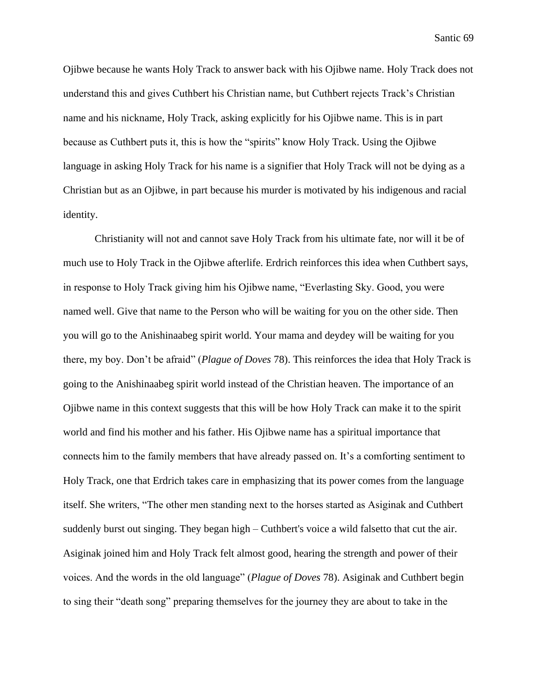Ojibwe because he wants Holy Track to answer back with his Ojibwe name. Holy Track does not understand this and gives Cuthbert his Christian name, but Cuthbert rejects Track's Christian name and his nickname, Holy Track, asking explicitly for his Ojibwe name. This is in part because as Cuthbert puts it, this is how the "spirits" know Holy Track. Using the Ojibwe language in asking Holy Track for his name is a signifier that Holy Track will not be dying as a Christian but as an Ojibwe, in part because his murder is motivated by his indigenous and racial identity.

Christianity will not and cannot save Holy Track from his ultimate fate, nor will it be of much use to Holy Track in the Ojibwe afterlife. Erdrich reinforces this idea when Cuthbert says, in response to Holy Track giving him his Ojibwe name, "Everlasting Sky. Good, you were named well. Give that name to the Person who will be waiting for you on the other side. Then you will go to the Anishinaabeg spirit world. Your mama and deydey will be waiting for you there, my boy. Don't be afraid" (*Plague of Doves* 78). This reinforces the idea that Holy Track is going to the Anishinaabeg spirit world instead of the Christian heaven. The importance of an Ojibwe name in this context suggests that this will be how Holy Track can make it to the spirit world and find his mother and his father. His Ojibwe name has a spiritual importance that connects him to the family members that have already passed on. It's a comforting sentiment to Holy Track, one that Erdrich takes care in emphasizing that its power comes from the language itself. She writers, "The other men standing next to the horses started as Asiginak and Cuthbert suddenly burst out singing. They began high – Cuthbert's voice a wild falsetto that cut the air. Asiginak joined him and Holy Track felt almost good, hearing the strength and power of their voices. And the words in the old language" (*Plague of Doves* 78). Asiginak and Cuthbert begin to sing their "death song" preparing themselves for the journey they are about to take in the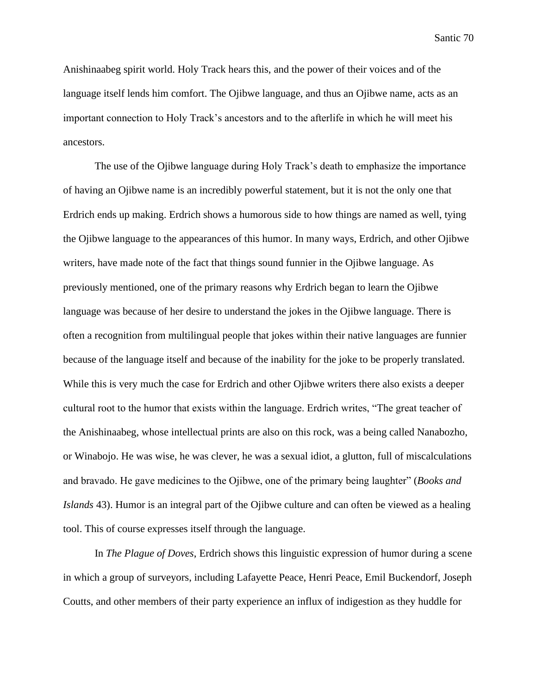Anishinaabeg spirit world. Holy Track hears this, and the power of their voices and of the language itself lends him comfort. The Ojibwe language, and thus an Ojibwe name, acts as an important connection to Holy Track's ancestors and to the afterlife in which he will meet his ancestors.

The use of the Ojibwe language during Holy Track's death to emphasize the importance of having an Ojibwe name is an incredibly powerful statement, but it is not the only one that Erdrich ends up making. Erdrich shows a humorous side to how things are named as well, tying the Ojibwe language to the appearances of this humor. In many ways, Erdrich, and other Ojibwe writers, have made note of the fact that things sound funnier in the Ojibwe language. As previously mentioned, one of the primary reasons why Erdrich began to learn the Ojibwe language was because of her desire to understand the jokes in the Ojibwe language. There is often a recognition from multilingual people that jokes within their native languages are funnier because of the language itself and because of the inability for the joke to be properly translated. While this is very much the case for Erdrich and other Ojibwe writers there also exists a deeper cultural root to the humor that exists within the language. Erdrich writes, "The great teacher of the Anishinaabeg, whose intellectual prints are also on this rock, was a being called Nanabozho, or Winabojo. He was wise, he was clever, he was a sexual idiot, a glutton, full of miscalculations and bravado. He gave medicines to the Ojibwe, one of the primary being laughter" (*Books and Islands* 43). Humor is an integral part of the Ojibwe culture and can often be viewed as a healing tool. This of course expresses itself through the language.

In *The Plague of Doves*, Erdrich shows this linguistic expression of humor during a scene in which a group of surveyors, including Lafayette Peace, Henri Peace, Emil Buckendorf, Joseph Coutts, and other members of their party experience an influx of indigestion as they huddle for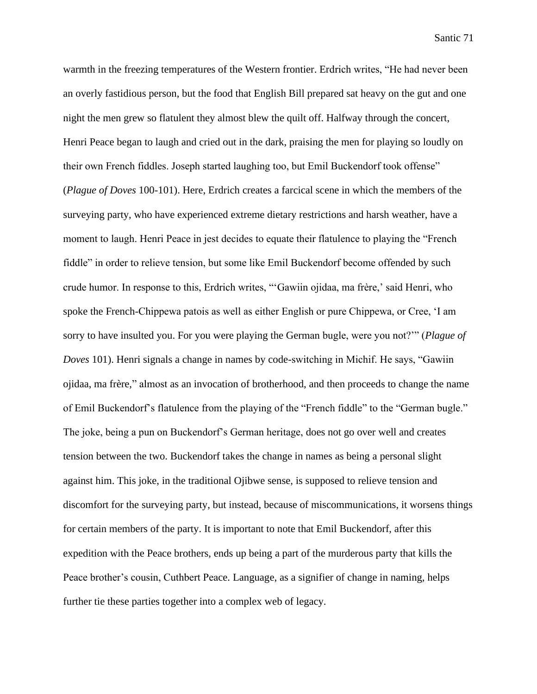warmth in the freezing temperatures of the Western frontier. Erdrich writes, "He had never been an overly fastidious person, but the food that English Bill prepared sat heavy on the gut and one night the men grew so flatulent they almost blew the quilt off. Halfway through the concert, Henri Peace began to laugh and cried out in the dark, praising the men for playing so loudly on their own French fiddles. Joseph started laughing too, but Emil Buckendorf took offense" (*Plague of Doves* 100-101). Here, Erdrich creates a farcical scene in which the members of the surveying party, who have experienced extreme dietary restrictions and harsh weather, have a moment to laugh. Henri Peace in jest decides to equate their flatulence to playing the "French fiddle" in order to relieve tension, but some like Emil Buckendorf become offended by such crude humor. In response to this, Erdrich writes, "'Gawiin ojidaa, ma frère,' said Henri, who spoke the French-Chippewa patois as well as either English or pure Chippewa, or Cree, 'I am sorry to have insulted you. For you were playing the German bugle, were you not?'" (*Plague of Doves* 101). Henri signals a change in names by code-switching in Michif. He says, "Gawiin ojidaa, ma frère," almost as an invocation of brotherhood, and then proceeds to change the name of Emil Buckendorf's flatulence from the playing of the "French fiddle" to the "German bugle." The joke, being a pun on Buckendorf's German heritage, does not go over well and creates tension between the two. Buckendorf takes the change in names as being a personal slight against him. This joke, in the traditional Ojibwe sense, is supposed to relieve tension and discomfort for the surveying party, but instead, because of miscommunications, it worsens things for certain members of the party. It is important to note that Emil Buckendorf, after this expedition with the Peace brothers, ends up being a part of the murderous party that kills the Peace brother's cousin, Cuthbert Peace. Language, as a signifier of change in naming, helps further tie these parties together into a complex web of legacy.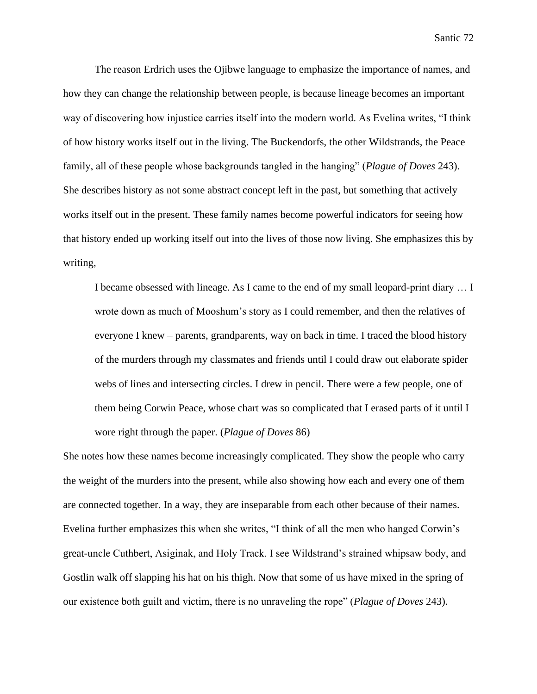The reason Erdrich uses the Ojibwe language to emphasize the importance of names, and how they can change the relationship between people, is because lineage becomes an important way of discovering how injustice carries itself into the modern world. As Evelina writes, "I think of how history works itself out in the living. The Buckendorfs, the other Wildstrands, the Peace family, all of these people whose backgrounds tangled in the hanging" (*Plague of Doves* 243). She describes history as not some abstract concept left in the past, but something that actively works itself out in the present. These family names become powerful indicators for seeing how that history ended up working itself out into the lives of those now living. She emphasizes this by writing,

I became obsessed with lineage. As I came to the end of my small leopard-print diary … I wrote down as much of Mooshum's story as I could remember, and then the relatives of everyone I knew – parents, grandparents, way on back in time. I traced the blood history of the murders through my classmates and friends until I could draw out elaborate spider webs of lines and intersecting circles. I drew in pencil. There were a few people, one of them being Corwin Peace, whose chart was so complicated that I erased parts of it until I wore right through the paper. (*Plague of Doves* 86)

She notes how these names become increasingly complicated. They show the people who carry the weight of the murders into the present, while also showing how each and every one of them are connected together. In a way, they are inseparable from each other because of their names. Evelina further emphasizes this when she writes, "I think of all the men who hanged Corwin's great-uncle Cuthbert, Asiginak, and Holy Track. I see Wildstrand's strained whipsaw body, and Gostlin walk off slapping his hat on his thigh. Now that some of us have mixed in the spring of our existence both guilt and victim, there is no unraveling the rope" (*Plague of Doves* 243).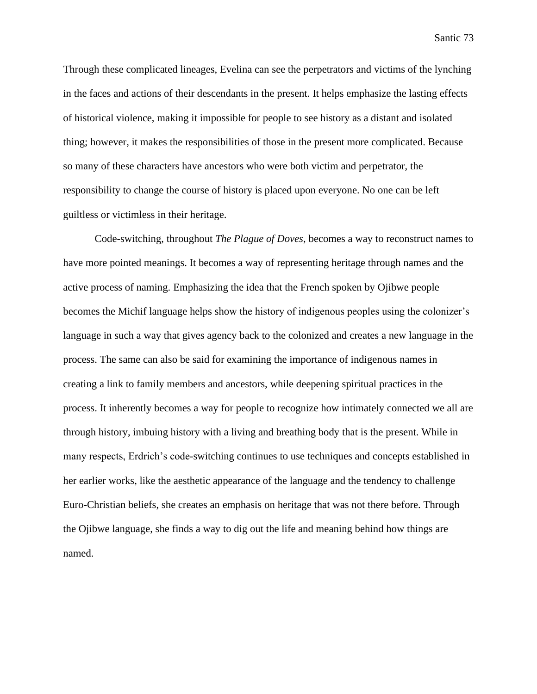Through these complicated lineages, Evelina can see the perpetrators and victims of the lynching in the faces and actions of their descendants in the present. It helps emphasize the lasting effects of historical violence, making it impossible for people to see history as a distant and isolated thing; however, it makes the responsibilities of those in the present more complicated. Because so many of these characters have ancestors who were both victim and perpetrator, the responsibility to change the course of history is placed upon everyone. No one can be left guiltless or victimless in their heritage.

Code-switching, throughout *The Plague of Doves*, becomes a way to reconstruct names to have more pointed meanings. It becomes a way of representing heritage through names and the active process of naming. Emphasizing the idea that the French spoken by Ojibwe people becomes the Michif language helps show the history of indigenous peoples using the colonizer's language in such a way that gives agency back to the colonized and creates a new language in the process. The same can also be said for examining the importance of indigenous names in creating a link to family members and ancestors, while deepening spiritual practices in the process. It inherently becomes a way for people to recognize how intimately connected we all are through history, imbuing history with a living and breathing body that is the present. While in many respects, Erdrich's code-switching continues to use techniques and concepts established in her earlier works, like the aesthetic appearance of the language and the tendency to challenge Euro-Christian beliefs, she creates an emphasis on heritage that was not there before. Through the Ojibwe language, she finds a way to dig out the life and meaning behind how things are named.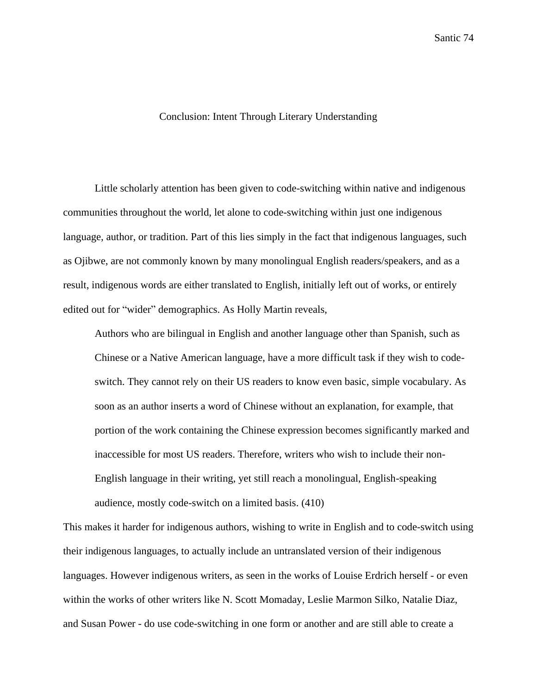## Conclusion: Intent Through Literary Understanding

Little scholarly attention has been given to code-switching within native and indigenous communities throughout the world, let alone to code-switching within just one indigenous language, author, or tradition. Part of this lies simply in the fact that indigenous languages, such as Ojibwe, are not commonly known by many monolingual English readers/speakers, and as a result, indigenous words are either translated to English, initially left out of works, or entirely edited out for "wider" demographics. As Holly Martin reveals,

Authors who are bilingual in English and another language other than Spanish, such as Chinese or a Native American language, have a more difficult task if they wish to codeswitch. They cannot rely on their US readers to know even basic, simple vocabulary. As soon as an author inserts a word of Chinese without an explanation, for example, that portion of the work containing the Chinese expression becomes significantly marked and inaccessible for most US readers. Therefore, writers who wish to include their non-English language in their writing, yet still reach a monolingual, English-speaking audience, mostly code-switch on a limited basis. (410)

This makes it harder for indigenous authors, wishing to write in English and to code-switch using their indigenous languages, to actually include an untranslated version of their indigenous languages. However indigenous writers, as seen in the works of Louise Erdrich herself - or even within the works of other writers like N. Scott Momaday, Leslie Marmon Silko, Natalie Diaz, and Susan Power - do use code-switching in one form or another and are still able to create a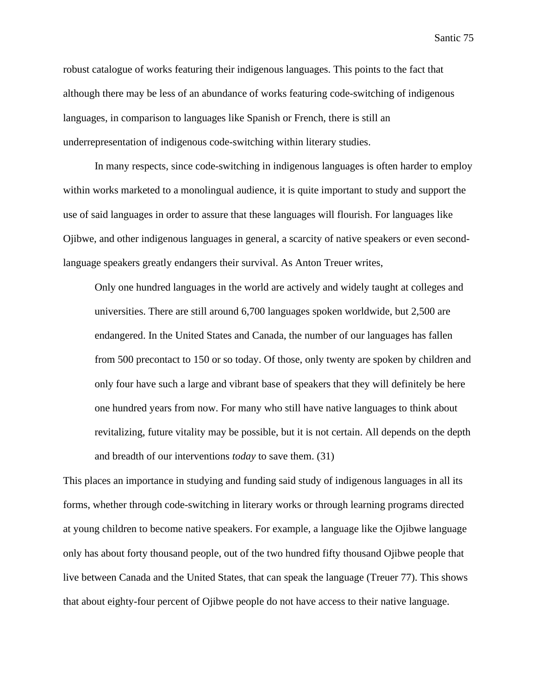robust catalogue of works featuring their indigenous languages. This points to the fact that although there may be less of an abundance of works featuring code-switching of indigenous languages, in comparison to languages like Spanish or French, there is still an underrepresentation of indigenous code-switching within literary studies.

In many respects, since code-switching in indigenous languages is often harder to employ within works marketed to a monolingual audience, it is quite important to study and support the use of said languages in order to assure that these languages will flourish. For languages like Ojibwe, and other indigenous languages in general, a scarcity of native speakers or even secondlanguage speakers greatly endangers their survival. As Anton Treuer writes,

Only one hundred languages in the world are actively and widely taught at colleges and universities. There are still around 6,700 languages spoken worldwide, but 2,500 are endangered. In the United States and Canada, the number of our languages has fallen from 500 precontact to 150 or so today. Of those, only twenty are spoken by children and only four have such a large and vibrant base of speakers that they will definitely be here one hundred years from now. For many who still have native languages to think about revitalizing, future vitality may be possible, but it is not certain. All depends on the depth and breadth of our interventions *today* to save them. (31)

This places an importance in studying and funding said study of indigenous languages in all its forms, whether through code-switching in literary works or through learning programs directed at young children to become native speakers. For example, a language like the Ojibwe language only has about forty thousand people, out of the two hundred fifty thousand Ojibwe people that live between Canada and the United States, that can speak the language (Treuer 77). This shows that about eighty-four percent of Ojibwe people do not have access to their native language.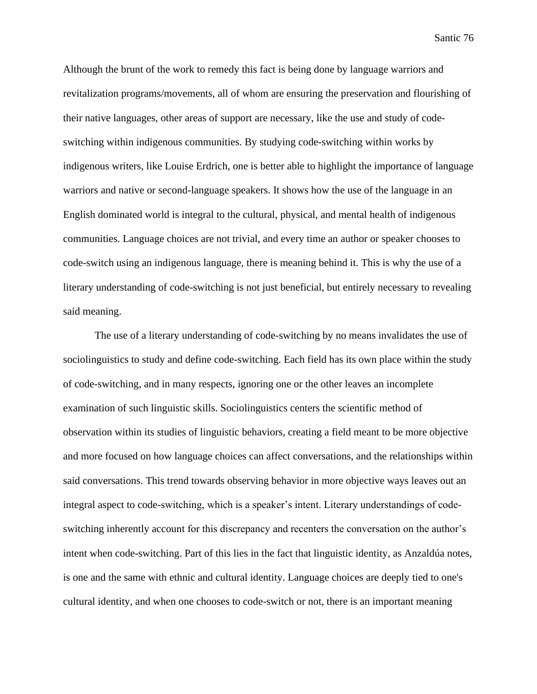Although the brunt of the work to remedy this fact is being done by language warriors and revitalization programs/movements, all of whom are ensuring the preservation and flourishing of their native languages, other areas of support are necessary, like the use and study of codeswitching within indigenous communities. By studying code-switching within works by indigenous writers, like Louise Erdrich, one is better able to highlight the importance of language warriors and native or second-language speakers. It shows how the use of the language in an English dominated world is integral to the cultural, physical, and mental health of indigenous communities. Language choices are not trivial, and every time an author or speaker chooses to code-switch using an indigenous language, there is meaning behind it. This is why the use of a literary understanding of code-switching is not just beneficial, but entirely necessary to revealing said meaning.

The use of a literary understanding of code-switching by no means invalidates the use of sociolinguistics to study and define code-switching. Each field has its own place within the study of code-switching, and in many respects, ignoring one or the other leaves an incomplete examination of such linguistic skills. Sociolinguistics centers the scientific method of observation within its studies of linguistic behaviors, creating a field meant to be more objective and more focused on how language choices can affect conversations, and the relationships within said conversations. This trend towards observing behavior in more objective ways leaves out an integral aspect to code-switching, which is a speaker's intent. Literary understandings of codeswitching inherently account for this discrepancy and recenters the conversation on the author's intent when code-switching. Part of this lies in the fact that linguistic identity, as Anzaldúa notes, is one and the same with ethnic and cultural identity. Language choices are deeply tied to one's cultural identity, and when one chooses to code-switch or not, there is an important meaning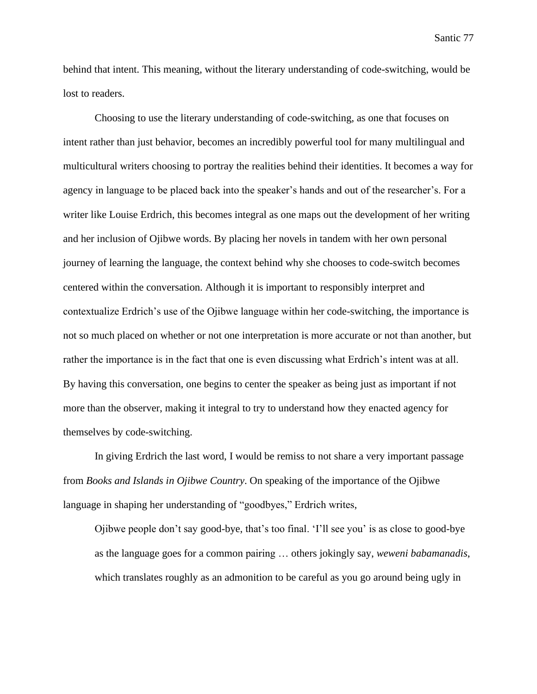behind that intent. This meaning, without the literary understanding of code-switching, would be lost to readers.

Choosing to use the literary understanding of code-switching, as one that focuses on intent rather than just behavior, becomes an incredibly powerful tool for many multilingual and multicultural writers choosing to portray the realities behind their identities. It becomes a way for agency in language to be placed back into the speaker's hands and out of the researcher's. For a writer like Louise Erdrich, this becomes integral as one maps out the development of her writing and her inclusion of Ojibwe words. By placing her novels in tandem with her own personal journey of learning the language, the context behind why she chooses to code-switch becomes centered within the conversation. Although it is important to responsibly interpret and contextualize Erdrich's use of the Ojibwe language within her code-switching, the importance is not so much placed on whether or not one interpretation is more accurate or not than another, but rather the importance is in the fact that one is even discussing what Erdrich's intent was at all. By having this conversation, one begins to center the speaker as being just as important if not more than the observer, making it integral to try to understand how they enacted agency for themselves by code-switching.

In giving Erdrich the last word, I would be remiss to not share a very important passage from *Books and Islands in Ojibwe Country*. On speaking of the importance of the Ojibwe language in shaping her understanding of "goodbyes," Erdrich writes,

Ojibwe people don't say good-bye, that's too final. 'I'll see you' is as close to good-bye as the language goes for a common pairing … others jokingly say, *weweni babamanadis*, which translates roughly as an admonition to be careful as you go around being ugly in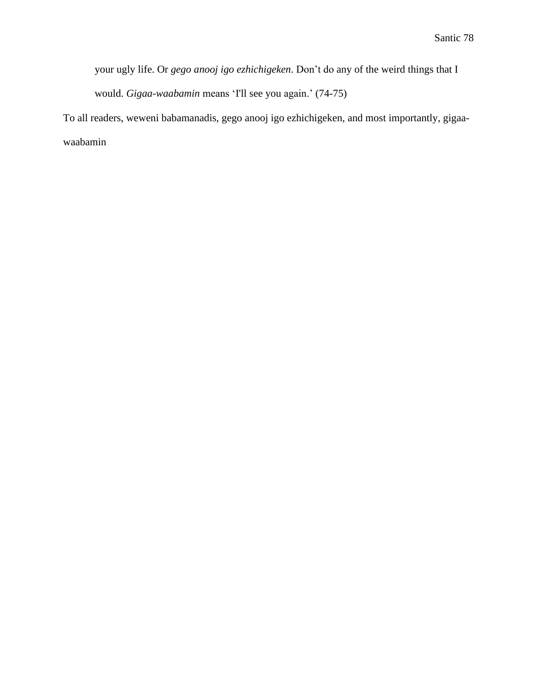your ugly life. Or *gego anooj igo ezhichigeken*. Don't do any of the weird things that I would. *Gigaa-waabamin* means 'I'll see you again.' (74-75)

To all readers, weweni babamanadis, gego anooj igo ezhichigeken, and most importantly, gigaawaabamin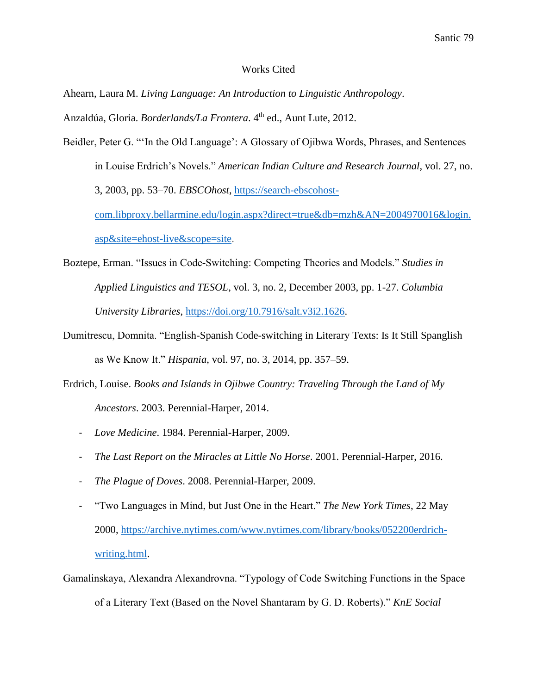## Works Cited

Ahearn, Laura M. *Living Language: An Introduction to Linguistic Anthropology*.

Anzaldúa, Gloria. *Borderlands/La Frontera*. 4th ed., Aunt Lute, 2012.

- Beidler, Peter G. "'In the Old Language': A Glossary of Ojibwa Words, Phrases, and Sentences in Louise Erdrich's Novels." *American Indian Culture and Research Journal*, vol. 27, no. 3, 2003, pp. 53–70. *EBSCOhost*, [https://search-ebscohost](https://search-ebscohost-com.libproxy.bellarmine.edu/login.aspx?direct=true&db=mzh&AN=2004970016&login.asp&site=ehost-live&scope=site)[com.libproxy.bellarmine.edu/login.aspx?direct=true&db=mzh&AN=2004970016&login.](https://search-ebscohost-com.libproxy.bellarmine.edu/login.aspx?direct=true&db=mzh&AN=2004970016&login.asp&site=ehost-live&scope=site) [asp&site=ehost-live&scope=site.](https://search-ebscohost-com.libproxy.bellarmine.edu/login.aspx?direct=true&db=mzh&AN=2004970016&login.asp&site=ehost-live&scope=site)
- Boztepe, Erman. "Issues in Code-Switching: Competing Theories and Models." *Studies in Applied Linguistics and TESOL*, vol. 3, no. 2, December 2003, pp. 1-27. *Columbia University Libraries*, [https://doi.org/10.7916/salt.v3i2.1626.](https://doi.org/10.7916/salt.v3i2.1626)
- Dumitrescu, Domnita. "English-Spanish Code-switching in Literary Texts: Is It Still Spanglish as We Know It." *Hispania*, vol. 97, no. 3, 2014, pp. 357–59.
- Erdrich, Louise. *Books and Islands in Ojibwe Country: Traveling Through the Land of My Ancestors*. 2003. Perennial-Harper, 2014.
	- *Love Medicine*. 1984. Perennial-Harper, 2009.
	- *The Last Report on the Miracles at Little No Horse*. 2001. Perennial-Harper, 2016.
	- *The Plague of Doves*. 2008. Perennial-Harper, 2009.
	- "Two Languages in Mind, but Just One in the Heart." *The New York Times*, 22 May 2000, [https://archive.nytimes.com/www.nytimes.com/library/books/052200erdrich](https://archive.nytimes.com/www.nytimes.com/library/books/052200erdrich-writing.html)[writing.html.](https://archive.nytimes.com/www.nytimes.com/library/books/052200erdrich-writing.html)
- Gamalinskaya, Alexandra Alexandrovna. "Typology of Code Switching Functions in the Space of a Literary Text (Based on the Novel Shantaram by G. D. Roberts)." *KnE Social*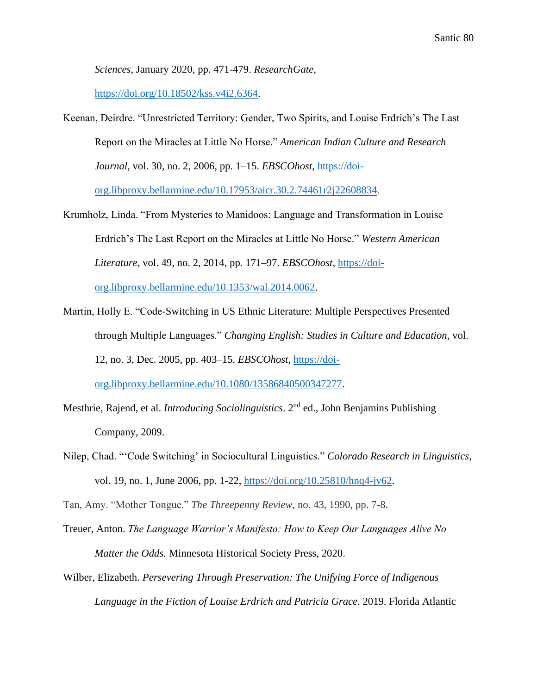*Sciences*, January 2020, pp. 471-479. *ResearchGate*,

[https://doi.org/10.18502/kss.v4i2.6364.](https://doi.org/10.18502/kss.v4i2.6364)

- Keenan, Deirdre. "Unrestricted Territory: Gender, Two Spirits, and Louise Erdrich's The Last Report on the Miracles at Little No Horse." *American Indian Culture and Research Journal*, vol. 30, no. 2, 2006, pp. 1–15. *EBSCOhost*, [https://doi](https://doi-org.libproxy.bellarmine.edu/10.17953/aicr.30.2.74461r2j22608834)[org.libproxy.bellarmine.edu/10.17953/aicr.30.2.74461r2j22608834.](https://doi-org.libproxy.bellarmine.edu/10.17953/aicr.30.2.74461r2j22608834)
- Krumholz, Linda. "From Mysteries to Manidoos: Language and Transformation in Louise Erdrich's The Last Report on the Miracles at Little No Horse." *Western American Literature*, vol. 49, no. 2, 2014, pp. 171–97. *EBSCOhost*, [https://doi](https://doi-org.libproxy.bellarmine.edu/10.1353/wal.2014.0062)[org.libproxy.bellarmine.edu/10.1353/wal.2014.0062.](https://doi-org.libproxy.bellarmine.edu/10.1353/wal.2014.0062)
- Martin, Holly E. "Code-Switching in US Ethnic Literature: Multiple Perspectives Presented through Multiple Languages." *Changing English: Studies in Culture and Education*, vol. 12, no. 3, Dec. 2005, pp. 403–15. *EBSCOhost*, [https://doi](https://doi-org.libproxy.bellarmine.edu/10.1080/13586840500347277)[org.libproxy.bellarmine.edu/10.1080/13586840500347277.](https://doi-org.libproxy.bellarmine.edu/10.1080/13586840500347277)
- Mesthrie, Rajend, et al. *Introducing Sociolinguistics*. 2nd ed., John Benjamins Publishing Company, 2009.
- Nilep, Chad. "'Code Switching' in Sociocultural Linguistics." *Colorado Research in Linguistics*, vol. 19, no. 1, June 2006, pp. 1-22, [https://doi.org/10.25810/hnq4-jv62.](https://doi.org/10.25810/hnq4-jv62)

Tan, Amy. "Mother Tongue." *The Threepenny Review*, no. 43, 1990, pp. 7-8.

- Treuer, Anton. *The Language Warrior's Manifesto: How to Keep Our Languages Alive No Matter the Odds.* Minnesota Historical Society Press, 2020.
- Wilber, Elizabeth. *Persevering Through Preservation: The Unifying Force of Indigenous Language in the Fiction of Louise Erdrich and Patricia Grace*. 2019. Florida Atlantic